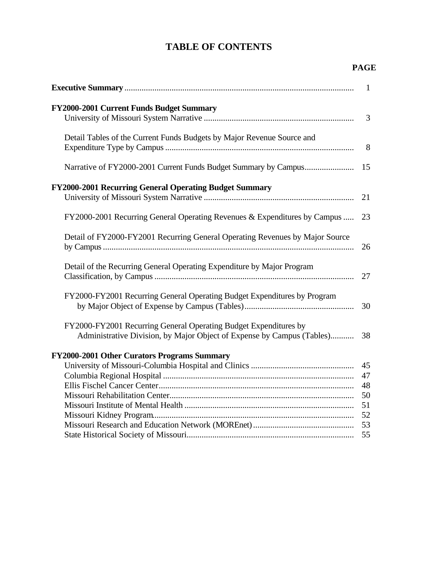# **TABLE OF CONTENTS**

## **PAGE**

|                                                                                                                                            | $\overline{1}$                         |
|--------------------------------------------------------------------------------------------------------------------------------------------|----------------------------------------|
| FY2000-2001 Current Funds Budget Summary                                                                                                   | $\overline{3}$                         |
| Detail Tables of the Current Funds Budgets by Major Revenue Source and                                                                     | 8                                      |
| Narrative of FY2000-2001 Current Funds Budget Summary by Campus                                                                            | 15                                     |
| FY2000-2001 Recurring General Operating Budget Summary                                                                                     | 21                                     |
| FY2000-2001 Recurring General Operating Revenues & Expenditures by Campus                                                                  | 23                                     |
| Detail of FY2000-FY2001 Recurring General Operating Revenues by Major Source                                                               | 26                                     |
| Detail of the Recurring General Operating Expenditure by Major Program                                                                     | 27                                     |
| FY2000-FY2001 Recurring General Operating Budget Expenditures by Program                                                                   | 30                                     |
| FY2000-FY2001 Recurring General Operating Budget Expenditures by<br>Administrative Division, by Major Object of Expense by Campus (Tables) | 38                                     |
| FY2000-2001 Other Curators Programs Summary                                                                                                | 45<br>47<br>48<br>50<br>51<br>52<br>53 |
|                                                                                                                                            | 55                                     |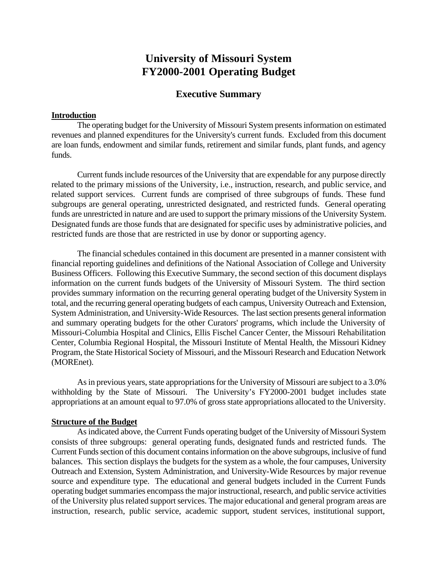# **University of Missouri System FY2000-2001 Operating Budget**

## **Executive Summary**

### **Introduction**

The operating budget for the University of Missouri System presents information on estimated revenues and planned expenditures for the University's current funds. Excluded from this document are loan funds, endowment and similar funds, retirement and similar funds, plant funds, and agency funds.

Current funds include resources of the University that are expendable for any purpose directly related to the primary missions of the University, i.e., instruction, research, and public service, and related support services. Current funds are comprised of three subgroups of funds. These fund subgroups are general operating, unrestricted designated, and restricted funds. General operating funds are unrestricted in nature and are used to support the primary missions of the University System. Designated funds are those funds that are designated for specific uses by administrative policies, and restricted funds are those that are restricted in use by donor or supporting agency.

The financial schedules contained in this document are presented in a manner consistent with financial reporting guidelines and definitions of the National Association of College and University Business Officers. Following this Executive Summary, the second section of this document displays information on the current funds budgets of the University of Missouri System. The third section provides summary information on the recurring general operating budget of the University System in total, and the recurring general operating budgets of each campus, University Outreach and Extension, System Administration, and University-Wide Resources. The last section presents general information and summary operating budgets for the other Curators' programs, which include the University of Missouri-Columbia Hospital and Clinics, Ellis Fischel Cancer Center, the Missouri Rehabilitation Center, Columbia Regional Hospital, the Missouri Institute of Mental Health, the Missouri Kidney Program, the State Historical Society of Missouri, and the Missouri Research and Education Network (MOREnet).

As in previous years, state appropriations for the University of Missouri are subject to a 3.0% withholding by the State of Missouri. The University's FY2000-2001 budget includes state appropriations at an amount equal to 97.0% of gross state appropriations allocated to the University.

### **Structure of the Budget**

As indicated above, the Current Funds operating budget of the University of Missouri System consists of three subgroups: general operating funds, designated funds and restricted funds. The Current Funds section of this document contains information on the above subgroups, inclusive of fund balances. This section displays the budgets for the system as a whole, the four campuses, University Outreach and Extension, System Administration, and University-Wide Resources by major revenue source and expenditure type. The educational and general budgets included in the Current Funds operating budget summaries encompass the major instructional, research, and public service activities of the University plus related support services. The major educational and general program areas are instruction, research, public service, academic support, student services, institutional support,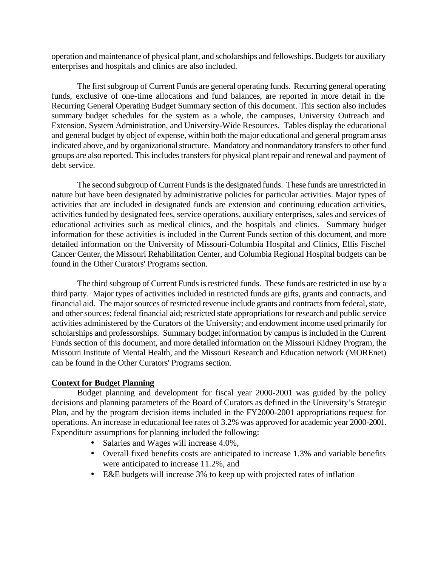operation and maintenance of physical plant, and scholarships and fellowships. Budgets for auxiliary enterprises and hospitals and clinics are also included.

The first subgroup of Current Funds are general operating funds. Recurring general operating funds, exclusive of one-time allocations and fund balances, are reported in more detail in the Recurring General Operating Budget Summary section of this document. This section also includes summary budget schedules for the system as a whole, the campuses, University Outreach and Extension, System Administration, and University-Wide Resources. Tables display the educational and general budget by object of expense, within both the major educational and general program areas indicated above, and by organizational structure. Mandatory and nonmandatory transfers to other fund groups are also reported. This includes transfers for physical plant repair and renewal and payment of debt service.

The second subgroup of Current Funds is the designated funds. These funds are unrestricted in nature but have been designated by administrative policies for particular activities. Major types of activities that are included in designated funds are extension and continuing education activities, activities funded by designated fees, service operations, auxiliary enterprises, sales and services of educational activities such as medical clinics, and the hospitals and clinics. Summary budget information for these activities is included in the Current Funds section of this document, and more detailed information on the University of Missouri-Columbia Hospital and Clinics, Ellis Fischel Cancer Center, the Missouri Rehabilitation Center, and Columbia Regional Hospital budgets can be found in the Other Curators' Programs section.

The third subgroup of Current Funds is restricted funds. These funds are restricted in use by a third party. Major types of activities included in restricted funds are gifts, grants and contracts, and financial aid. The major sources of restricted revenue include grants and contracts from federal, state, and other sources; federal financial aid; restricted state appropriations for research and public service activities administered by the Curators of the University; and endowment income used primarily for scholarships and professorships. Summary budget information by campus is included in the Current Funds section of this document, and more detailed information on the Missouri Kidney Program, the Missouri Institute of Mental Health, and the Missouri Research and Education network (MOREnet) can be found in the Other Curators' Programs section.

### **Context for Budget Planning**

Budget planning and development for fiscal year 2000-2001 was guided by the policy decisions and planning parameters of the Board of Curators as defined in the University's Strategic Plan, and by the program decision items included in the FY2000-2001 appropriations request for operations. An increase in educational fee rates of 3.2% was approved for academic year 2000-2001. Expenditure assumptions for planning included the following:

- Salaries and Wages will increase 4.0%,
- Overall fixed benefits costs are anticipated to increase 1.3% and variable benefits were anticipated to increase 11.2%, and
- E&E budgets will increase 3% to keep up with projected rates of inflation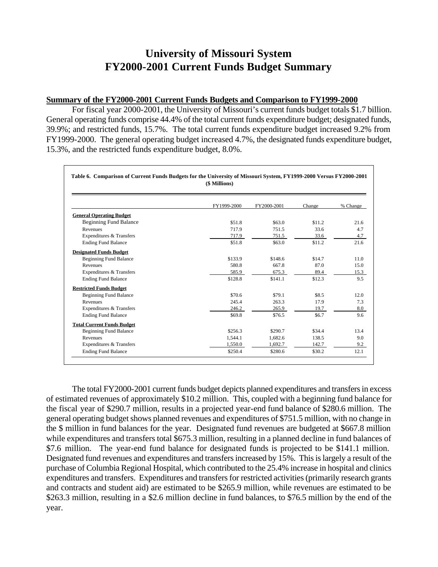# **University of Missouri System FY2000-2001 Current Funds Budget Summary**

### **Summary of the FY2000-2001 Current Funds Budgets and Comparison to FY1999-2000**

For fiscal year 2000-2001, the University of Missouri's current funds budget totals \$1.7 billion. General operating funds comprise 44.4% of the total current funds expenditure budget; designated funds, 39.9%; and restricted funds, 15.7%. The total current funds expenditure budget increased 9.2% from FY1999-2000. The general operating budget increased 4.7%, the designated funds expenditure budget, 15.3%, and the restricted funds expenditure budget, 8.0%.

| (\$ Millions)                     |             |             |        |          |  |
|-----------------------------------|-------------|-------------|--------|----------|--|
|                                   | FY1999-2000 | FY2000-2001 | Change | % Change |  |
| <b>General Operating Budget</b>   |             |             |        |          |  |
| <b>Beginning Fund Balance</b>     | \$51.8      | \$63.0      | \$11.2 | 21.6     |  |
| Revenues                          | 717.9       | 751.5       | 33.6   | 4.7      |  |
| Expenditures & Transfers          | 717.9       | 751.5       | 33.6   | 4.7      |  |
| <b>Ending Fund Balance</b>        | \$51.8      | \$63.0      | \$11.2 | 21.6     |  |
| <b>Designated Funds Budget</b>    |             |             |        |          |  |
| <b>Beginning Fund Balance</b>     | \$133.9     | \$148.6     | \$14.7 | 11.0     |  |
| Revenues                          | 580.8       | 667.8       | 87.0   | 15.0     |  |
| Expenditures & Transfers          | 585.9       | 675.3       | 89.4   | 15.3     |  |
| <b>Ending Fund Balance</b>        | \$128.8     | \$141.1     | \$12.3 | 9.5      |  |
| <b>Restricted Funds Budget</b>    |             |             |        |          |  |
| <b>Beginning Fund Balance</b>     | \$70.6      | \$79.1      | \$8.5  | 12.0     |  |
| Revenues                          | 245.4       | 263.3       | 17.9   | 7.3      |  |
| Expenditures & Transfers          | 246.2       | 265.9       | 19.7   | 8.0      |  |
| <b>Ending Fund Balance</b>        | \$69.8      | \$76.5      | \$6.7  | 9.6      |  |
| <b>Total Current Funds Budget</b> |             |             |        |          |  |
| <b>Beginning Fund Balance</b>     | \$256.3     | \$290.7     | \$34.4 | 13.4     |  |
| Revenues                          | 1,544.1     | 1.682.6     | 138.5  | 9.0      |  |
| Expenditures & Transfers          | 1,550.0     | 1,692.7     | 142.7  | 9.2      |  |
| <b>Ending Fund Balance</b>        | \$250.4     | \$280.6     | \$30.2 | 12.1     |  |

The total FY2000-2001 current funds budget depicts planned expenditures and transfers in excess of estimated revenues of approximately \$10.2 million. This, coupled with a beginning fund balance for the fiscal year of \$290.7 million, results in a projected year-end fund balance of \$280.6 million. The general operating budget shows planned revenues and expenditures of \$751.5 million, with no change in the \$ million in fund balances for the year. Designated fund revenues are budgeted at \$667.8 million while expenditures and transfers total \$675.3 million, resulting in a planned decline in fund balances of \$7.6 million. The year-end fund balance for designated funds is projected to be \$141.1 million. Designated fund revenues and expenditures and transfers increased by 15%. This is largely a result of the purchase of Columbia Regional Hospital, which contributed to the 25.4% increase in hospital and clinics expenditures and transfers. Expenditures and transfers for restricted activities (primarily research grants and contracts and student aid) are estimated to be \$265.9 million, while revenues are estimated to be \$263.3 million, resulting in a \$2.6 million decline in fund balances, to \$76.5 million by the end of the year.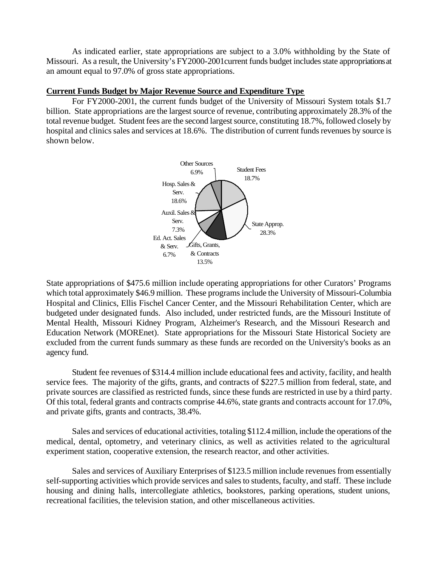As indicated earlier, state appropriations are subject to a 3.0% withholding by the State of Missouri. As a result, the University's FY2000-2001current funds budget includes state appropriations at an amount equal to 97.0% of gross state appropriations.

### **Current Funds Budget by Major Revenue Source and Expenditure Type**

For FY2000-2001, the current funds budget of the University of Missouri System totals \$1.7 billion. State appropriations are the largest source of revenue, contributing approximately 28.3% of the total revenue budget. Student fees are the second largest source, constituting 18.7%, followed closely by hospital and clinics sales and services at 18.6%. The distribution of current funds revenues by source is shown below.



State appropriations of \$475.6 million include operating appropriations for other Curators' Programs which total approximately \$46.9 million. These programs include the University of Missouri-Columbia Hospital and Clinics, Ellis Fischel Cancer Center, and the Missouri Rehabilitation Center, which are budgeted under designated funds. Also included, under restricted funds, are the Missouri Institute of Mental Health, Missouri Kidney Program, Alzheimer's Research, and the Missouri Research and Education Network (MOREnet). State appropriations for the Missouri State Historical Society are excluded from the current funds summary as these funds are recorded on the University's books as an agency fund.

Student fee revenues of \$314.4 million include educational fees and activity, facility, and health service fees. The majority of the gifts, grants, and contracts of \$227.5 million from federal, state, and private sources are classified as restricted funds, since these funds are restricted in use by a third party. Of this total, federal grants and contracts comprise 44.6%, state grants and contracts account for 17.0%, and private gifts, grants and contracts, 38.4%.

Sales and services of educational activities, totaling \$112.4 million, include the operations of the medical, dental, optometry, and veterinary clinics, as well as activities related to the agricultural experiment station, cooperative extension, the research reactor, and other activities.

Sales and services of Auxiliary Enterprises of \$123.5 million include revenues from essentially self-supporting activities which provide services and sales to students, faculty, and staff. These include housing and dining halls, intercollegiate athletics, bookstores, parking operations, student unions, recreational facilities, the television station, and other miscellaneous activities.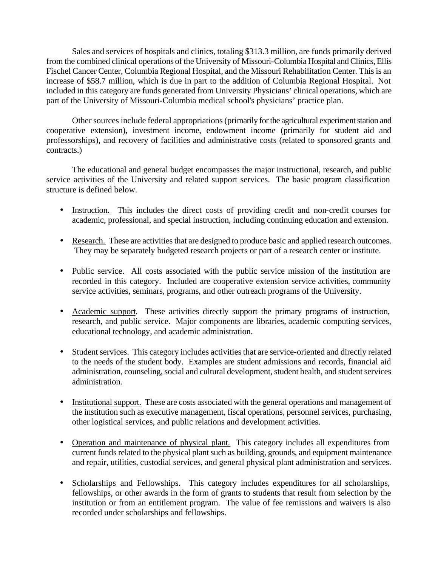Sales and services of hospitals and clinics, totaling \$313.3 million, are funds primarily derived from the combined clinical operations of the University of Missouri-Columbia Hospital and Clinics, Ellis Fischel Cancer Center, Columbia Regional Hospital, and the Missouri Rehabilitation Center. This is an increase of \$58.7 million, which is due in part to the addition of Columbia Regional Hospital. Not included in this category are funds generated from University Physicians' clinical operations, which are part of the University of Missouri-Columbia medical school's physicians' practice plan.

Other sources include federal appropriations (primarily for the agricultural experiment station and cooperative extension), investment income, endowment income (primarily for student aid and professorships), and recovery of facilities and administrative costs (related to sponsored grants and contracts.)

The educational and general budget encompasses the major instructional, research, and public service activities of the University and related support services. The basic program classification structure is defined below.

- Instruction. This includes the direct costs of providing credit and non-credit courses for academic, professional, and special instruction, including continuing education and extension.
- Research. These are activities that are designed to produce basic and applied research outcomes. They may be separately budgeted research projects or part of a research center or institute.
- Public service. All costs associated with the public service mission of the institution are recorded in this category. Included are cooperative extension service activities, community service activities, seminars, programs, and other outreach programs of the University.
- Academic support. These activities directly support the primary programs of instruction, research, and public service. Major components are libraries, academic computing services, educational technology, and academic administration.
- Student services. This category includes activities that are service-oriented and directly related to the needs of the student body. Examples are student admissions and records, financial aid administration, counseling, social and cultural development, student health, and student services administration.
- Institutional support. These are costs associated with the general operations and management of the institution such as executive management, fiscal operations, personnel services, purchasing, other logistical services, and public relations and development activities.
- Operation and maintenance of physical plant. This category includes all expenditures from current funds related to the physical plant such as building, grounds, and equipment maintenance and repair, utilities, custodial services, and general physical plant administration and services.
- Scholarships and Fellowships. This category includes expenditures for all scholarships, fellowships, or other awards in the form of grants to students that result from selection by the institution or from an entitlement program. The value of fee remissions and waivers is also recorded under scholarships and fellowships.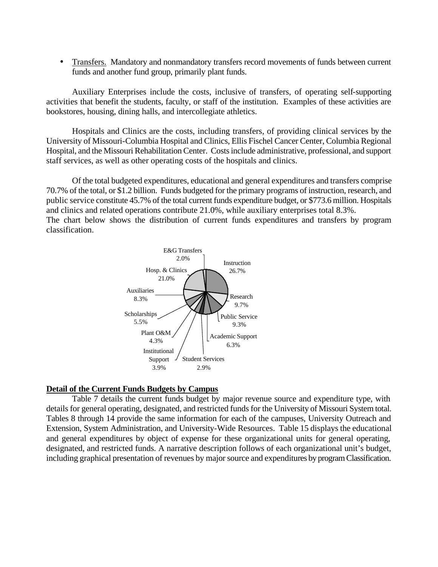Transfers. Mandatory and nonmandatory transfers record movements of funds between current funds and another fund group, primarily plant funds.

Auxiliary Enterprises include the costs, inclusive of transfers, of operating self-supporting activities that benefit the students, faculty, or staff of the institution. Examples of these activities are bookstores, housing, dining halls, and intercollegiate athletics.

Hospitals and Clinics are the costs, including transfers, of providing clinical services by the University of Missouri-Columbia Hospital and Clinics, Ellis Fischel Cancer Center, Columbia Regional Hospital, and the Missouri Rehabilitation Center. Costs include administrative, professional, and support staff services, as well as other operating costs of the hospitals and clinics.

Of the total budgeted expenditures, educational and general expenditures and transfers comprise 70.7% of the total, or \$1.2 billion. Funds budgeted for the primary programs of instruction, research, and public service constitute 45.7% of the total current funds expenditure budget, or \$773.6 million. Hospitals and clinics and related operations contribute 21.0%, while auxiliary enterprises total 8.3%. The chart below shows the distribution of current funds expenditures and transfers by program classification.



### **Detail of the Current Funds Budgets by Campus**

Table 7 details the current funds budget by major revenue source and expenditure type, with details for general operating, designated, and restricted funds for the University of Missouri System total. Tables 8 through 14 provide the same information for each of the campuses, University Outreach and Extension, System Administration, and University-Wide Resources. Table 15 displays the educational and general expenditures by object of expense for these organizational units for general operating, designated, and restricted funds. A narrative description follows of each organizational unit's budget, including graphical presentation of revenues by major source and expenditures by program Classification.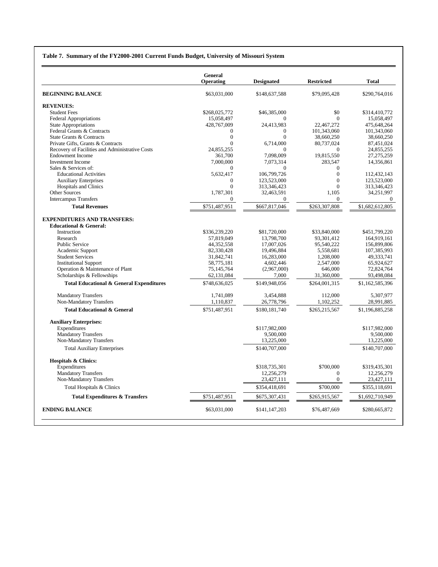#### **Table 7. Summary of the FY2000-2001 Current Funds Budget, University of Missouri System**

|                                                         | <b>General</b><br>Operating | <b>Designated</b>              | <b>Restricted</b>      | <b>Total</b>                 |
|---------------------------------------------------------|-----------------------------|--------------------------------|------------------------|------------------------------|
| <b>BEGINNING BALANCE</b>                                | \$63,031,000                | \$148,637,588                  | \$79,095,428           | \$290,764,016                |
| <b>REVENUES:</b>                                        |                             |                                |                        |                              |
| <b>Student Fees</b>                                     | \$268,025,772               | \$46,385,000                   | \$0                    | \$314,410,772                |
| <b>Federal Appropriations</b>                           | 15,058,497                  | $\Omega$                       | $\Omega$               | 15,058,497                   |
| <b>State Appropriations</b>                             | 428,767,009                 | 24,413,983                     | 22,467,272             | 475,648,264                  |
| Federal Grants & Contracts                              | 0                           | $\mathbf{0}$                   | 101,343,060            | 101,343,060                  |
| State Grants & Contracts                                | $\theta$                    | $\theta$                       | 38,660,250             | 38,660,250                   |
| Private Gifts, Grants & Contracts                       | $\theta$                    | 6,714,000                      | 80,737,024             | 87,451,024                   |
| Recovery of Facilities and Administrative Costs         | 24.855.255                  | $\Omega$                       | $\Omega$               | 24.855.255                   |
| <b>Endowment Income</b>                                 | 361.700                     | 7.098.009                      | 19,815,550             | 27.275.259                   |
| <b>Investment Income</b>                                | 7,000,000                   | 7,073,314                      | 283,547                | 14,356,861                   |
| Sales & Services of:                                    | $\Omega$                    | $\Omega$                       | $\Omega$               |                              |
| <b>Educational Activities</b>                           | 5,632,417                   | 106,799,726                    | $\mathbf{0}$           | 112,432,143                  |
| <b>Auxiliary Enterprises</b>                            | $\mathbf{0}$<br>$\theta$    | 123,523,000                    | $\mathbf{0}$           | 123,523,000                  |
| <b>Hospitals and Clinics</b><br><b>Other Sources</b>    |                             | 313,346,423                    | $\Omega$<br>1.105      | 313,346,423                  |
| <b>Intercampus Transfers</b>                            | 1,787,301<br>$\mathbf{0}$   | 32,463,591<br>$\boldsymbol{0}$ | $\overline{0}$         | 34,251,997<br>$\overline{0}$ |
| <b>Total Revenues</b>                                   | \$751,487,951               | \$667,817,046                  | \$263,307,808          | \$1,682,612,805              |
|                                                         |                             |                                |                        |                              |
| <b>EXPENDITURES AND TRANSFERS:</b>                      |                             |                                |                        |                              |
| <b>Educational &amp; General:</b>                       |                             |                                |                        |                              |
| Instruction                                             | \$336,239,220               | \$81,720,000                   | \$33,840,000           | \$451,799,220                |
| Research                                                | 57,819,049                  | 13,798,700                     | 93,301,412             | 164,919,161                  |
| <b>Public Service</b>                                   | 44,352,558                  | 17,007,026                     | 95,540,222             | 156,899,806                  |
| Academic Support                                        | 82,330,428                  | 19,496,884                     | 5,558,681              | 107,385,993                  |
| <b>Student Services</b><br><b>Institutional Support</b> | 31,842,741<br>58,775,181    | 16,283,000<br>4,602,446        | 1,208,000<br>2,547,000 | 49,333,741<br>65,924,627     |
| Operation & Maintenance of Plant                        | 75,145,764                  | (2,967,000)                    | 646,000                | 72,824,764                   |
| Scholarships & Fellowships                              | 62,131,084                  | 7,000                          | 31,360,000             | 93,498,084                   |
| <b>Total Educational &amp; General Expenditures</b>     | \$748,636,025               | \$149,948,056                  | \$264,001,315          | \$1,162,585,396              |
|                                                         |                             |                                |                        |                              |
| <b>Mandatory Transfers</b>                              | 1.741.089                   | 3.454.888                      | 112,000                | 5.307.977                    |
| Non-Mandatory Transfers                                 | 1,110,837                   | 26,778,796                     | 1,102,252              | 28,991,885                   |
| <b>Total Educational &amp; General</b>                  | \$751,487,951               | \$180,181,740                  | \$265,215,567          | \$1,196,885,258              |
| <b>Auxiliary Enterprises:</b>                           |                             |                                |                        |                              |
| Expenditures                                            |                             | \$117,982,000                  |                        | \$117,982,000                |
| <b>Mandatory Transfers</b>                              |                             | 9,500,000                      |                        | 9,500,000                    |
| Non-Mandatory Transfers                                 |                             | 13,225,000                     |                        | 13,225,000                   |
| <b>Total Auxiliary Enterprises</b>                      |                             | \$140,707,000                  |                        | \$140,707,000                |
| <b>Hospitals &amp; Clinics:</b>                         |                             |                                |                        |                              |
| Expenditures                                            |                             | \$318,735,301                  | \$700,000              | \$319,435,301                |
| <b>Mandatory Transfers</b>                              |                             | 12,256,279                     | $\Omega$               | 12,256,279                   |
| Non-Mandatory Transfers                                 |                             | 23,427,111                     | $\overline{0}$         | 23,427,111                   |
| Total Hospitals & Clinics                               |                             | \$354,418,691                  | \$700,000              | \$355,118,691                |
| <b>Total Expenditures &amp; Transfers</b>               | \$751,487,951               | \$675,307,431                  | \$265,915,567          | \$1,692,710,949              |
| <b>ENDING BALANCE</b>                                   | \$63,031,000                | \$141,147,203                  | \$76,487,669           | \$280,665,872                |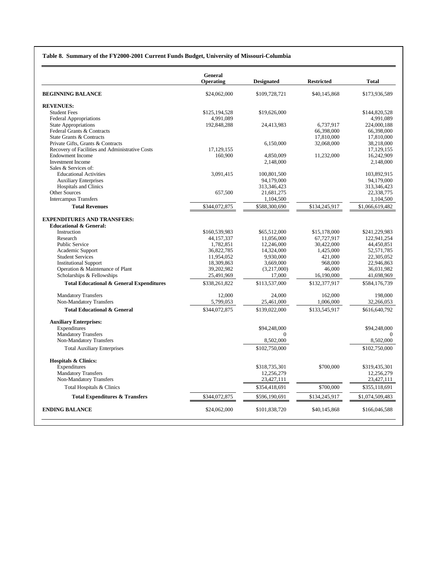#### **Table 8. Summary of the FY2000-2001 Current Funds Budget, University of Missouri-Columbia**

|                                                                  | <b>General</b><br>Operating | <b>Designated</b>           | <b>Restricted</b> | <b>Total</b>                |
|------------------------------------------------------------------|-----------------------------|-----------------------------|-------------------|-----------------------------|
|                                                                  |                             |                             |                   |                             |
| <b>BEGINNING BALANCE</b>                                         | \$24,062,000                | \$109,728,721               | \$40,145,868      | \$173,936,589               |
| <b>REVENUES:</b>                                                 |                             |                             |                   |                             |
| <b>Student Fees</b>                                              | \$125,194,528               | \$19,626,000                |                   | \$144,820,528               |
| <b>Federal Appropriations</b>                                    | 4,991,089                   |                             |                   | 4,991,089                   |
| <b>State Appropriations</b>                                      | 192,848,288                 | 24,413,983                  | 6,737,917         | 224,000,188                 |
| Federal Grants & Contracts                                       |                             |                             | 66,398,000        | 66,398,000                  |
| State Grants & Contracts                                         |                             |                             | 17,810,000        | 17,810,000                  |
| Private Gifts, Grants & Contracts                                |                             | 6,150,000                   | 32,068,000        | 38,218,000                  |
| Recovery of Facilities and Administrative Costs                  | 17.129.155                  |                             |                   | 17.129.155                  |
| <b>Endowment Income</b>                                          | 160,900                     | 4,850,009                   | 11,232,000        | 16,242,909                  |
| <b>Investment Income</b>                                         |                             | 2,148,000                   |                   | 2,148,000                   |
| Sales & Services of:                                             |                             |                             |                   |                             |
| <b>Educational Activities</b><br><b>Auxiliary Enterprises</b>    | 3,091,415                   | 100,801,500<br>94,179,000   |                   | 103,892,915<br>94,179,000   |
| <b>Hospitals and Clinics</b>                                     |                             | 313.346.423                 |                   | 313.346.423                 |
| <b>Other Sources</b>                                             | 657,500                     | 21,681,275                  |                   | 22,338,775                  |
| <b>Intercampus Transfers</b>                                     |                             | 1,104,500                   |                   | 1,104,500                   |
| <b>Total Revenues</b>                                            | \$344,072,875               | \$588,300,690               | \$134,245,917     | \$1,066,619,482             |
|                                                                  |                             |                             |                   |                             |
| <b>EXPENDITURES AND TRANSFERS:</b>                               |                             |                             |                   |                             |
| <b>Educational &amp; General:</b>                                |                             |                             |                   |                             |
| Instruction                                                      | \$160,539,983               | \$65,512,000                | \$15,178,000      | \$241,229,983               |
| Research                                                         | 44.157.337                  | 11.056.000                  | 67.727.917        | 122.941.254                 |
| <b>Public Service</b>                                            | 1,782,851                   | 12,246,000                  | 30,422,000        | 44,450,851                  |
| Academic Support                                                 | 36,822,785                  | 14,324,000                  | 1,425,000         | 52,571,785                  |
| <b>Student Services</b>                                          | 11,954,052                  | 9,930,000                   | 421,000           | 22,305,052                  |
| <b>Institutional Support</b><br>Operation & Maintenance of Plant | 18,309,863<br>39,202,982    | 3,669,000<br>(3,217,000)    | 968,000<br>46,000 | 22,946,863<br>36,031,982    |
| Scholarships & Fellowships                                       | 25,491,969                  | 17,000                      | 16,190,000        | 41,698,969                  |
| <b>Total Educational &amp; General Expenditures</b>              | \$338,261,822               | \$113,537,000               | \$132,377,917     | \$584,176,739               |
|                                                                  |                             |                             |                   |                             |
| <b>Mandatory Transfers</b>                                       | 12,000                      | 24,000                      | 162,000           | 198,000                     |
| Non-Mandatory Transfers                                          | 5,799,053                   | 25,461,000                  | 1,006,000         | 32,266,053                  |
| <b>Total Educational &amp; General</b>                           | \$344,072,875               | \$139,022,000               | \$133,545,917     | \$616,640,792               |
| <b>Auxiliary Enterprises:</b>                                    |                             |                             |                   |                             |
| Expenditures                                                     |                             | \$94,248,000                |                   | \$94,248,000                |
| <b>Mandatory Transfers</b>                                       |                             | $\Omega$                    |                   | $\Omega$                    |
| Non-Mandatory Transfers                                          |                             | 8,502,000                   |                   | 8,502,000                   |
| <b>Total Auxiliary Enterprises</b>                               |                             | \$102,750,000               |                   | \$102,750,000               |
|                                                                  |                             |                             |                   |                             |
| <b>Hospitals &amp; Clinics:</b><br>Expenditures                  |                             |                             |                   |                             |
| <b>Mandatory Transfers</b>                                       |                             | \$318,735,301<br>12,256,279 | \$700,000         | \$319,435,301<br>12,256,279 |
| Non-Mandatory Transfers                                          |                             | 23,427,111                  |                   | 23,427,111                  |
| Total Hospitals & Clinics                                        |                             | \$354,418,691               | \$700,000         | \$355,118,691               |
| <b>Total Expenditures &amp; Transfers</b>                        | \$344,072,875               | \$596,190,691               | \$134,245,917     | \$1,074,509,483             |
|                                                                  |                             |                             |                   |                             |
| <b>ENDING BALANCE</b>                                            | \$24,062,000                | \$101,838,720               | \$40,145,868      | \$166,046,588               |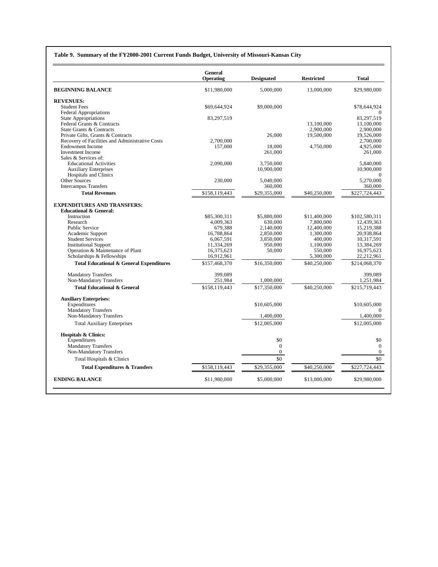#### **Table 9. Summary of the FY2000-2001 Current Funds Budget, University of Missouri-Kansas City**

|                                                               | <b>General</b><br>Operating | <b>Designated</b> | <b>Restricted</b>       | <b>Total</b>            |
|---------------------------------------------------------------|-----------------------------|-------------------|-------------------------|-------------------------|
| <b>BEGINNING BALANCE</b>                                      | \$11,980,000                | 5,000,000         | 13,000,000              | \$29,980,000            |
| <b>REVENUES:</b>                                              |                             |                   |                         |                         |
| <b>Student Fees</b>                                           | \$69,644,924                | \$9,000,000       |                         | \$78,644,924            |
| Federal Appropriations                                        |                             |                   |                         |                         |
| <b>State Appropriations</b>                                   | 83,297,519                  |                   |                         | 83,297,519              |
| Federal Grants & Contracts                                    |                             |                   | 13,100,000              | 13,100,000              |
| State Grants & Contracts<br>Private Gifts, Grants & Contracts |                             | 26,000            | 2.900.000<br>19,500,000 | 2.900,000<br>19,526,000 |
| Recovery of Facilities and Administrative Costs               | 2.700,000                   |                   |                         | 2.700,000               |
| <b>Endowment Income</b>                                       | 157,000                     | 18,000            | 4,750,000               | 4,925,000               |
| <b>Investment Income</b>                                      |                             | 261,000           |                         | 261,000                 |
| Sales & Services of:                                          |                             |                   |                         |                         |
| <b>Educational Activities</b>                                 | 2,090,000                   | 3,750,000         |                         | 5,840,000               |
| <b>Auxiliary Enterprises</b>                                  |                             | 10,900,000        |                         | 10.900,000              |
| <b>Hospitals and Clinics</b>                                  |                             |                   |                         | $\Omega$                |
| Other Sources                                                 | 230,000                     | 5,040,000         |                         | 5,270,000               |
| <b>Intercampus Transfers</b>                                  |                             | 360,000           |                         | 360,000                 |
| <b>Total Revenues</b>                                         | \$158,119,443               | \$29,355,000      | \$40,250,000            | \$227,724,443           |
| <b>EXPENDITURES AND TRANSFERS:</b>                            |                             |                   |                         |                         |
| <b>Educational &amp; General:</b>                             |                             |                   |                         |                         |
| Instruction                                                   | \$85,300,311                | \$5,880,000       | \$11,400,000            | \$102,580,311           |
| Research                                                      | 4,009,363                   | 630,000           | 7.800.000               | 12.439.363              |
| <b>Public Service</b>                                         | 679.388                     | 2.140,000         | 12,400,000              | 15.219.388              |
| Academic Support                                              | 16.788.864                  | 2.850,000         | 1.300.000               | 20.938.864              |
| <b>Student Services</b>                                       | 6,067,591                   | 3,850,000         | 400,000                 | 10,317,591              |
| <b>Institutional Support</b>                                  | 11,334,269                  | 950,000           | 1,100,000               | 13,384,269              |
| Operation & Maintenance of Plant                              | 16,375,623                  | 50,000            | 550,000                 | 16,975,623              |
| Scholarships & Fellowships                                    | 16,912,961                  |                   | 5,300,000               | 22,212,961              |
| <b>Total Educational &amp; General Expenditures</b>           | \$157,468,370               | \$16,350,000      | \$40,250,000            | \$214,068,370           |
| <b>Mandatory Transfers</b>                                    | 399,089                     |                   |                         | 399.089                 |
| Non-Mandatory Transfers                                       | 251,984                     | 1,000,000         |                         | 1,251,984               |
| <b>Total Educational &amp; General</b>                        | \$158,119,443               | \$17,350,000      | \$40,250,000            | \$215,719,443           |
| <b>Auxiliary Enterprises:</b>                                 |                             |                   |                         |                         |
| Expenditures                                                  |                             | \$10,605,000      |                         | \$10,605,000            |
| <b>Mandatory Transfers</b>                                    |                             |                   |                         | $\Omega$                |
| Non-Mandatory Transfers                                       |                             | 1,400,000         |                         | 1,400,000               |
| <b>Total Auxiliary Enterprises</b>                            |                             | \$12,005,000      |                         | \$12,005,000            |
| <b>Hospitals &amp; Clinics:</b>                               |                             |                   |                         |                         |
| Expenditures                                                  |                             | \$0               |                         | \$0                     |
| <b>Mandatory Transfers</b>                                    |                             | $\boldsymbol{0}$  |                         | $\mathbf{0}$            |
| Non-Mandatory Transfers                                       |                             | $\boldsymbol{0}$  |                         | $\overline{0}$          |
| Total Hospitals & Clinics                                     |                             | \$0               |                         | \$0                     |
| <b>Total Expenditures &amp; Transfers</b>                     | \$158,119,443               | \$29,355,000      | \$40,250,000            | \$227,724,443           |
| <b>ENDING BALANCE</b>                                         | \$11,980,000                | \$5,000,000       | \$13,000,000            | \$29,980,000            |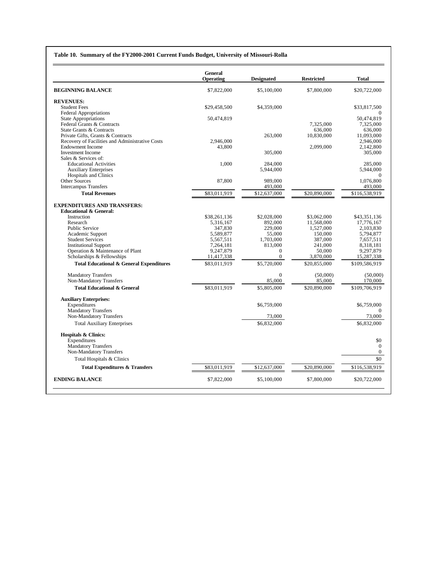#### **Table 10. Summary of the FY2000-2001 Current Funds Budget, University of Missouri-Rolla**

|                                                                  | <b>General</b><br>Operating | <b>Designated</b>       | <b>Restricted</b> | <b>Total</b>            |
|------------------------------------------------------------------|-----------------------------|-------------------------|-------------------|-------------------------|
| <b>BEGINNING BALANCE</b>                                         | \$7,822,000                 | \$5,100,000             | \$7,800,000       | \$20,722,000            |
| <b>REVENUES:</b>                                                 |                             |                         |                   |                         |
| <b>Student Fees</b>                                              | \$29,458,500                | \$4,359,000             |                   | \$33,817,500            |
| <b>Federal Appropriations</b>                                    |                             |                         |                   |                         |
| <b>State Appropriations</b><br>Federal Grants & Contracts        | 50,474,819                  |                         | 7.325,000         | 50.474.819<br>7,325,000 |
| State Grants & Contracts                                         |                             |                         | 636,000           | 636,000                 |
| Private Gifts, Grants & Contracts                                |                             | 263,000                 | 10,830,000        | 11.093.000              |
| Recovery of Facilities and Administrative Costs                  | 2,946,000                   |                         |                   | 2,946,000               |
| <b>Endowment Income</b>                                          | 43,800                      |                         | 2,099,000         | 2,142,800               |
| <b>Investment Income</b>                                         |                             | 305,000                 |                   | 305,000                 |
| Sales & Services of:                                             |                             |                         |                   |                         |
| <b>Educational Activities</b>                                    | 1,000                       | 284,000                 |                   | 285,000                 |
| <b>Auxiliary Enterprises</b>                                     |                             | 5,944,000               |                   | 5.944.000               |
| <b>Hospitals and Clinics</b>                                     |                             |                         |                   | $\Omega$                |
| Other Sources                                                    | 87,800                      | 989,000                 |                   | 1,076,800               |
| <b>Intercampus Transfers</b><br><b>Total Revenues</b>            |                             | 493,000                 |                   | 493,000                 |
|                                                                  | \$83,011,919                | \$12,637,000            | \$20,890,000      | \$116,538,919           |
| <b>EXPENDITURES AND TRANSFERS:</b>                               |                             |                         |                   |                         |
| <b>Educational &amp; General:</b>                                |                             |                         |                   |                         |
| Instruction                                                      | \$38,261,136                | \$2,028,000             | \$3,062,000       | \$43,351,136            |
| Research                                                         | 5,316,167                   | 892,000                 | 11,568,000        | 17,776,167              |
| <b>Public Service</b>                                            | 347,830                     | 229,000                 | 1.527.000         | 2.103.830               |
| Academic Support                                                 | 5,589,877                   | 55,000                  | 150,000           | 5,794,877               |
| <b>Student Services</b>                                          | 5,567,511                   | 1.703.000               | 387,000           | 7,657,511               |
| <b>Institutional Support</b><br>Operation & Maintenance of Plant | 7,264,181<br>9,247,879      | 813,000<br>$\mathbf{0}$ | 241,000<br>50,000 | 8,318,181<br>9,297,879  |
| Scholarships & Fellowships                                       | 11,417,338                  | $\mathbf{0}$            | 3,870,000         | 15,287,338              |
| <b>Total Educational &amp; General Expenditures</b>              | \$83,011,919                | \$5,720,000             | \$20,855,000      | \$109,586,919           |
|                                                                  |                             |                         |                   |                         |
| <b>Mandatory Transfers</b>                                       |                             | $\overline{0}$          | (50,000)          | (50,000)                |
| Non-Mandatory Transfers                                          |                             | 85,000                  | 85,000            | 170,000                 |
| <b>Total Educational &amp; General</b>                           | \$83,011,919                | \$5,805,000             | \$20,890,000      | \$109,706,919           |
| <b>Auxiliary Enterprises:</b>                                    |                             |                         |                   |                         |
| Expenditures                                                     |                             | \$6,759,000             |                   | \$6,759,000             |
| <b>Mandatory Transfers</b>                                       |                             |                         |                   |                         |
| Non-Mandatory Transfers                                          |                             | 73,000                  |                   | 73,000                  |
| <b>Total Auxiliary Enterprises</b>                               |                             | \$6,832,000             |                   | \$6,832,000             |
| Hospitals & Clinics:                                             |                             |                         |                   |                         |
| Expenditures                                                     |                             |                         |                   | \$0                     |
| <b>Mandatory Transfers</b>                                       |                             |                         |                   | $\Omega$                |
| Non-Mandatory Transfers                                          |                             |                         |                   | $\overline{0}$          |
| Total Hospitals & Clinics                                        |                             |                         |                   | \$0                     |
| <b>Total Expenditures &amp; Transfers</b>                        | \$83,011,919                | \$12,637,000            | \$20,890,000      | \$116,538,919           |
| <b>ENDING BALANCE</b>                                            | \$7,822,000                 | \$5,100,000             | \$7,800,000       | \$20,722,000            |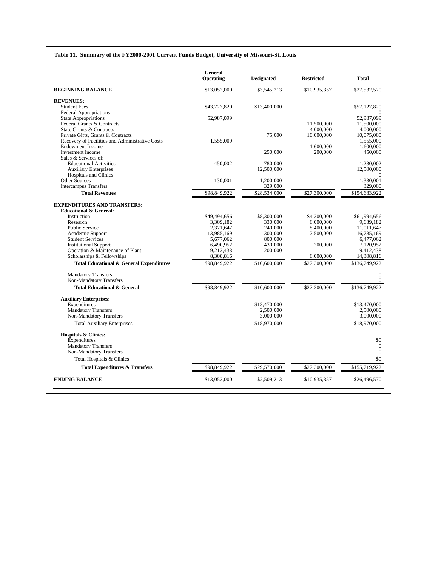#### **Table 11. Summary of the FY2000-2001 Current Funds Budget, University of Missouri-St. Louis**

|                                                                  | <b>General</b><br><b>Operating</b> | <b>Designated</b>  | <b>Restricted</b> | <b>Total</b>               |
|------------------------------------------------------------------|------------------------------------|--------------------|-------------------|----------------------------|
| <b>BEGINNING BALANCE</b>                                         | \$13,052,000                       | \$3,545,213        | \$10,935,357      | \$27,532,570               |
| <b>REVENUES:</b>                                                 |                                    |                    |                   |                            |
| <b>Student Fees</b>                                              | \$43,727,820                       | \$13,400,000       |                   | \$57,127,820               |
| <b>Federal Appropriations</b>                                    |                                    |                    |                   |                            |
| <b>State Appropriations</b><br>Federal Grants & Contracts        | 52,987,099                         |                    | 11,500,000        | 52.987.099<br>11,500,000   |
| State Grants & Contracts                                         |                                    |                    | 4,000,000         | 4,000,000                  |
| Private Gifts, Grants & Contracts                                |                                    | 75,000             | 10,000,000        | 10,075,000                 |
| Recovery of Facilities and Administrative Costs                  | 1,555,000                          |                    |                   | 1,555,000                  |
| <b>Endowment Income</b>                                          |                                    |                    | 1,600,000         | 1,600,000                  |
| <b>Investment Income</b>                                         |                                    | 250,000            | 200,000           | 450,000                    |
| Sales & Services of:                                             |                                    |                    |                   |                            |
| <b>Educational Activities</b>                                    | 450,002                            | 780,000            |                   | 1,230,002                  |
| <b>Auxiliary Enterprises</b>                                     |                                    | 12,500,000         |                   | 12,500,000                 |
| Hospitals and Clinics                                            |                                    |                    |                   | $\Omega$                   |
| Other Sources                                                    | 130,001                            | 1,200,000          |                   | 1,330,001                  |
| <b>Intercampus Transfers</b>                                     |                                    | 329,000            |                   | 329,000                    |
| <b>Total Revenues</b>                                            | \$98.849.922                       | \$28,534,000       | \$27,300,000      | \$154,683,922              |
| <b>EXPENDITURES AND TRANSFERS:</b>                               |                                    |                    |                   |                            |
| <b>Educational &amp; General:</b>                                |                                    |                    |                   |                            |
| Instruction                                                      | \$49,494,656                       | \$8,300,000        | \$4,200,000       | \$61,994,656               |
| Research                                                         | 3,309,182                          | 330,000            | 6,000,000         | 9.639.182                  |
| Public Service                                                   | 2,371,647                          | 240,000            | 8,400,000         | 11,011,647                 |
| Academic Support                                                 | 13,985,169                         | 300,000            | 2,500,000         | 16,785,169                 |
| <b>Student Services</b>                                          | 5,677,062                          | 800,000            |                   | 6,477,062                  |
| <b>Institutional Support</b><br>Operation & Maintenance of Plant | 6,490,952<br>9.212.438             | 430,000<br>200,000 | 200,000           | 7.120.952<br>9.412.438     |
| Scholarships & Fellowships                                       | 8,308,816                          |                    | 6,000,000         | 14,308,816                 |
| <b>Total Educational &amp; General Expenditures</b>              | \$98,849,922                       | \$10,600,000       | \$27,300,000      | \$136,749,922              |
|                                                                  |                                    |                    |                   |                            |
| <b>Mandatory Transfers</b><br>Non-Mandatory Transfers            |                                    |                    |                   | $\Omega$<br>$\overline{0}$ |
| <b>Total Educational &amp; General</b>                           | \$98,849,922                       | \$10,600,000       | \$27,300,000      | \$136,749,922              |
|                                                                  |                                    |                    |                   |                            |
| <b>Auxiliary Enterprises:</b><br>Expenditures                    |                                    | \$13,470,000       |                   | \$13,470,000               |
| <b>Mandatory Transfers</b>                                       |                                    | 2,500,000          |                   | 2.500,000                  |
| Non-Mandatory Transfers                                          |                                    | 3,000,000          |                   | 3,000,000                  |
| <b>Total Auxiliary Enterprises</b>                               |                                    | \$18,970,000       |                   | \$18,970,000               |
|                                                                  |                                    |                    |                   |                            |
| Hospitals & Clinics:<br>Expenditures                             |                                    |                    |                   | \$0                        |
| <b>Mandatory Transfers</b>                                       |                                    |                    |                   | $\Omega$                   |
| Non-Mandatory Transfers                                          |                                    |                    |                   | $\overline{0}$             |
| Total Hospitals & Clinics                                        |                                    |                    |                   | \$0                        |
| <b>Total Expenditures &amp; Transfers</b>                        | \$98,849,922                       | \$29,570,000       | \$27,300,000      | \$155,719,922              |
|                                                                  |                                    |                    |                   |                            |
| <b>ENDING BALANCE</b>                                            | \$13,052,000                       | \$2,509,213        | \$10,935,357      | \$26,496,570               |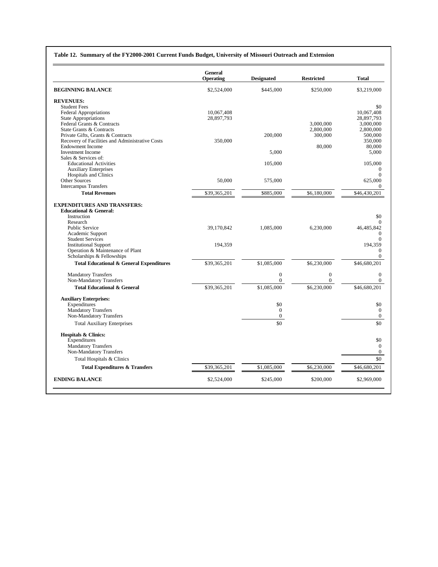#### **Table 12. Summary of the FY2000-2001 Current Funds Budget, University of Missouri Outreach and Extension**

|                                                     | <b>General</b><br>Operating | <b>Designated</b> | <b>Restricted</b> | <b>Total</b>        |
|-----------------------------------------------------|-----------------------------|-------------------|-------------------|---------------------|
| <b>BEGINNING BALANCE</b>                            | \$2,524,000                 | \$445,000         | \$250,000         | \$3,219,000         |
| <b>REVENUES:</b>                                    |                             |                   |                   |                     |
| <b>Student Fees</b>                                 |                             |                   |                   | \$0                 |
| <b>Federal Appropriations</b>                       | 10,067,408                  |                   |                   | 10,067,408          |
| <b>State Appropriations</b>                         | 28,897,793                  |                   |                   | 28,897,793          |
| Federal Grants & Contracts                          |                             |                   | 3.000.000         | 3,000,000           |
| State Grants & Contracts                            |                             |                   | 2,800,000         | 2,800,000           |
| Private Gifts, Grants & Contracts                   |                             | 200,000           | 300,000           | 500,000             |
| Recovery of Facilities and Administrative Costs     | 350,000                     |                   |                   | 350,000             |
| <b>Endowment Income</b>                             |                             |                   | 80,000            | 80,000              |
| <b>Investment</b> Income                            |                             | 5,000             |                   | 5,000               |
| Sales & Services of:                                |                             |                   |                   |                     |
| <b>Educational Activities</b>                       |                             | 105,000           |                   | 105,000             |
| <b>Auxiliary Enterprises</b>                        |                             |                   |                   | 0                   |
| <b>Hospitals and Clinics</b><br>Other Sources       | 50,000                      |                   |                   | 0                   |
| <b>Intercampus Transfers</b>                        |                             | 575,000           |                   | 625,000<br>$\Omega$ |
| <b>Total Revenues</b>                               | \$39,365,201                | \$885,000         | \$6,180,000       | \$46,430,201        |
|                                                     |                             |                   |                   |                     |
| <b>EXPENDITURES AND TRANSFERS:</b>                  |                             |                   |                   |                     |
| <b>Educational &amp; General:</b><br>Instruction    |                             |                   |                   | \$0                 |
| Research                                            |                             |                   |                   | $\overline{0}$      |
| Public Service                                      | 39,170,842                  | 1.085.000         | 6.230,000         | 46.485.842          |
| Academic Support                                    |                             |                   |                   | 0                   |
| <b>Student Services</b>                             |                             |                   |                   | $\theta$            |
| <b>Institutional Support</b>                        | 194,359                     |                   |                   | 194,359             |
| Operation & Maintenance of Plant                    |                             |                   |                   | $\mathbf{0}$        |
| Scholarships & Fellowships                          |                             |                   |                   | $\Omega$            |
| <b>Total Educational &amp; General Expenditures</b> | \$39,365,201                | \$1,085,000       | \$6,230,000       | \$46,680,201        |
| <b>Mandatory Transfers</b>                          |                             | $\overline{0}$    | $\overline{0}$    | $\Omega$            |
| Non-Mandatory Transfers                             |                             | $\overline{0}$    | $\overline{0}$    | $\overline{0}$      |
| <b>Total Educational &amp; General</b>              | \$39,365,201                | \$1,085,000       | \$6,230,000       | \$46,680,201        |
| <b>Auxiliary Enterprises:</b>                       |                             |                   |                   |                     |
| Expenditures                                        |                             | \$0               |                   | \$0                 |
| <b>Mandatory Transfers</b>                          |                             | $\mathbf{0}$      |                   | $\mathbf{0}$        |
| Non-Mandatory Transfers                             |                             | $\boldsymbol{0}$  |                   | 0                   |
| <b>Total Auxiliary Enterprises</b>                  |                             | \$0               |                   | \$0                 |
| <b>Hospitals &amp; Clinics:</b>                     |                             |                   |                   |                     |
| Expenditures                                        |                             |                   |                   | \$0                 |
| <b>Mandatory Transfers</b>                          |                             |                   |                   | $\mathbf{0}$        |
| Non-Mandatory Transfers                             |                             |                   |                   | $\overline{0}$      |
| Total Hospitals & Clinics                           |                             |                   |                   | \$0                 |
| <b>Total Expenditures &amp; Transfers</b>           | \$39,365,201                | \$1,085,000       | \$6,230,000       | \$46,680,201        |
|                                                     |                             |                   |                   |                     |
| <b>ENDING BALANCE</b>                               | \$2,524,000                 | \$245,000         | \$200,000         | \$2,969,000         |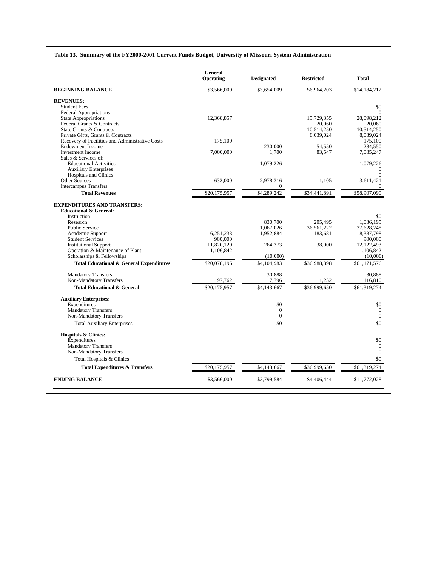#### **Table 13. Summary of the FY2000-2001 Current Funds Budget, University of Missouri System Administration**

|                                                                            | <b>General</b> |                   |                   |                       |
|----------------------------------------------------------------------------|----------------|-------------------|-------------------|-----------------------|
|                                                                            | Operating      | <b>Designated</b> | <b>Restricted</b> | <b>Total</b>          |
| <b>BEGINNING BALANCE</b>                                                   | \$3,566,000    | \$3,654,009       | \$6,964,203       | \$14,184,212          |
| <b>REVENUES:</b>                                                           |                |                   |                   |                       |
| <b>Student Fees</b>                                                        |                |                   |                   | \$0                   |
| <b>Federal Appropriations</b>                                              |                |                   |                   | $\Omega$              |
| <b>State Appropriations</b>                                                | 12.368.857     |                   | 15.729.355        | 28.098.212            |
| Federal Grants & Contracts                                                 |                |                   | 20,060            | 20,060                |
| State Grants & Contracts                                                   |                |                   | 10,514,250        | 10.514.250            |
| Private Gifts, Grants & Contracts                                          | 175,100        |                   | 8,039,024         | 8,039,024<br>175,100  |
| Recovery of Facilities and Administrative Costs<br><b>Endowment Income</b> |                | 230,000           | 54.550            | 284,550               |
| <b>Investment Income</b>                                                   | 7,000,000      | 1.700             | 83,547            | 7,085,247             |
| Sales & Services of:                                                       |                |                   |                   |                       |
| <b>Educational Activities</b>                                              |                | 1,079,226         |                   | 1,079,226             |
| <b>Auxiliary Enterprises</b>                                               |                |                   |                   | $\mathbf{0}$          |
| <b>Hospitals and Clinics</b>                                               |                |                   |                   | $\theta$              |
| Other Sources                                                              | 632,000        | 2,978,316         | 1,105             | 3,611,421             |
| <b>Intercampus Transfers</b>                                               |                | $\mathbf{0}$      |                   | 0                     |
| <b>Total Revenues</b>                                                      | \$20,175,957   | \$4,289,242       | \$34,441,891      | \$58,907,090          |
| <b>EXPENDITURES AND TRANSFERS:</b>                                         |                |                   |                   |                       |
| <b>Educational &amp; General:</b>                                          |                |                   |                   |                       |
| Instruction                                                                |                |                   |                   | \$0                   |
| Research                                                                   |                | 830,700           | 205.495           | 1.036.195             |
| Public Service                                                             |                | 1,067,026         | 36,561,222        | 37,628,248            |
| Academic Support                                                           | 6,251,233      | 1,952,884         | 183,681           | 8,387,798             |
| <b>Student Services</b>                                                    | 900,000        |                   |                   | 900,000               |
| <b>Institutional Support</b>                                               | 11,820,120     | 264,373           | 38,000            | 12,122,493            |
| Operation & Maintenance of Plant                                           | 1,106,842      |                   |                   | 1,106,842             |
| Scholarships & Fellowships                                                 |                | (10,000)          |                   | (10,000)              |
| <b>Total Educational &amp; General Expenditures</b>                        | \$20,078,195   | \$4,104,983       | \$36,988,398      | \$61,171,576          |
| <b>Mandatory Transfers</b>                                                 |                | 30,888            |                   | 30,888                |
| Non-Mandatory Transfers                                                    | 97.762         | 7,796             | 11,252            | 116,810               |
| <b>Total Educational &amp; General</b>                                     | \$20,175,957   | \$4,143,667       | \$36,999,650      | \$61,319,274          |
| <b>Auxiliary Enterprises:</b>                                              |                |                   |                   |                       |
| Expenditures                                                               |                | \$0               |                   | \$0                   |
| <b>Mandatory Transfers</b>                                                 |                | $\mathbf{0}$      |                   | $\overline{0}$        |
| Non-Mandatory Transfers<br><b>Total Auxiliary Enterprises</b>              |                | $\Omega$<br>\$0   |                   | $\overline{0}$<br>\$0 |
|                                                                            |                |                   |                   |                       |
| <b>Hospitals &amp; Clinics:</b>                                            |                |                   |                   |                       |
| Expenditures                                                               |                |                   |                   | \$0                   |
| <b>Mandatory Transfers</b>                                                 |                |                   |                   | $\overline{0}$        |
| Non-Mandatory Transfers                                                    |                |                   |                   | $\overline{0}$        |
| Total Hospitals & Clinics                                                  |                |                   |                   | \$0                   |
| <b>Total Expenditures &amp; Transfers</b>                                  | \$20,175,957   | \$4,143,667       | \$36,999,650      | \$61,319,274          |
| <b>ENDING BALANCE</b>                                                      | \$3,566,000    | \$3,799,584       | \$4,406,444       | \$11,772,028          |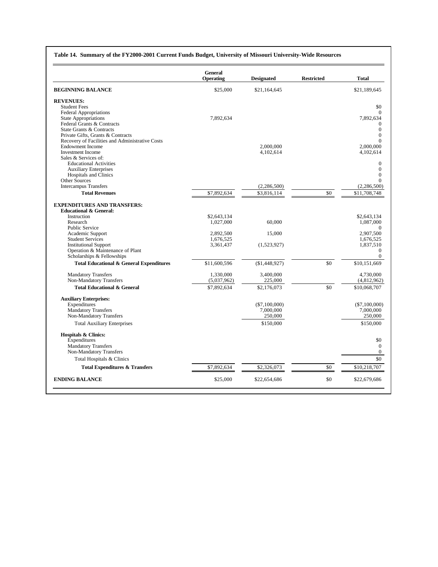| Table 14. Summary of the FY2000-2001 Current Funds Budget, University of Missouri University-Wide Resources |  |  |
|-------------------------------------------------------------------------------------------------------------|--|--|
|                                                                                                             |  |  |

|                                                       | <b>General</b><br>Operating | <b>Designated</b> | <b>Restricted</b> | <b>Total</b>          |
|-------------------------------------------------------|-----------------------------|-------------------|-------------------|-----------------------|
| <b>BEGINNING BALANCE</b>                              | \$25,000                    | \$21,164,645      |                   | \$21,189,645          |
| <b>REVENUES:</b>                                      |                             |                   |                   |                       |
| <b>Student Fees</b>                                   |                             |                   |                   | \$0                   |
| <b>Federal Appropriations</b>                         |                             |                   |                   | $\Omega$              |
| <b>State Appropriations</b>                           | 7,892,634                   |                   |                   | 7,892,634             |
| Federal Grants & Contracts                            |                             |                   |                   | 0                     |
| State Grants & Contracts                              |                             |                   |                   | $\theta$              |
| Private Gifts, Grants & Contracts                     |                             |                   |                   | $\theta$              |
| Recovery of Facilities and Administrative Costs       |                             |                   |                   | $\Omega$              |
| <b>Endowment Income</b>                               |                             | 2.000.000         |                   | 2,000,000             |
| <b>Investment Income</b>                              |                             | 4,102,614         |                   | 4,102,614             |
| Sales & Services of:<br><b>Educational Activities</b> |                             |                   |                   | $\overline{0}$        |
| <b>Auxiliary Enterprises</b>                          |                             |                   |                   | $\overline{0}$        |
| <b>Hospitals and Clinics</b>                          |                             |                   |                   | $\theta$              |
| Other Sources                                         |                             |                   |                   | 0                     |
| <b>Intercampus Transfers</b>                          |                             | (2,286,500)       |                   | (2, 286, 500)         |
| <b>Total Revenues</b>                                 | \$7,892,634                 | \$3,816,114       | \$0               | \$11,708,748          |
|                                                       |                             |                   |                   |                       |
| <b>EXPENDITURES AND TRANSFERS:</b>                    |                             |                   |                   |                       |
| <b>Educational &amp; General:</b>                     |                             |                   |                   |                       |
| Instruction                                           | \$2,643,134                 |                   |                   | \$2,643,134           |
| Research<br><b>Public Service</b>                     | 1,027,000                   | 60.000            |                   | 1,087,000<br>$\Omega$ |
| Academic Support                                      | 2,892,500                   | 15,000            |                   | 2,907,500             |
| <b>Student Services</b>                               | 1,676,525                   |                   |                   | 1,676,525             |
| <b>Institutional Support</b>                          | 3,361,437                   | (1,523,927)       |                   | 1,837,510             |
| Operation & Maintenance of Plant                      |                             |                   |                   | $\mathbf{0}$          |
| Scholarships & Fellowships                            |                             |                   |                   | $\Omega$              |
| <b>Total Educational &amp; General Expenditures</b>   | \$11,600,596                | (\$1,448,927)     | \$0               | \$10,151,669          |
| <b>Mandatory Transfers</b>                            | 1.330.000                   | 3,400,000         |                   | 4,730,000             |
| Non-Mandatory Transfers                               | (5,037,962)                 | 225,000           |                   | (4,812,962)           |
| <b>Total Educational &amp; General</b>                | \$7,892,634                 | \$2,176,073       | \$0               | \$10,068,707          |
| <b>Auxiliary Enterprises:</b>                         |                             |                   |                   |                       |
| Expenditures                                          |                             | $(\$7,100,000)$   |                   | $(\$7,100,000)$       |
| <b>Mandatory Transfers</b>                            |                             | 7,000,000         |                   | 7,000,000             |
| Non-Mandatory Transfers                               |                             | 250,000           |                   | 250,000               |
| <b>Total Auxiliary Enterprises</b>                    |                             | \$150,000         |                   | \$150,000             |
| <b>Hospitals &amp; Clinics:</b>                       |                             |                   |                   |                       |
| Expenditures                                          |                             |                   |                   | \$0                   |
| <b>Mandatory Transfers</b>                            |                             |                   |                   | $\overline{0}$        |
| Non-Mandatory Transfers                               |                             |                   |                   | $\mathbf{0}$          |
| Total Hospitals & Clinics                             |                             |                   |                   | \$0                   |
| <b>Total Expenditures &amp; Transfers</b>             | \$7,892,634                 | \$2,326,073       | \$0               | \$10,218,707          |
| <b>ENDING BALANCE</b>                                 | \$25,000                    | \$22,654,686      | \$0               | \$22,679,686          |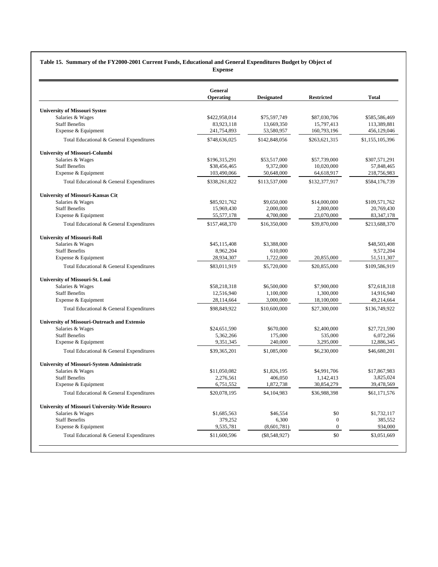#### **Table 15. Summary of the FY2000-2001 Current Funds, Educational and General Expenditures Budget by Object of Expense**

|                                                        | General       |                   |                   |                 |
|--------------------------------------------------------|---------------|-------------------|-------------------|-----------------|
|                                                        | Operating     | <b>Designated</b> | <b>Restricted</b> | Total           |
| <b>University of Missouri Systen</b>                   |               |                   |                   |                 |
| Salaries & Wages                                       | \$422,958,014 | \$75,597,749      | \$87,030,706      | \$585,586,469   |
| <b>Staff Benefits</b>                                  | 83,923,118    | 13,669,350        | 15,797,413        | 113,389,881     |
| Expense & Equipment                                    | 241,754,893   | 53,580,957        | 160,793,196       | 456,129,046     |
| Total Educational & General Expenditures               | \$748,636,025 | \$142,848,056     | \$263,621,315     | \$1,155,105,396 |
| <b>University of Missouri-Columbi</b>                  |               |                   |                   |                 |
| Salaries & Wages                                       | \$196,315,291 | \$53,517,000      | \$57,739,000      | \$307,571,291   |
| <b>Staff Benefits</b>                                  | \$38,456,465  | 9,372,000         | 10,020,000        | 57,848,465      |
| Expense & Equipment                                    | 103,490,066   | 50,648,000        | 64,618,917        | 218,756,983     |
| Total Educational & General Expenditures               | \$338,261,822 | \$113,537,000     | \$132,377,917     | \$584,176,739   |
| University of Missouri-Kansas Cit                      |               |                   |                   |                 |
| Salaries & Wages                                       | \$85,921,762  | \$9,650,000       | \$14,000,000      | \$109,571,762   |
| <b>Staff Benefits</b>                                  | 15,969,430    | 2,000,000         | 2,800,000         | 20,769,430      |
| Expense & Equipment                                    | 55,577,178    | 4,700,000         | 23,070,000        | 83, 347, 178    |
| Total Educational & General Expenditures               | \$157,468,370 | \$16,350,000      | \$39,870,000      | \$213,688,370   |
| <b>University of Missouri-Roll:</b>                    |               |                   |                   |                 |
| Salaries & Wages                                       | \$45,115,408  | \$3,388,000       |                   | \$48,503,408    |
| <b>Staff Benefits</b>                                  | 8,962,204     | 610,000           |                   | 9,572,204       |
| Expense & Equipment                                    | 28,934,307    | 1,722,000         | 20,855,000        | 51,511,307      |
| Total Educational & General Expenditures               | \$83,011,919  | \$5,720,000       | \$20,855,000      | \$109,586,919   |
| University of Missouri-St. Loui                        |               |                   |                   |                 |
| Salaries & Wages                                       | \$58,218,318  | \$6,500,000       | \$7,900,000       | \$72,618,318    |
| <b>Staff Benefits</b>                                  | 12.516.940    | 1,100,000         | 1,300,000         | 14.916.940      |
| Expense & Equipment                                    | 28,114,664    | 3,000,000         | 18,100,000        | 49,214,664      |
| Total Educational & General Expenditures               | \$98,849,922  | \$10,600,000      | \$27,300,000      | \$136,749,922   |
| University of Missouri-Outreach and Extensio           |               |                   |                   |                 |
| Salaries & Wages                                       | \$24,651,590  | \$670,000         | \$2,400,000       | \$27,721,590    |
| <b>Staff Benefits</b>                                  | 5,362,266     | 175,000           | 535,000           | 6,072,266       |
| Expense & Equipment                                    | 9,351,345     | 240,000           | 3,295,000         | 12,886,345      |
| Total Educational & General Expenditures               | \$39,365,201  | \$1,085,000       | \$6,230,000       | \$46,680,201    |
| University of Missouri-System Administratic            |               |                   |                   |                 |
| Salaries & Wages                                       | \$11,050,082  | \$1,826,195       | \$4,991,706       | \$17,867,983    |
| <b>Staff Benefits</b>                                  | 2,276,561     | 406.050           | 1.142.413         | 3.825.024       |
| Expense & Equipment                                    | 6,751,552     | 1,872,738         | 30,854,279        | 39,478,569      |
| Total Educational & General Expenditures               | \$20,078,195  | \$4,104,983       | \$36,988,398      | \$61,171,576    |
| <b>University of Missouri University-Wide Resource</b> |               |                   |                   |                 |
| Salaries & Wages                                       | \$1,685,563   | \$46,554          | \$0               | \$1,732,117     |
| <b>Staff Benefits</b>                                  | 379,252       | 6,300             | $\overline{0}$    | 385.552         |
| Expense & Equipment                                    | 9,535,781     | (8,601,781)       | $\mathbf{0}$      | 934,000         |
| Total Educational & General Expenditures               | \$11,600,596  | $(\$8,548,927)$   | \$0               | \$3,051,669     |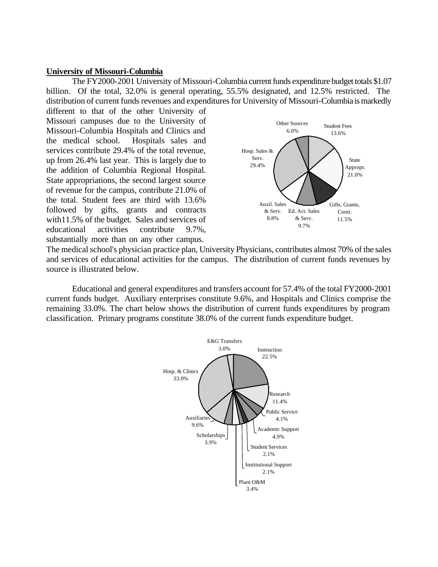### **University of Missouri-Columbia**

The FY2000-2001 University of Missouri-Columbia current funds expenditure budget totals \$1.07 billion. Of the total, 32.0% is general operating, 55.5% designated, and 12.5% restricted. The distribution of current funds revenues and expenditures for University of Missouri-Columbia is markedly

up from 26.4% last year. This is largely due to  $\frac{\text{Serv.}}{29.4\%}$ <br>the addition of Columbia Regional Hospital. different to that of the other University of Missouri campuses due to the University of Missouri-Columbia Hospitals and Clinics and the medical school. Hospitals sales and services contribute 29.4% of the total revenue,<br>up from 26.4% lest year. This is largely due to serve up from 26.4% last year. This is largely due to State appropriations, the second largest source of revenue for the campus, contribute 21.0% of the total. Student fees are third with 13.6% followed by gifts, grants and contracts  $\&$  Serv. Ed. Act. Sales with 11.5% of the budget. Sales and services of  $\frac{8.8\%}{9.7\%}$   $\frac{8.8\%}{9.7\%}$ educational activities contribute  $9.7\%$ ,  $9.7\%$ substantially more than on any other campus.



The medical school's physician practice plan, University Physicians, contributes almost 70% of the sales and services of educational activities for the campus. The distribution of current funds revenues by source is illustrated below.

Educational and general expenditures and transfers account for 57.4% of the total FY2000-2001 current funds budget. Auxiliary enterprises constitute 9.6%, and Hospitals and Clinics comprise the remaining 33.0%. The chart below shows the distribution of current funds expenditures by program classification. Primary programs constitute 38.0% of the current funds expenditure budget.

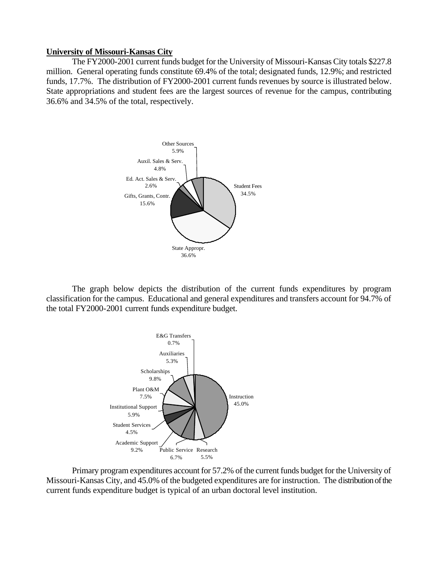#### **University of Missouri-Kansas City**

The FY2000-2001 current funds budget for the University of Missouri-Kansas City totals \$227.8 million. General operating funds constitute 69.4% of the total; designated funds, 12.9%; and restricted funds, 17.7%. The distribution of FY2000-2001 current funds revenues by source is illustrated below. State appropriations and student fees are the largest sources of revenue for the campus, contributing 36.6% and 34.5% of the total, respectively.



The graph below depicts the distribution of the current funds expenditures by program classification for the campus. Educational and general expenditures and transfers account for 94.7% of the total FY2000-2001 current funds expenditure budget.



Primary program expenditures account for 57.2% of the current funds budget for the University of Missouri-Kansas City, and 45.0% of the budgeted expenditures are for instruction. The distribution of the current funds expenditure budget is typical of an urban doctoral level institution.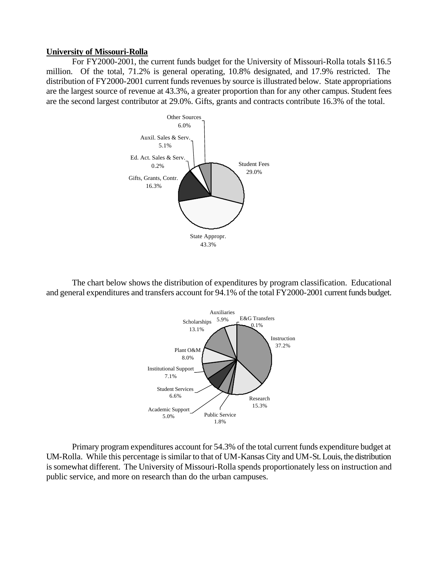### **University of Missouri-Rolla**

For FY2000-2001, the current funds budget for the University of Missouri-Rolla totals \$116.5 million. Of the total, 71.2% is general operating, 10.8% designated, and 17.9% restricted. The distribution of FY2000-2001 current funds revenues by source is illustrated below. State appropriations are the largest source of revenue at 43.3%, a greater proportion than for any other campus. Student fees are the second largest contributor at 29.0%. Gifts, grants and contracts contribute 16.3% of the total.



The chart below shows the distribution of expenditures by program classification. Educational and general expenditures and transfers account for 94.1% of the total FY2000-2001 current funds budget.



Primary program expenditures account for 54.3% of the total current funds expenditure budget at UM-Rolla. While this percentage is similar to that of UM-Kansas City and UM-St. Louis, the distribution is somewhat different. The University of Missouri-Rolla spends proportionately less on instruction and public service, and more on research than do the urban campuses.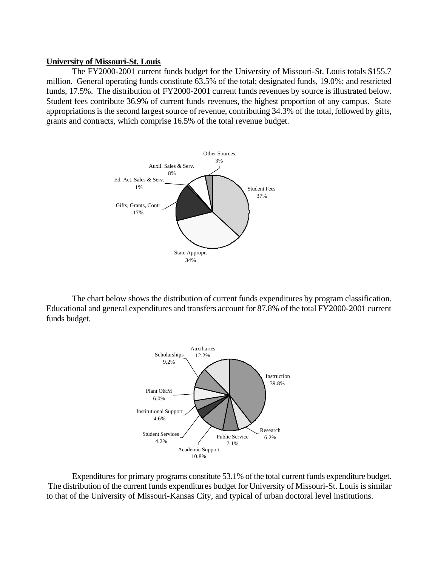#### **University of Missouri-St. Louis**

The FY2000-2001 current funds budget for the University of Missouri-St. Louis totals \$155.7 million. General operating funds constitute 63.5% of the total; designated funds, 19.0%; and restricted funds, 17.5%. The distribution of FY2000-2001 current funds revenues by source is illustrated below. Student fees contribute 36.9% of current funds revenues, the highest proportion of any campus. State appropriations is the second largest source of revenue, contributing 34.3% of the total, followed by gifts, grants and contracts, which comprise 16.5% of the total revenue budget.



The chart below shows the distribution of current funds expenditures by program classification. Educational and general expenditures and transfers account for 87.8% of the total FY2000-2001 current funds budget.



Expenditures for primary programs constitute 53.1% of the total current funds expenditure budget. The distribution of the current funds expenditures budget for University of Missouri-St. Louis is similar to that of the University of Missouri-Kansas City, and typical of urban doctoral level institutions.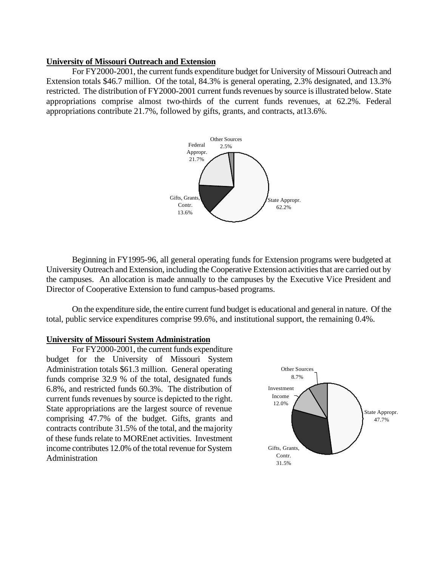#### **University of Missouri Outreach and Extension**

For FY2000-2001, the current funds expenditure budget for University of Missouri Outreach and Extension totals \$46.7 million. Of the total, 84.3% is general operating, 2.3% designated, and 13.3% restricted. The distribution of FY2000-2001 current funds revenues by source is illustrated below. State appropriations comprise almost two-thirds of the current funds revenues, at 62.2%. Federal appropriations contribute 21.7%, followed by gifts, grants, and contracts, at13.6%.



Beginning in FY1995-96, all general operating funds for Extension programs were budgeted at University Outreach and Extension, including the Cooperative Extension activities that are carried out by the campuses. An allocation is made annually to the campuses by the Executive Vice President and Director of Cooperative Extension to fund campus-based programs.

On the expenditure side, the entire current fund budget is educational and general in nature. Of the total, public service expenditures comprise 99.6%, and institutional support, the remaining 0.4%.

### **University of Missouri System Administration**

For FY2000-2001, the current funds expenditure budget for the University of Missouri System Administration totals \$61.3 million. General operating funds comprise 32.9 % of the total, designated funds 6.8%, and restricted funds 60.3%. The distribution of Investment current funds revenues by source is depicted to the right.  $\frac{\text{Income}}{12.0\%}$ State appropriations are the largest source of revenue comprising 47.7% of the budget. Gifts, grants and contracts contribute 31.5% of the total, and the majority of these funds relate to MOREnet activities. Investment income contributes 12.0% of the total revenue for System Gifts, Grants, **Administration** 

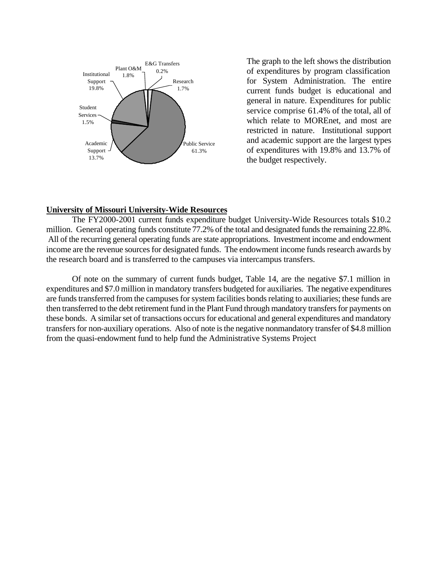

The graph to the left shows the distribution of expenditures by program classification for System Administration. The entire current funds budget is educational and general in nature. Expenditures for public service comprise 61.4% of the total, all of which relate to MOREnet, and most are restricted in nature. Institutional support and academic support are the largest types of expenditures with 19.8% and 13.7% of the budget respectively.

#### **University of Missouri University-Wide Resources**

The FY2000-2001 current funds expenditure budget University-Wide Resources totals \$10.2 million. General operating funds constitute 77.2% of the total and designated funds the remaining 22.8%. All of the recurring general operating funds are state appropriations. Investment income and endowment income are the revenue sources for designated funds. The endowment income funds research awards by the research board and is transferred to the campuses via intercampus transfers.

Of note on the summary of current funds budget, Table 14, are the negative \$7.1 million in expenditures and \$7.0 million in mandatory transfers budgeted for auxiliaries. The negative expenditures are funds transferred from the campuses for system facilities bonds relating to auxiliaries; these funds are then transferred to the debt retirement fund in the Plant Fund through mandatory transfers for payments on these bonds. A similar set of transactions occurs for educational and general expenditures and mandatory transfers for non-auxiliary operations. Also of note is the negative nonmandatory transfer of \$4.8 million from the quasi-endowment fund to help fund the Administrative Systems Project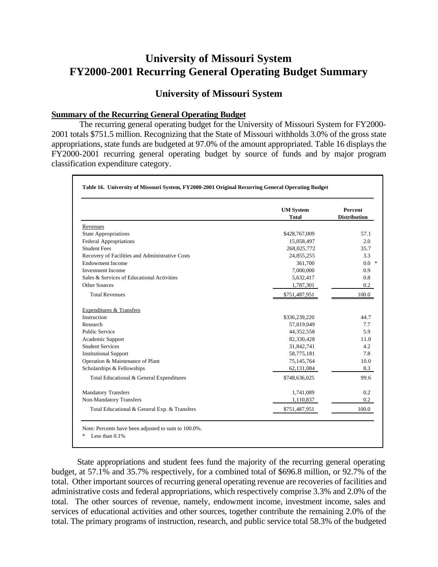# **University of Missouri System FY2000-2001 Recurring General Operating Budget Summary**

# **University of Missouri System**

### **Summary of the Recurring General Operating Budget**

 The recurring general operating budget for the University of Missouri System for FY2000 2001 totals \$751.5 million. Recognizing that the State of Missouri withholds 3.0% of the gross state appropriations, state funds are budgeted at 97.0% of the amount appropriated. Table 16 displays the FY2000-2001 recurring general operating budget by source of funds and by major program classification expenditure category.

|                                                 | <b>UM System</b><br><b>Total</b> | Percent<br><b>Distribution</b> |
|-------------------------------------------------|----------------------------------|--------------------------------|
| Revenues                                        |                                  |                                |
| <b>State Appropriations</b>                     | \$428,767,009                    | 57.1                           |
| Federal Appropriations                          | 15,058,497                       | 2.0                            |
| <b>Student Fees</b>                             | 268,025,772                      | 35.7                           |
| Recovery of Facilities and Administrative Costs | 24,855,255                       | 3.3                            |
| <b>Endowment Income</b>                         | 361,700                          | $0.0*$                         |
| <b>Investment Income</b>                        | 7,000,000                        | 0.9                            |
| Sales & Services of Educational Activities      | 5,632,417                        | 0.8                            |
| Other Sources                                   | 1,787,301                        | 0.2                            |
| <b>Total Revenues</b>                           | \$751,487,951                    | 100.0                          |
| <b>Expenditures &amp; Transfers</b>             |                                  |                                |
| Instruction                                     | \$336,239,220                    | 44.7                           |
| Research                                        | 57,819,049                       | 7.7                            |
| <b>Public Service</b>                           | 44,352,558                       | 5.9                            |
| Academic Support                                | 82,330,428                       | 11.0                           |
| <b>Student Services</b>                         | 31,842,741                       | 4.2                            |
| <b>Institutional Support</b>                    | 58,775,181                       | 7.8                            |
| Operation & Maintenance of Plant                | 75,145,764                       | 10.0                           |
| Scholarships & Fellowships                      | 62,131,084                       | 8.3                            |
| Total Educational & General Expenditures        | \$748,636,025                    | 99.6                           |
| <b>Mandatory Transfers</b>                      | 1,741,089                        | 0.2                            |
| Non-Mandatory Transfers                         | 1,110,837                        | 0.2                            |
| Total Educational & General Exp. & Transfers    | \$751,487,951                    | 100.0                          |

State appropriations and student fees fund the majority of the recurring general operating budget, at 57.1% and 35.7% respectively, for a combined total of \$696.8 million, or 92.7% of the total. Other important sources of recurring general operating revenue are recoveries of facilities and administrative costs and federal appropriations, which respectively comprise 3.3% and 2.0% of the total. The other sources of revenue, namely, endowment income, investment income, sales and services of educational activities and other sources, together contribute the remaining 2.0% of the total. The primary programs of instruction, research, and public service total 58.3% of the budgeted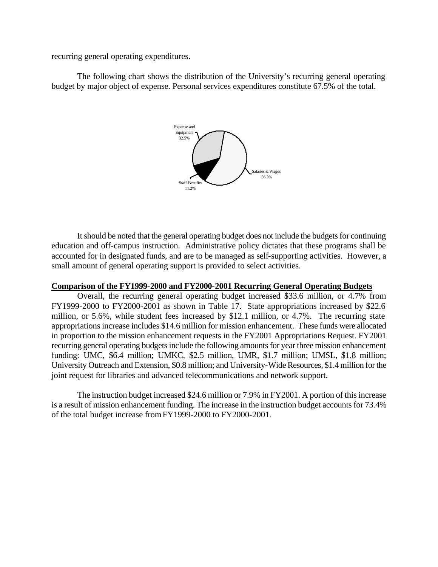recurring general operating expenditures.

The following chart shows the distribution of the University's recurring general operating budget by major object of expense. Personal services expenditures constitute 67.5% of the total.



It should be noted that the general operating budget does not include the budgets for continuing education and off-campus instruction. Administrative policy dictates that these programs shall be accounted for in designated funds, and are to be managed as self-supporting activities. However, a small amount of general operating support is provided to select activities.

#### **Comparison of the FY1999-2000 and FY2000-2001 Recurring General Operating Budgets**

Overall, the recurring general operating budget increased \$33.6 million, or 4.7% from FY1999-2000 to FY2000-2001 as shown in Table 17. State appropriations increased by \$22.6 million, or 5.6%, while student fees increased by \$12.1 million, or 4.7%. The recurring state appropriations increase includes \$14.6 million for mission enhancement. These funds were allocated in proportion to the mission enhancement requests in the FY2001 Appropriations Request. FY2001 recurring general operating budgets include the following amounts for year three mission enhancement funding: UMC, \$6.4 million; UMKC, \$2.5 million, UMR, \$1.7 million; UMSL, \$1.8 million; University Outreach and Extension, \$0.8 million; and University-Wide Resources, \$1.4 million for the joint request for libraries and advanced telecommunications and network support.

The instruction budget increased \$24.6 million or 7.9% in FY2001. A portion of this increase is a result of mission enhancement funding. The increase in the instruction budget accounts for 73.4% of the total budget increase from FY1999-2000 to FY2000-2001.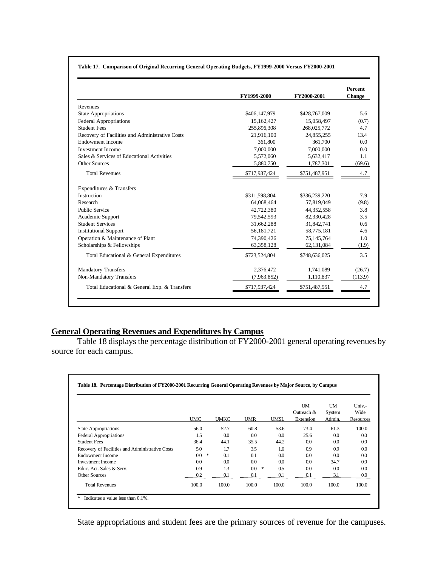|  |  | Table 17. Comparison of Original Recurring General Operating Budgets, FY1999-2000 Versus FY2000-2001 |
|--|--|------------------------------------------------------------------------------------------------------|

|                                                 | FY1999-2000   | FY2000-2001   | Percent<br><b>Change</b> |
|-------------------------------------------------|---------------|---------------|--------------------------|
| Revenues                                        |               |               |                          |
| <b>State Appropriations</b>                     | \$406,147,979 | \$428,767,009 | 5.6                      |
| <b>Federal Appropriations</b>                   | 15,162,427    | 15,058,497    | (0.7)                    |
| <b>Student Fees</b>                             | 255,896,308   | 268,025,772   | 4.7                      |
| Recovery of Facilities and Administrative Costs | 21,916,100    | 24,855,255    | 13.4                     |
| <b>Endowment Income</b>                         | 361,800       | 361,700       | 0.0                      |
| <b>Investment Income</b>                        | 7,000,000     | 7,000,000     | 0.0                      |
| Sales & Services of Educational Activities      | 5,572,060     | 5,632,417     | 1.1                      |
| Other Sources                                   | 5,880,750     | 1,787,301     | (69.6)                   |
| <b>Total Revenues</b>                           | \$717,937,424 | \$751,487,951 | 4.7                      |
| Expenditures & Transfers                        |               |               |                          |
| Instruction                                     | \$311,598,804 | \$336,239,220 | 7.9                      |
| Research                                        | 64,068,464    | 57,819,049    | (9.8)                    |
| <b>Public Service</b>                           | 42,722,380    | 44,352,558    | 3.8                      |
| Academic Support                                | 79,542,593    | 82,330,428    | 3.5                      |
| <b>Student Services</b>                         | 31.662.288    | 31,842,741    | 0.6                      |
| <b>Institutional Support</b>                    | 56, 181, 721  | 58,775,181    | 4.6                      |
| Operation & Maintenance of Plant                | 74,390,426    | 75,145,764    | 1.0                      |
| Scholarships & Fellowships                      | 63,358,128    | 62,131,084    | (1.9)                    |
| Total Educational & General Expenditures        | \$723,524,804 | \$748,636,025 | 3.5                      |
| <b>Mandatory Transfers</b>                      | 2,376,472     | 1,741,089     | (26.7)                   |
| Non-Mandatory Transfers                         | (7,963,852)   | 1,110,837     | (113.9)                  |
| Total Educational & General Exp. & Transfers    | \$717,937,424 | \$751,487,951 |                          |

### **General Operating Revenues and Expenditures by Campus**

Table 18 displays the percentage distribution of FY2000-2001 general operating revenues by source for each campus.

|                                                 | <b>UMC</b>   | <b>UMKC</b> | <b>UMR</b> | <b>UMSL</b> | UM<br>Outreach &<br>Extension | UM<br>System<br>Admin. | $Univ -$<br>Wide<br>Resources |
|-------------------------------------------------|--------------|-------------|------------|-------------|-------------------------------|------------------------|-------------------------------|
| <b>State Appropriations</b>                     | 56.0         | 52.7        | 60.8       | 53.6        | 73.4                          | 61.3                   | 100.0                         |
| <b>Federal Appropriations</b>                   | 1.5          | 0.0         | 0.0        | $0.0\,$     | 25.6                          | $0.0\,$                | 0.0                           |
| <b>Student Fees</b>                             | 36.4         | 44.1        | 35.5       | 44.2        | $0.0\,$                       | 0.0                    | 0.0                           |
| Recovery of Facilities and Administrative Costs | 5.0          | 1.7         | 3.5        | 1.6         | 0.9                           | 0.9                    | 0.0                           |
| <b>Endowment Income</b>                         | *<br>$0.0\,$ | 0.1         | 0.1        | 0.0         | 0.0                           | 0.0                    | 0.0                           |
| <b>Investment Income</b>                        | 0.0          | 0.0         | 0.0        | 0.0         | $0.0\,$                       | 34.7                   | 0.0                           |
| Educ. Act. Sales & Serv.                        | 0.9          | 1.3         | *<br>0.0   | 0.5         | $0.0\,$                       | 0.0                    | 0.0                           |
| <b>Other Sources</b>                            | 0.2          | 0.1         | 0.1        | 0.1         | 0.1                           | 3.1                    | $0.0\,$                       |
| <b>Total Revenues</b>                           | 100.0        | 100.0       | 100.0      | 100.0       | 100.0                         | 100.0                  | 100.0                         |

State appropriations and student fees are the primary sources of revenue for the campuses.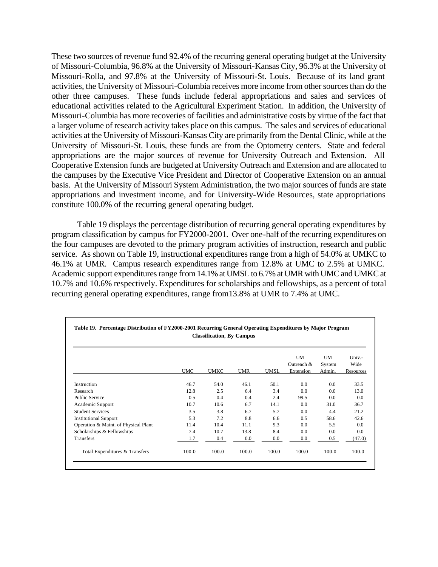These two sources of revenue fund 92.4% of the recurring general operating budget at the University of Missouri-Columbia, 96.8% at the University of Missouri-Kansas City, 96.3% at the University of Missouri-Rolla, and 97.8% at the University of Missouri-St. Louis. Because of its land grant activities, the University of Missouri-Columbia receives more income from other sources than do the other three campuses. These funds include federal appropriations and sales and services of educational activities related to the Agricultural Experiment Station. In addition, the University of Missouri-Columbia has more recoveries of facilities and administrative costs by virtue of the fact that a larger volume of research activity takes place on this campus. The sales and services of educational activities at the University of Missouri-Kansas City are primarily from the Dental Clinic, while at the University of Missouri-St. Louis, these funds are from the Optometry centers. State and federal appropriations are the major sources of revenue for University Outreach and Extension. All Cooperative Extension funds are budgeted at University Outreach and Extension and are allocated to the campuses by the Executive Vice President and Director of Cooperative Extension on an annual basis. At the University of Missouri System Administration, the two major sources of funds are state appropriations and investment income, and for University-Wide Resources, state appropriations constitute 100.0% of the recurring general operating budget.

Table 19 displays the percentage distribution of recurring general operating expenditures by program classification by campus for FY2000-2001. Over one-half of the recurring expenditures on the four campuses are devoted to the primary program activities of instruction, research and public service. As shown on Table 19, instructional expenditures range from a high of 54.0% at UMKC to 46.1% at UMR. Campus research expenditures range from 12.8% at UMC to 2.5% at UMKC. Academic support expenditures range from 14.1% at UMSL to 6.7% at UMR with UMC and UMKC at 10.7% and 10.6% respectively. Expenditures for scholarships and fellowships, as a percent of total recurring general operating expenditures, range from13.8% at UMR to 7.4% at UMC.

|                                      | <b>UMC</b> | <b>UMKC</b> | <b>UMR</b> | UMSL    | UM<br>Outreach &<br>Extension | <b>UM</b><br>System<br>Admin. | $Univ. -$<br>Wide<br>Resources |
|--------------------------------------|------------|-------------|------------|---------|-------------------------------|-------------------------------|--------------------------------|
| Instruction                          | 46.7       | 54.0        | 46.1       | 50.1    | 0.0                           | 0.0                           | 33.5                           |
| Research                             | 12.8       | 2.5         | 6.4        | 3.4     | 0.0                           | 0.0                           | 13.0                           |
| <b>Public Service</b>                | 0.5        | 0.4         | 0.4        | 2.4     | 99.5                          | 0.0                           | 0.0                            |
| Academic Support                     | 10.7       | 10.6        | 6.7        | 14.1    | 0.0                           | 31.0                          | 36.7                           |
| <b>Student Services</b>              | 3.5        | 3.8         | 6.7        | 5.7     | 0.0                           | 4.4                           | 21.2                           |
| <b>Institutional Support</b>         | 5.3        | 7.2         | 8.8        | 6.6     | 0.5                           | 58.6                          | 42.6                           |
| Operation & Maint. of Physical Plant | 11.4       | 10.4        | 11.1       | 9.3     | 0.0                           | 5.5                           | 0.0                            |
| Scholarships & Fellowships           | 7.4        | 10.7        | 13.8       | 8.4     | 0.0                           | 0.0                           | 0.0                            |
| Transfers                            | 1.7        | 0.4         | 0.0        | $0.0\,$ | $0.0\,$                       | 0.5                           | (47.0)                         |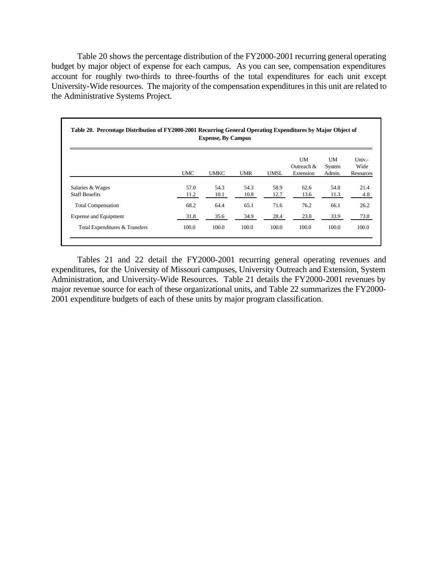Table 20 shows the percentage distribution of the FY2000-2001 recurring general operating budget by major object of expense for each campus. As you can see, compensation expenditures account for roughly two-thirds to three-fourths of the total expenditures for each unit except University-Wide resources. The majority of the compensation expenditures in this unit are related to the Administrative Systems Project.

|                                           | <b>Expense, By Campus</b> |              |              |              |                               |                               |                               |  |  |
|-------------------------------------------|---------------------------|--------------|--------------|--------------|-------------------------------|-------------------------------|-------------------------------|--|--|
|                                           | <b>UMC</b>                | <b>UMKC</b>  | <b>UMR</b>   | UMSL         | UM<br>Outreach &<br>Extension | <b>UM</b><br>System<br>Admin. | $Univ -$<br>Wide<br>Resources |  |  |
| Salaries & Wages<br><b>Staff Benefits</b> | 57.0<br>11.2              | 54.3<br>10.1 | 54.3<br>10.8 | 58.9<br>12.7 | 62.6<br>13.6                  | 54.8<br>11.3                  | 21.4<br>4.8                   |  |  |
| <b>Total Compensation</b>                 | 68.2                      | 64.4         | 65.1         | 71.6         | 76.2                          | 66.1                          | 26.2                          |  |  |
| <b>Expense and Equipment</b>              | 31.8                      | 35.6         | 34.9         | 28.4         | 23.8                          | 33.9                          | 73.8                          |  |  |
| Total Expenditures & Transfers            | 100.0                     | 100.0        | 100.0        | 100.0        | 100.0                         | 100.0                         | 100.0                         |  |  |

Tables 21 and 22 detail the FY2000-2001 recurring general operating revenues and expenditures, for the University of Missouri campuses, University Outreach and Extension, System Administration, and University-Wide Resources. Table 21 details the FY2000-2001 revenues by major revenue source for each of these organizational units, and Table 22 summarizes the FY2000 2001 expenditure budgets of each of these units by major program classification.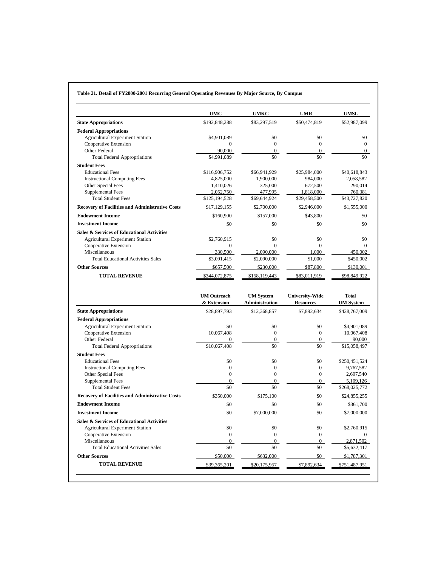|                                                                                                                                                                                                | UMC                          | UMKC                               | <b>UMR</b>                         | <b>UMSL</b>                                                              |
|------------------------------------------------------------------------------------------------------------------------------------------------------------------------------------------------|------------------------------|------------------------------------|------------------------------------|--------------------------------------------------------------------------|
| <b>State Appropriations</b>                                                                                                                                                                    | \$192,848,288                | \$83,297,519                       | \$50,474,819                       | \$52,987,099                                                             |
| <b>Federal Appropriations</b>                                                                                                                                                                  |                              |                                    |                                    |                                                                          |
| <b>Agricultural Experiment Station</b>                                                                                                                                                         | \$4,901,089                  | \$0                                | \$0                                | \$0                                                                      |
| Cooperative Extension                                                                                                                                                                          | $\boldsymbol{0}$             | $\boldsymbol{0}$                   | $\boldsymbol{0}$                   | $\mathbf{0}$                                                             |
| Other Federal<br><b>Total Federal Appropriations</b>                                                                                                                                           | 90,000<br>\$4,991,089        | $\boldsymbol{0}$<br>\$0            | $\boldsymbol{0}$<br>\$0            | $\mathbf{0}$<br>\$0                                                      |
| <b>Student Fees</b>                                                                                                                                                                            |                              |                                    |                                    |                                                                          |
| <b>Educational Fees</b>                                                                                                                                                                        | \$116,906,752                | \$66,941,929                       | \$25,984,000                       | \$40,618,843                                                             |
| <b>Instructional Computing Fees</b>                                                                                                                                                            | 4,825,000                    | 1,900,000                          | 984,000                            | 2,058,582                                                                |
| Other Special Fees                                                                                                                                                                             | 1,410,026                    | 325,000                            | 672,500                            | 290,014                                                                  |
| Supplemental Fees                                                                                                                                                                              | 2,052,750                    | 477,995                            | 1,818,000                          | 760,381                                                                  |
| <b>Total Student Fees</b>                                                                                                                                                                      | \$125,194,528                | \$69,644,924                       | \$29,458,500                       | \$43,727,820                                                             |
| <b>Recovery of Facilities and Administrative Costs</b>                                                                                                                                         | \$17,129,155                 | \$2,700,000                        | \$2,946,000                        | \$1,555,000                                                              |
| <b>Endowment Income</b>                                                                                                                                                                        | \$160,900                    | \$157,000                          | \$43,800                           | \$0                                                                      |
| <b>Investment Income</b>                                                                                                                                                                       | \$0                          | \$0                                | \$0                                | \$0                                                                      |
| Sales & Services of Educational Activities                                                                                                                                                     |                              |                                    |                                    |                                                                          |
| <b>Agricultural Experiment Station</b>                                                                                                                                                         | \$2,760,915                  | \$0                                | \$0                                | \$0                                                                      |
| Cooperative Extension                                                                                                                                                                          | $\mathbf{0}$                 | $\mathbf{0}$                       | $\mathbf{0}$                       | $\theta$                                                                 |
| Miscellaneous                                                                                                                                                                                  | 330,500                      | 2,090,000                          | 1.000                              | 450,002                                                                  |
| <b>Total Educational Activities Sales</b>                                                                                                                                                      | \$3,091,415                  | \$2,090,000                        | \$1,000                            | \$450,002                                                                |
| <b>Other Sources</b>                                                                                                                                                                           | \$657,500                    | \$230,000                          | \$87,800                           | \$130,001                                                                |
| <b>TOTAL REVENUE</b>                                                                                                                                                                           | \$344,072,875                | \$158,119,443                      | \$83,011,919                       | \$98,849,922                                                             |
|                                                                                                                                                                                                | <b>UM Outreach</b>           | <b>UM System</b>                   | <b>University-Wide</b>             | <b>Total</b>                                                             |
|                                                                                                                                                                                                | & Extension                  | Administration                     | <b>Resources</b>                   | <b>UM</b> System                                                         |
| <b>State Appropriations</b>                                                                                                                                                                    | \$28,897,793                 | \$12,368,857                       | \$7,892,634                        | \$428,767,009                                                            |
| <b>Federal Appropriations</b>                                                                                                                                                                  |                              |                                    |                                    |                                                                          |
| <b>Agricultural Experiment Station</b>                                                                                                                                                         | \$0                          | \$0                                | \$0                                | \$4,901,089                                                              |
| Cooperative Extension                                                                                                                                                                          | 10,067,408                   | $\boldsymbol{0}$                   | $\boldsymbol{0}$                   | 10,067,408                                                               |
| Other Federal                                                                                                                                                                                  | $\mathbf{0}$                 | $\mathbf{0}$                       | $\mathbf{0}$                       | 90,000                                                                   |
| <b>Total Federal Appropriations</b>                                                                                                                                                            | \$10,067,408                 | \$0                                | \$0                                | \$15,058,497                                                             |
| <b>Student Fees</b>                                                                                                                                                                            |                              |                                    |                                    |                                                                          |
| <b>Educational Fees</b><br><b>Instructional Computing Fees</b>                                                                                                                                 | \$0                          | \$0<br>$\boldsymbol{0}$            | \$0<br>$\boldsymbol{0}$            | \$250,451,524<br>9,767,582                                               |
|                                                                                                                                                                                                |                              |                                    |                                    | 2,697,540                                                                |
|                                                                                                                                                                                                | $\boldsymbol{0}$             |                                    |                                    |                                                                          |
| Other Special Fees                                                                                                                                                                             | $\boldsymbol{0}$             | $\boldsymbol{0}$                   | $\boldsymbol{0}$                   |                                                                          |
| Supplemental Fees<br><b>Total Student Fees</b>                                                                                                                                                 | $\overline{0}$               | $\mathbf{0}$                       | $\overline{0}$                     |                                                                          |
|                                                                                                                                                                                                | \$0<br>\$350,000             | \$0<br>\$175,100                   | \$0<br>\$0                         |                                                                          |
|                                                                                                                                                                                                |                              |                                    |                                    | 5.109.126<br>\$268,025,772<br>\$24,855,255                               |
|                                                                                                                                                                                                | \$0                          | \$0                                | \$0                                | \$361,700                                                                |
|                                                                                                                                                                                                | \$0                          | \$7,000,000                        | \$0                                | \$7,000,000                                                              |
|                                                                                                                                                                                                |                              |                                    |                                    |                                                                          |
| <b>Agricultural Experiment Station</b>                                                                                                                                                         | \$0                          | \$0                                | \$0                                |                                                                          |
| Cooperative Extension<br>Miscellaneous                                                                                                                                                         | $\bf{0}$<br>$\boldsymbol{0}$ | $\boldsymbol{0}$<br>$\overline{0}$ | $\boldsymbol{0}$<br>$\overline{0}$ |                                                                          |
| <b>Total Educational Activities Sales</b>                                                                                                                                                      | \$0                          | \$0                                | \$0                                |                                                                          |
| <b>Recovery of Facilities and Administrative Costs</b><br><b>Endowment Income</b><br><b>Investment Income</b><br><b>Sales &amp; Services of Educational Activities</b><br><b>Other Sources</b> | \$50,000                     | \$632,000                          | \$0                                | \$2,760,915<br>$\overline{0}$<br>2,871,502<br>\$5,632,417<br>\$1,787,301 |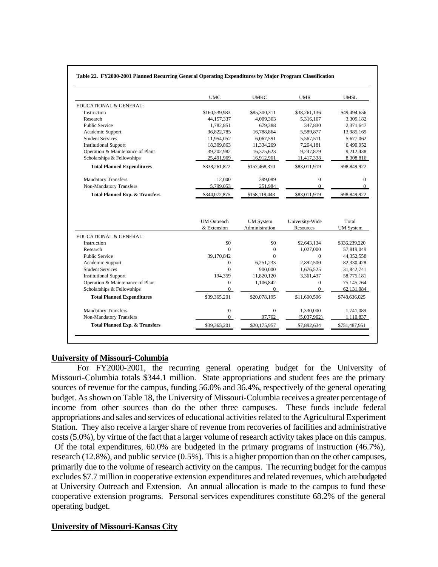#### **Table 22. FY2000-2001 Planned Recurring General Operating Expenditures by Major Program Classification**

|                                           | <b>UMC</b>         | <b>UMKC</b>                        | <b>UMR</b>                   | <b>UMSL</b>                                                                                       |
|-------------------------------------------|--------------------|------------------------------------|------------------------------|---------------------------------------------------------------------------------------------------|
| EDUCATIONAL & GENERAL:                    |                    |                                    |                              |                                                                                                   |
| Instruction                               | \$160,539,983      | \$85,300,311                       | \$38,261,136                 | \$49,494,656                                                                                      |
| Research                                  | 44, 157, 337       | 4,009,363                          | 5.316.167                    | 3,309,182                                                                                         |
| <b>Public Service</b>                     | 1,782,851          | 679,388                            | 347,830                      | 2,371,647                                                                                         |
| Academic Support                          | 36,822,785         | 16,788,864                         | 5,589,877                    | 13,985,169                                                                                        |
| <b>Student Services</b>                   | 11.954.052         | 6.067.591                          | 5,567,511                    | 5,677,062                                                                                         |
| <b>Institutional Support</b>              | 18,309,863         | 11,334,269                         | 7,264,181                    | 6,490,952                                                                                         |
| Operation & Maintenance of Plant          | 39,202,982         | 16,375,623                         | 9,247,879                    | 9,212,438                                                                                         |
| Scholarships & Fellowships                | 25,491,969         | 16,912,961                         | 11,417,338                   | 8,308,816                                                                                         |
| <b>Total Planned Expenditures</b>         | \$338,261,822      | \$157,468,370                      | \$83,011,919                 | \$98,849,922                                                                                      |
| <b>Mandatory Transfers</b>                | 12,000             | 399,089                            | $\mathbf{0}$                 | $\mathbf{0}$                                                                                      |
| Non-Mandatory Transfers                   | 5,799,053          | 251.984                            | $\Omega$                     | $\Omega$                                                                                          |
| <b>Total Planned Exp. &amp; Transfers</b> | \$344,072,875      | \$158,119,443                      | \$83,011,919                 | \$98,849,922                                                                                      |
|                                           | <b>UM</b> Outreach |                                    |                              | Total                                                                                             |
|                                           | & Extension        | <b>UM</b> System<br>Administration | University-Wide<br>Resources | <b>UM</b> System                                                                                  |
| EDUCATIONAL & GENERAL:                    |                    |                                    |                              |                                                                                                   |
| Instruction                               | \$0                | \$0                                | \$2,643,134                  |                                                                                                   |
| Research                                  | $\Omega$           | $\overline{0}$                     | 1,027,000                    |                                                                                                   |
| <b>Public Service</b>                     | 39,170,842         | $\Omega$                           | $\Omega$                     |                                                                                                   |
| Academic Support                          | $\Omega$           | 6,251,233                          | 2,892,500                    |                                                                                                   |
| <b>Student Services</b>                   | $\Omega$           | 900,000                            | 1,676,525                    |                                                                                                   |
| <b>Institutional Support</b>              | 194,359            | 11,820,120                         | 3,361,437                    |                                                                                                   |
| Operation & Maintenance of Plant          | $\mathbf{0}$       | 1,106,842                          | $\mathbf{0}$                 | \$336,239,220<br>57,819,049<br>44,352,558<br>82,330,428<br>31,842,741<br>58,775,181<br>75,145,764 |
| Scholarships & Fellowships                | $\Omega$           | $\Omega$                           | $\Omega$                     |                                                                                                   |
| <b>Total Planned Expenditures</b>         | \$39,365,201       | \$20,078,195                       | \$11,600,596                 |                                                                                                   |
| <b>Mandatory Transfers</b>                | $\boldsymbol{0}$   | $\mathbf{0}$                       | 1,330,000                    |                                                                                                   |
| Non-Mandatory Transfers                   | $\Omega$           | 97,762                             | (5,037,962)                  | 62,131,084<br>\$748,636,025<br>1,741,089<br>1,110,837                                             |

#### **University of Missouri-Columbia**

For FY2000-2001, the recurring general operating budget for the University of Missouri-Columbia totals \$344.1 million. State appropriations and student fees are the primary sources of revenue for the campus, funding 56.0% and 36.4%, respectively of the general operating budget. As shown on Table 18, the University of Missouri-Columbia receives a greater percentage of income from other sources than do the other three campuses. These funds include federal appropriations and sales and services of educational activities related to the Agricultural Experiment Station. They also receive a larger share of revenue from recoveries of facilities and administrative costs (5.0%), by virtue of the fact that a larger volume of research activity takes place on this campus. Of the total expenditures, 60.0% are budgeted in the primary programs of instruction (46.7%), research (12.8%), and public service (0.5%). This is a higher proportion than on the other campuses, primarily due to the volume of research activity on the campus. The recurring budget for the campus excludes \$7.7 million in cooperative extension expenditures and related revenues, which are budgeted at University Outreach and Extension. An annual allocation is made to the campus to fund these cooperative extension programs. Personal services expenditures constitute 68.2% of the general operating budget.

#### **University of Missouri-Kansas City**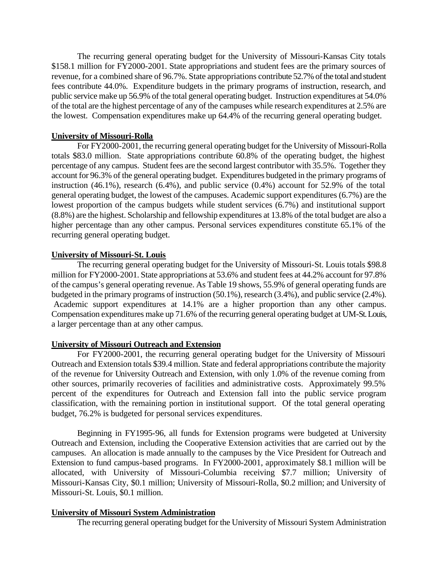The recurring general operating budget for the University of Missouri-Kansas City totals \$158.1 million for FY2000-2001. State appropriations and student fees are the primary sources of revenue, for a combined share of 96.7%. State appropriations contribute 52.7% of the total and student fees contribute 44.0%. Expenditure budgets in the primary programs of instruction, research, and public service make up 56.9% of the total general operating budget. Instruction expenditures at 54.0% of the total are the highest percentage of any of the campuses while research expenditures at 2.5% are the lowest. Compensation expenditures make up 64.4% of the recurring general operating budget.

### **University of Missouri-Rolla**

For FY2000-2001, the recurring general operating budget for the University of Missouri-Rolla totals \$83.0 million. State appropriations contribute 60.8% of the operating budget, the highest percentage of any campus. Student fees are the second largest contributor with 35.5%. Together they account for 96.3% of the general operating budget. Expenditures budgeted in the primary programs of instruction (46.1%), research (6.4%), and public service (0.4%) account for 52.9% of the total general operating budget, the lowest of the campuses. Academic support expenditures (6.7%) are the lowest proportion of the campus budgets while student services (6.7%) and institutional support (8.8%) are the highest. Scholarship and fellowship expenditures at 13.8% of the total budget are also a higher percentage than any other campus. Personal services expenditures constitute 65.1% of the recurring general operating budget.

### **University of Missouri-St. Louis**

Academic support expenditures at 14.1% are a higher proportion than any other campus. The recurring general operating budget for the University of Missouri-St. Louis totals \$98.8 million for FY2000-2001. State appropriations at 53.6% and student fees at 44.2% account for 97.8% of the campus's general operating revenue. As Table 19 shows, 55.9% of general operating funds are budgeted in the primary programs of instruction (50.1%), research (3.4%), and public service (2.4%). Compensation expenditures make up 71.6% of the recurring general operating budget at UM-St. Louis, a larger percentage than at any other campus.

### **University of Missouri Outreach and Extension**

For FY2000-2001, the recurring general operating budget for the University of Missouri Outreach and Extension totals \$39.4 million. State and federal appropriations contribute the majority of the revenue for University Outreach and Extension, with only 1.0% of the revenue coming from other sources, primarily recoveries of facilities and administrative costs. Approximately 99.5% percent of the expenditures for Outreach and Extension fall into the public service program classification, with the remaining portion in institutional support. Of the total general operating budget, 76.2% is budgeted for personal services expenditures.

Beginning in FY1995-96, all funds for Extension programs were budgeted at University Outreach and Extension, including the Cooperative Extension activities that are carried out by the campuses. An allocation is made annually to the campuses by the Vice President for Outreach and Extension to fund campus-based programs. In FY2000-2001, approximately \$8.1 million will be allocated, with University of Missouri-Columbia receiving \$7.7 million; University of Missouri-Kansas City, \$0.1 million; University of Missouri-Rolla, \$0.2 million; and University of Missouri-St. Louis, \$0.1 million.

### **University of Missouri System Administration**

The recurring general operating budget for the University of Missouri System Administration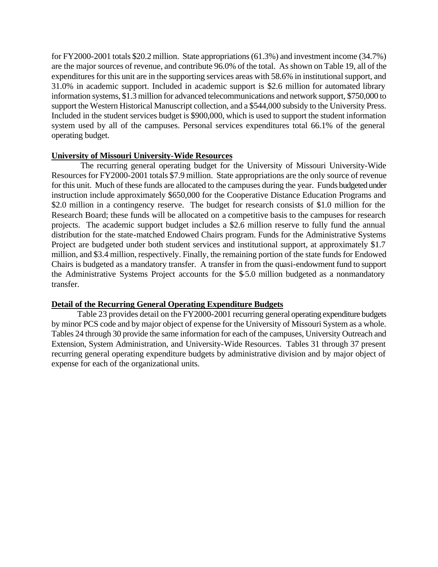for FY2000-2001 totals \$20.2 million. State appropriations (61.3%) and investment income (34.7%) are the major sources of revenue, and contribute 96.0% of the total. As shown on Table 19, all of the expenditures for this unit are in the supporting services areas with 58.6% in institutional support, and 31.0% in academic support. Included in academic support is \$2.6 million for automated library information systems, \$1.3 million for advanced telecommunications and network support, \$750,000 to support the Western Historical Manuscript collection, and a \$544,000 subsidy to the University Press. Included in the student services budget is \$900,000, which is used to support the student information system used by all of the campuses. Personal services expenditures total 66.1% of the general operating budget.

### **University of Missouri University-Wide Resources**

 The recurring general operating budget for the University of Missouri University-Wide Resources for FY2000-2001 totals \$7.9 million. State appropriations are the only source of revenue for this unit. Much of these funds are allocated to the campuses during the year. Funds budgeted under instruction include approximately \$650,000 for the Cooperative Distance Education Programs and \$2.0 million in a contingency reserve. The budget for research consists of \$1.0 million for the Research Board; these funds will be allocated on a competitive basis to the campuses for research projects. The academic support budget includes a \$2.6 million reserve to fully fund the annual distribution for the state-matched Endowed Chairs program. Funds for the Administrative Systems Project are budgeted under both student services and institutional support, at approximately \$1.7 million, and \$3.4 million, respectively. Finally, the remaining portion of the state funds for Endowed Chairs is budgeted as a mandatory transfer. A transfer in from the quasi-endowment fund to support the Administrative Systems Project accounts for the \$-5.0 million budgeted as a nonmandatory transfer.

## **Detail of the Recurring General Operating Expenditure Budgets**

Table 23 provides detail on the FY2000-2001 recurring general operating expenditure budgets by minor PCS code and by major object of expense for the University of Missouri System as a whole. Tables 24 through 30 provide the same information for each of the campuses, University Outreach and Extension, System Administration, and University-Wide Resources. Tables 31 through 37 present recurring general operating expenditure budgets by administrative division and by major object of expense for each of the organizational units.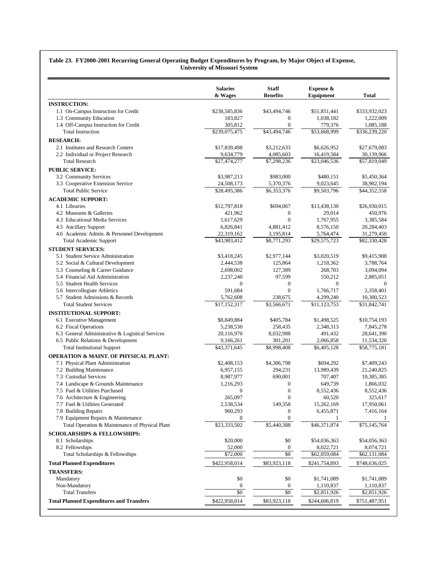#### **Table 23. FY2000-2001 Recurring General Operating Budget Expenditures by Program, by Major Object of Expense, University of Missouri System**

|                                                                                        | <b>Salaries</b><br>& Wages   | <b>Staff</b><br><b>Benefits</b> | Expense &<br>Equipment    | <b>Total</b>  |
|----------------------------------------------------------------------------------------|------------------------------|---------------------------------|---------------------------|---------------|
| <b>INSTRUCTION:</b>                                                                    |                              |                                 |                           |               |
| 1.1 On-Campus Instruction for Credit                                                   | \$238,585,836                | \$43,494,746                    | \$51,851,441              | \$333,932,023 |
| 1.3 Community Education                                                                | 183,827                      | $\mathbf{0}$                    | 1,038,182                 | 1,222,009     |
| 1.4 Off-Campus Instruction for Credit                                                  | 305,812                      | $\boldsymbol{0}$                | 779,376                   | 1,085,188     |
| <b>Total Instruction</b>                                                               | \$239,075,475                | \$43,494,746                    | \$53,668,999              | \$336,239,220 |
| <b>RESEARCH:</b>                                                                       |                              |                                 |                           |               |
| 2.1 Institutes and Research Centers                                                    | \$17,839,498                 | \$3,212,633                     | \$6,626,952               | \$27,679,083  |
| 2.2 Individual or Project Research                                                     | 9,634,779                    | 4,085,603                       | 16,419,584                | 30,139,966    |
| <b>Total Research</b>                                                                  | \$27,474,277                 | \$7,298,236                     | \$23,046,536              | \$57,819,049  |
| <b>PUBLIC SERVICE:</b>                                                                 |                              |                                 |                           |               |
| 3.2 Community Services                                                                 | \$3,987,213                  | \$983,000                       | \$480,151                 | \$5,450,364   |
| 3.3 Cooperative Extension Service                                                      | 24,508,173                   | 5,370,376                       | 9,023,645                 | 38,902,194    |
| <b>Total Public Service</b>                                                            | \$28,495,386                 | \$6,353,376                     | \$9,503,796               | \$44,352,558  |
| <b>ACADEMIC SUPPORT:</b>                                                               |                              |                                 |                           |               |
| 4.1 Libraries                                                                          | \$12,797,818                 | \$694,067                       | \$13,438,130              | \$26,930,015  |
| 4.2 Museums & Galleries                                                                | 421,962                      | $\boldsymbol{0}$                | 29,014                    | 450,976       |
| 4.3 Educational Media Services                                                         | 1,617,629                    | $\overline{0}$                  | 1,767,955                 | 3,385,584     |
| 4.5 Ancillary Support                                                                  | 6,826,841                    | 4,881,412                       | 8,576,150                 | 20,284,403    |
| 4.6 Academic Admin. & Personnel Development                                            | 22,319,162                   | 3,195,814                       | 5,764,474                 | 31,279,450    |
| <b>Total Academic Support</b>                                                          | \$43,983,412                 | \$8,771,293                     | \$29,575,723              | \$82,330,428  |
| <b>STUDENT SERVICES:</b>                                                               |                              |                                 |                           |               |
| 5.1 Student Service Administration                                                     | \$3,418,245                  | \$2,977,144                     | \$3,020,519               | \$9,415,908   |
| 5.2 Social & Cultural Development                                                      | 2,444,538                    | 125,864                         | 1,218,362                 | 3,788,764     |
| 5.3 Counseling & Career Guidance                                                       | 2,698,002                    | 127,389                         | 268,703                   | 3,094,094     |
| 5.4 Financial Aid Administration                                                       | 2,237,240                    | 97,599                          | 550,212                   | 2,885,051     |
| 5.5 Student Health Services                                                            | $\mathbf{0}$                 | $\boldsymbol{0}$                | $\mathbf{0}$              | $\mathbf{0}$  |
| 5.6 Intercollegiate Athletics                                                          | 591,684                      | $\boldsymbol{0}$                | 1,766,717                 | 2,358,401     |
| 5.7 Student Admissions & Records                                                       | 5,762,608                    | 238,675                         | 4,299,240                 | 10,300,523    |
| <b>Total Student Services</b>                                                          | \$17,152,317                 | \$3,566,671                     | \$11,123,753              | \$31,842,741  |
| <b>INSTITUTIONAL SUPPORT:</b>                                                          |                              |                                 |                           |               |
| 6.1 Executive Management                                                               | \$8,849,884                  | \$405,784                       | \$1,498,525               | \$10,754,193  |
| 6.2 Fiscal Operations                                                                  | 5,238,530                    | 258,435                         | 2,348,313                 | 7,845,278     |
| 6.3 General Administrative & Logistical Services                                       | 20,116,970                   | 8,032,988                       | 491,432                   | 28,641,390    |
| 6.5 Public Relations & Development                                                     | 9,166,261                    | 301,201                         | 2,066,858                 | 11,534,320    |
| <b>Total Institutional Support</b>                                                     | \$43,371,645                 | \$8,998,408                     | \$6,405,128               | \$58,775,181  |
| <b>OPERATION &amp; MAINT. OF PHYSICAL PLANT:</b>                                       |                              |                                 |                           |               |
| 7.1 Physical Plant Administration                                                      | \$2,408,153                  | \$4,306,798                     | \$694,292                 | \$7,409,243   |
| 7.2 Building Maintenance                                                               | 6,957,155                    | 294,231                         | 13,989,439                | 21,240,825    |
| 7.3 Custodial Services                                                                 | 8,987,977                    | 690,001                         | 707,407                   | 10,385,385    |
| 7.4 Landscape & Grounds Maintenance                                                    | 1,216,293                    | $\mathbf{0}$                    | 649,739                   | 1,866,032     |
| 7.5 Fuel & Utilities Purchased                                                         | $\boldsymbol{0}$             | $\boldsymbol{0}$                | 8,552,436                 | 8,552,436     |
| 7.6 Architecture & Engineering                                                         | 265,097                      | $\boldsymbol{0}$                | 60,520                    | 325,617       |
| 7.7 Fuel & Utilities Generated                                                         | 2,538,534                    | 149,358                         | 15,262,169                | 17,950,061    |
| 7.8 Building Repairs                                                                   | 960,293                      | $\theta$<br>$\mathbf{0}$        | 6,455,871                 | 7,416,164     |
| 7.9 Equipment Repairs & Maintenance<br>Total Operation & Maintenance of Physical Plant | $\mathbf{0}$<br>\$23,333,502 | \$5,440,388                     | \$46,371,874              | \$75,145,764  |
|                                                                                        |                              |                                 |                           |               |
| <b>SCHOLARSHIPS &amp; FELLOWSHIPS:</b>                                                 |                              |                                 |                           |               |
| 8.1 Scholarships                                                                       | \$20,000                     | \$0                             | \$54,036,363              | \$54,056,363  |
| 8.2 Fellowships<br>Total Scholarships & Fellowships                                    | 52,000<br>\$72,000           | $\bf{0}$<br>$\overline{50}$     | 8,022,721<br>\$62,059,084 | 8,074,721     |
|                                                                                        |                              |                                 |                           | \$62,131,084  |
| <b>Total Planned Expenditures</b>                                                      | \$422,958,014                | \$83,923,118                    | \$241,754,893             | \$748,636,025 |
| <b>TRANSFERS:</b>                                                                      |                              |                                 |                           |               |
| Mandatory                                                                              | \$0                          | \$0                             | \$1,741,089               | \$1,741,089   |
| Non-Mandatory                                                                          | $\bf{0}$                     | $\bf{0}$                        | 1,110,837                 | 1,110,837     |
| <b>Total Transfers</b>                                                                 | \$0                          | \$0                             | \$2,851,926               | \$2,851,926   |
| <b>Total Planned Expenditures and Transfers</b>                                        | \$422,958,014                | \$83,923,118                    | \$244,606,819             | \$751,487,951 |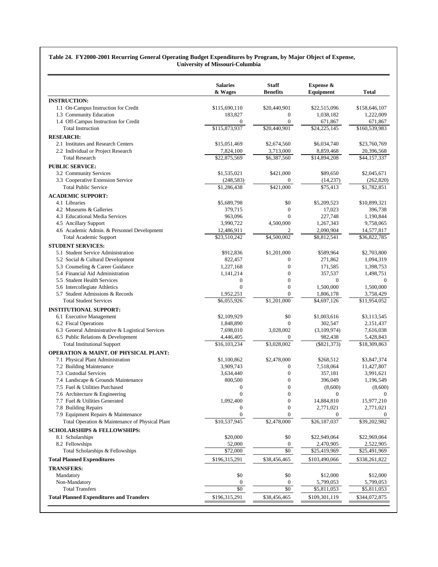#### **Table 24. FY2000-2001 Recurring General Operating Budget Expenditures by Program, by Major Object of Expense, University of Missouri-Columbia**

|                                                  | <b>Salaries</b><br>& Wages | <b>Staff</b><br><b>Benefits</b> | Expense &<br>Equipment | <b>Total</b>            |
|--------------------------------------------------|----------------------------|---------------------------------|------------------------|-------------------------|
| <b>INSTRUCTION:</b>                              |                            |                                 |                        |                         |
| 1.1 On-Campus Instruction for Credit             | \$115,690,110              | \$20,440,901                    | \$22,515,096           | \$158,646,107           |
| 1.3 Community Education                          | 183,827                    | $\boldsymbol{0}$                | 1,038,182              | 1,222,009               |
| 1.4 Off-Campus Instruction for Credit            | $\overline{0}$             | $\mathbf{0}$                    | 671,867                | 671,867                 |
| <b>Total Instruction</b>                         | \$115,873,937              | \$20,440,901                    | \$24,225,145           | \$160,539,983           |
| <b>RESEARCH:</b>                                 |                            |                                 |                        |                         |
| 2.1 Institutes and Research Centers              | \$15,051,469               | \$2,674,560                     | \$6,034,740            | \$23,760,769            |
| 2.2 Individual or Project Research               | 7,824,100                  | 3,713,000                       | 8,859,468              | 20,396,568              |
| <b>Total Research</b>                            | \$22,875,569               | \$6,387,560                     | \$14,894,208           | \$44,157,337            |
| <b>PUBLIC SERVICE:</b>                           |                            |                                 |                        |                         |
| 3.2 Community Services                           | \$1,535,021                | \$421,000                       | \$89,650               | \$2,045,671             |
| 3.3 Cooperative Extension Service                | (248, 583)                 | $\boldsymbol{0}$                | (14, 237)              | (262, 820)              |
| <b>Total Public Service</b>                      | \$1,286,438                | \$421,000                       | \$75,413               | \$1,782,851             |
| <b>ACADEMIC SUPPORT:</b>                         |                            |                                 |                        |                         |
| 4.1 Libraries                                    | \$5,689,798                | \$0                             | \$5,209,523            | \$10,899,321            |
| 4.2 Museums & Galleries                          | 379,715                    | $\boldsymbol{0}$                | 17,023                 | 396,738                 |
| 4.3 Educational Media Services                   | 963,096                    | $\mathbf{0}$                    | 227,748                | 1,190,844               |
| 4.5 Ancillary Support                            | 3,990,722                  | 4,500,000                       | 1,267,343              | 9,758,065               |
| 4.6 Academic Admin. & Personnel Development      | 12,486,911                 | 2                               | 2,090,904              | 14,577,817              |
| <b>Total Academic Support</b>                    | \$23,510,242               | \$4,500,002                     | \$8,812,541            | \$36,822,785            |
| <b>STUDENT SERVICES:</b>                         |                            |                                 |                        |                         |
| 5.1 Student Service Administration               | \$912,836                  | \$1,201,000                     | \$589,964              | \$2,703,800             |
| 5.2 Social & Cultural Development                | 822,457                    | $\mathbf{0}$                    | 271,862                | 1,094,319               |
| 5.3 Counseling & Career Guidance                 | 1,227,168                  | $\boldsymbol{0}$                | 171,585                | 1,398,753               |
| 5.4 Financial Aid Administration                 | 1,141,214                  | $\boldsymbol{0}$                | 357,537                | 1,498,751               |
| 5.5 Student Health Services                      | $\boldsymbol{0}$           | $\mathbf{0}$                    | $\mathbf{0}$           | 0                       |
| 5.6 Intercollegiate Athletics                    | $\mathbf{0}$               | $\boldsymbol{0}$                | 1,500,000              | 1,500,000               |
| 5.7 Student Admissions & Records                 | 1,952,251                  | $\mathbf{0}$                    | 1,806,178              | 3,758,429               |
| <b>Total Student Services</b>                    | \$6,055,926                | \$1,201,000                     | \$4,697,126            | \$11,954,052            |
| <b>INSTITUTIONAL SUPPORT:</b>                    |                            |                                 |                        |                         |
| 6.1 Executive Management                         | \$2,109,929                | \$0                             | \$1,003,616            | \$3,113,545             |
| 6.2 Fiscal Operations                            | 1,848,890                  | $\mathbf{0}$                    | 302,547                | 2,151,437               |
| 6.3 General Administrative & Logistical Services | 7,698,010                  | 3,028,002                       | (3,109,974)            | 7,616,038               |
| 6.5 Public Relations & Development               | 4,446,405                  | $\boldsymbol{0}$                | 982,438                | 5,428,843               |
| <b>Total Institutional Support</b>               | \$16,103,234               | \$3,028,002                     | $(\$821,373)$          | \$18,309,863            |
| <b>OPERATION &amp; MAINT. OF PHYSICAL PLANT:</b> |                            |                                 |                        |                         |
| 7.1 Physical Plant Administration                | \$1,100,862                | \$2,478,000                     | \$268,512              | \$3,847,374             |
| 7.2 Building Maintenance                         | 3,909,743                  | $\mathbf{0}$                    | 7,518,064              | 11,427,807              |
| 7.3 Custodial Services                           | 3,634,440                  | $\boldsymbol{0}$                | 357,181                | 3,991,621               |
| 7.4 Landscape & Grounds Maintenance              | 800,500                    | $\boldsymbol{0}$                | 396,049                | 1,196,549               |
| 7.5 Fuel & Utilities Purchased                   | $\mathbf{0}$               | $\mathbf{0}$                    | (8,600)                | (8,600)                 |
| 7.6 Architecture & Engineering                   | $\boldsymbol{0}$           | $\boldsymbol{0}$                |                        | $\mathbf{0}$            |
| 7.7 Fuel & Utilities Generated                   | 1,092,400                  | $\boldsymbol{0}$                | 14,884,810             | 15,977,210              |
| 7.8 Building Repairs                             | $\bf{0}$                   | $\boldsymbol{0}$                | 2,771,021              | 2,771,021               |
| 7.9 Equipment Repairs & Maintenance              | $\boldsymbol{0}$           | $\boldsymbol{0}$                | $\boldsymbol{0}$       | 0                       |
| Total Operation & Maintenance of Physical Plant  | \$10,537,945               | \$2,478,000                     | \$26,187,037           | \$39,202,982            |
| <b>SCHOLARSHIPS &amp; FELLOWSHIPS:</b>           |                            |                                 |                        |                         |
| 8.1 Scholarships                                 | \$20,000                   | \$0                             | \$22,949,064           | \$22,969,064            |
| 8.2 Fellowships                                  | 52,000                     | $\boldsymbol{0}$                | 2,470,905              | 2,522,905               |
| Total Scholarships & Fellowships                 | \$72,000                   | \$0                             | \$25,419,969           | \$25,491,969            |
| <b>Total Planned Expenditures</b>                | \$196,315,291              | \$38,456,465                    | \$103,490,066          | \$338,261,822           |
| <b>TRANSFERS:</b>                                |                            |                                 |                        |                         |
| Mandatory                                        | \$0                        | \$0                             | \$12,000               | \$12,000                |
| Non-Mandatory                                    | $\boldsymbol{0}$           | $\bf{0}$                        | 5,799,053              | 5,799,053               |
| <b>Total Transfers</b>                           | $\sqrt{6}$                 | \$0                             | \$5,811,053            | $\overline{$}5,811,053$ |
| <b>Total Planned Expenditures and Transfers</b>  | \$196,315,291              | \$38,456,465                    | \$109,301,119          | \$344,072,875           |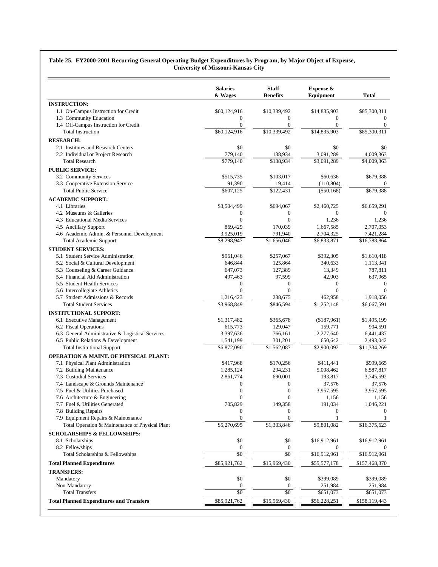#### **Table 25. FY2000-2001 Recurring General Operating Budget Expenditures by Program, by Major Object of Expense, University of Missouri-Kansas City**

|                                                  | <b>Salaries</b><br>& Wages | <b>Staff</b><br><b>Benefits</b> | Expense &<br>Equipment | <b>Total</b>   |
|--------------------------------------------------|----------------------------|---------------------------------|------------------------|----------------|
| <b>INSTRUCTION:</b>                              |                            |                                 |                        |                |
| 1.1 On-Campus Instruction for Credit             | \$60,124,916               | \$10,339,492                    | \$14,835,903           | \$85,300,311   |
| 1.3 Community Education                          | $\mathbf{0}$               | $\boldsymbol{0}$                | $\mathbf{0}$           | $\mathbf{0}$   |
| 1.4 Off-Campus Instruction for Credit            | $\mathbf{0}$               | $\mathbf{0}$                    | $\overline{0}$         | $\overline{0}$ |
| <b>Total Instruction</b>                         | \$60,124,916               | \$10,339,492                    | \$14,835,903           | \$85,300,311   |
| <b>RESEARCH:</b>                                 |                            |                                 |                        |                |
| 2.1 Institutes and Research Centers              | \$0                        | \$0                             | \$0                    | \$0            |
| 2.2 Individual or Project Research               | 779,140                    | 138,934                         | 3,091,289              | 4,009,363      |
| <b>Total Research</b>                            | \$779,140                  | \$138,934                       | \$3,091,289            | \$4,009,363    |
| <b>PUBLIC SERVICE:</b>                           |                            |                                 |                        |                |
| 3.2 Community Services                           | \$515,735                  | \$103,017                       | \$60,636               | \$679,388      |
| 3.3 Cooperative Extension Service                | 91,390                     | 19,414                          | (110, 804)             |                |
| <b>Total Public Service</b>                      | \$607.125                  | \$122,431                       | $(\$50,168)$           | \$679,388      |
| <b>ACADEMIC SUPPORT:</b>                         |                            |                                 |                        |                |
| 4.1 Libraries                                    | \$3,504,499                | \$694,067                       | \$2,460,725            | \$6,659,291    |
| 4.2 Museums & Galleries                          | $\boldsymbol{0}$           | $\boldsymbol{0}$                | $\mathbf{0}$           | $\mathbf{0}$   |
| 4.3 Educational Media Services                   | $\overline{0}$             | $\mathbf{0}$                    | 1,236                  | 1,236          |
| 4.5 Ancillary Support                            | 869,429                    | 170,039                         | 1,667,585              | 2,707,053      |
| 4.6 Academic Admin. & Personnel Development      | 3,925,019                  | 791,940                         | 2,704,325              | 7,421,284      |
| <b>Total Academic Support</b>                    | \$8,298,947                | \$1,656,046                     | \$6,833,871            | \$16,788,864   |
| <b>STUDENT SERVICES:</b>                         |                            |                                 |                        |                |
| 5.1 Student Service Administration               | \$961,046                  | \$257,067                       | \$392,305              | \$1,610,418    |
| 5.2 Social & Cultural Development                | 646,844                    | 125,864                         | 340,633                | 1,113,341      |
| 5.3 Counseling & Career Guidance                 | 647,073                    | 127,389                         | 13,349                 | 787,811        |
| 5.4 Financial Aid Administration                 | 497,463                    | 97,599                          | 42,903                 | 637,965        |
| 5.5 Student Health Services                      | $\boldsymbol{0}$           | $\boldsymbol{0}$                | $\overline{0}$         | $\mathbf{0}$   |
| 5.6 Intercollegiate Athletics                    | $\mathbf{0}$               | $\mathbf{0}$                    | $\overline{0}$         | $\Omega$       |
| 5.7 Student Admissions & Records                 | 1,216,423                  | 238,675                         | 462,958                | 1,918,056      |
| <b>Total Student Services</b>                    | \$3,968,849                | \$846,594                       | \$1,252,148            | \$6,067,591    |
| <b>INSTITUTIONAL SUPPORT:</b>                    |                            |                                 |                        |                |
| 6.1 Executive Management                         | \$1,317,482                | \$365,678                       | (\$187,961)            | \$1,495,199    |
| 6.2 Fiscal Operations                            | 615,773                    | 129,047                         | 159,771                | 904,591        |
| 6.3 General Administrative & Logistical Services | 3,397,636                  | 766,161                         | 2,277,640              | 6,441,437      |
| 6.5 Public Relations & Development               | 1,541,199                  | 301,201                         | 650,642                | 2,493,042      |
| <b>Total Institutional Support</b>               | \$6,872,090                | \$1,562,087                     | \$2,900,092            | \$11,334,269   |
| <b>OPERATION &amp; MAINT, OF PHYSICAL PLANT:</b> |                            |                                 |                        |                |
| 7.1 Physical Plant Administration                | \$417,968                  | \$170,256                       | \$411,441              | \$999,665      |
| 7.2 Building Maintenance                         | 1,285,124                  | 294,231                         | 5,008,462              | 6,587,817      |
| 7.3 Custodial Services                           | 2,861,774                  | 690,001                         | 193,817                | 3,745,592      |
| 7.4 Landscape & Grounds Maintenance              | $\boldsymbol{0}$           | $\boldsymbol{0}$                | 37,576                 | 37,576         |
| 7.5 Fuel & Utilities Purchased                   | $\boldsymbol{0}$           | $\boldsymbol{0}$                | 3,957,595              | 3,957,595      |
| 7.6 Architecture & Engineering                   | $\boldsymbol{0}$           | 0                               | 1,156                  | 1,156          |
| 7.7 Fuel & Utilities Generated                   | 705,829                    | 149,358                         | 191,034                | 1,046,221      |
| 7.8 Building Repairs                             | $\bf{0}$                   | $\theta$                        | 0                      | $\theta$       |
| 7.9 Equipment Repairs & Maintenance              | $\mathbf{0}$               | $\mathbf{0}$                    | -1                     |                |
| Total Operation & Maintenance of Physical Plant  | \$5,270,695                | \$1,303,846                     | \$9,801,082            | \$16,375,623   |
| <b>SCHOLARSHIPS &amp; FELLOWSHIPS:</b>           |                            |                                 |                        |                |
| 8.1 Scholarships                                 | \$0                        | \$0                             | \$16,912,961           | \$16,912,961   |
| 8.2 Fellowships                                  | $\bf{0}$                   | $\boldsymbol{0}$                | 0                      |                |
| Total Scholarships & Fellowships                 | $\overline{50}$            | \$0                             | \$16,912,961           | \$16,912,961   |
| <b>Total Planned Expenditures</b>                | \$85,921,762               | \$15,969,430                    | \$55,577,178           | \$157,468,370  |
| <b>TRANSFERS:</b>                                |                            |                                 |                        |                |
| Mandatory                                        | \$0                        | \$0                             | \$399,089              | \$399,089      |
| Non-Mandatory                                    | 0                          | $\boldsymbol{0}$                | 251,984                | 251,984        |
| <b>Total Transfers</b>                           | $\overline{50}$            | $\overline{50}$                 | $\overline{$}651,073$  | \$651,073      |
| <b>Total Planned Expenditures and Transfers</b>  | \$85,921,762               | \$15,969,430                    | \$56,228,251           | \$158,119,443  |
|                                                  |                            |                                 |                        |                |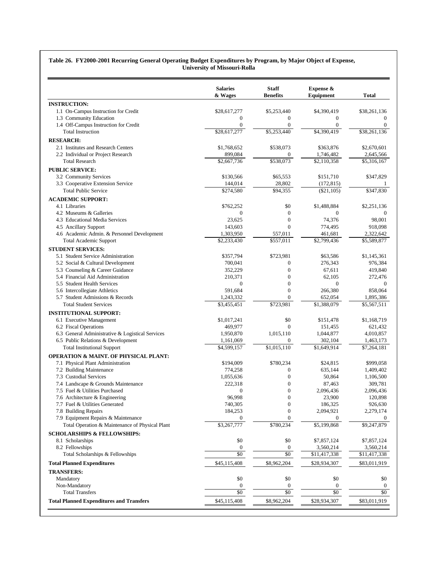#### **Table 26. FY2000-2001 Recurring General Operating Budget Expenditures by Program, by Major Object of Expense, University of Missouri-Rolla**

|                                                                                        | <b>Salaries</b><br>& Wages     | <b>Staff</b><br><b>Benefits</b>      | Expense &<br>Equipment          | <b>Total</b>                    |
|----------------------------------------------------------------------------------------|--------------------------------|--------------------------------------|---------------------------------|---------------------------------|
| <b>INSTRUCTION:</b>                                                                    |                                |                                      |                                 |                                 |
| 1.1 On-Campus Instruction for Credit                                                   | \$28,617,277                   | \$5,253,440                          | \$4,390,419                     | \$38,261,136                    |
| 1.3 Community Education                                                                | $\boldsymbol{0}$               | $\boldsymbol{0}$                     | $\boldsymbol{0}$                | $\overline{0}$                  |
| 1.4 Off-Campus Instruction for Credit                                                  | $\mathbf{0}$                   | $\mathbf{0}$                         | $\mathbf{0}$                    | $\overline{0}$                  |
| <b>Total Instruction</b>                                                               | \$28,617,277                   | \$5,253,440                          | \$4,390,419                     | \$38,261,136                    |
| <b>RESEARCH:</b>                                                                       |                                |                                      |                                 |                                 |
| 2.1 Institutes and Research Centers                                                    | \$1,768,652                    | \$538,073                            | \$363,876                       | \$2,670,601                     |
| 2.2 Individual or Project Research                                                     | 899,084                        | $\mathbf{0}$                         | 1,746,482                       | 2,645,566                       |
| <b>Total Research</b>                                                                  | $\overline{$2,667,736}$        | \$538,073                            | \$2,110,358                     | \$5,316,167                     |
| <b>PUBLIC SERVICE:</b>                                                                 |                                |                                      |                                 |                                 |
| 3.2 Community Services                                                                 | \$130,566                      | \$65,553                             | \$151,710                       | \$347,829                       |
| 3.3 Cooperative Extension Service                                                      | 144,014                        | 28,802                               | (172, 815)                      |                                 |
| <b>Total Public Service</b>                                                            | \$274,580                      | \$94,355                             | $(\$21,105)$                    | \$347,830                       |
| <b>ACADEMIC SUPPORT:</b>                                                               |                                |                                      |                                 |                                 |
| 4.1 Libraries                                                                          | \$762,252                      | \$0                                  | \$1,488,884                     | \$2,251,136                     |
| 4.2 Museums & Galleries                                                                | $\boldsymbol{0}$               | $\boldsymbol{0}$                     | $\mathbf{0}$                    | $\mathbf{0}$                    |
| 4.3 Educational Media Services                                                         | 23,625                         | $\boldsymbol{0}$                     | 74,376                          | 98.001                          |
| 4.5 Ancillary Support                                                                  | 143,603                        | $\mathbf{0}$                         | 774,495                         | 918,098                         |
| 4.6 Academic Admin. & Personnel Development                                            | 1,303,950                      | 557,011                              | 461,681                         | 2,322,642                       |
| <b>Total Academic Support</b>                                                          | \$2,233,430                    | \$557,011                            | \$2,799,436                     | \$5,589,877                     |
| <b>STUDENT SERVICES:</b>                                                               |                                |                                      |                                 |                                 |
| 5.1 Student Service Administration                                                     | \$357,794                      | \$723,981                            | \$63,586                        | \$1,145,361                     |
| 5.2 Social & Cultural Development                                                      | 700,041                        | $\boldsymbol{0}$                     | 276,343                         | 976,384                         |
| 5.3 Counseling & Career Guidance                                                       | 352,229                        | $\boldsymbol{0}$                     | 67,611                          | 419,840                         |
| 5.4 Financial Aid Administration                                                       | 210,371                        | $\boldsymbol{0}$                     | 62,105                          | 272,476                         |
| 5.5 Student Health Services                                                            | $\boldsymbol{0}$               | $\mathbf{0}$                         | $\mathbf{0}$                    | $\mathbf{0}$                    |
| 5.6 Intercollegiate Athletics                                                          | 591,684                        | $\boldsymbol{0}$                     | 266,380                         | 858,064                         |
| 5.7 Student Admissions & Records                                                       | 1,243,332                      | $\mathbf{0}$                         | 652,054                         | 1,895,386                       |
| <b>Total Student Services</b>                                                          | \$3,455,451                    | \$723,981                            | \$1,388,079                     | \$5,567,511                     |
| <b>INSTITUTIONAL SUPPORT:</b>                                                          |                                |                                      |                                 |                                 |
| 6.1 Executive Management                                                               | \$1,017,241                    | \$0                                  | \$151,478                       | \$1,168,719                     |
| 6.2 Fiscal Operations                                                                  | 469,977                        | $\mathbf{0}$                         | 151,455                         | 621,432                         |
| 6.3 General Administrative & Logistical Services                                       | 1,950,870                      | 1,015,110                            | 1,044,877                       | 4,010,857                       |
| 6.5 Public Relations & Development                                                     | 1,161,069                      | $\mathbf{0}$                         | 302,104                         | 1,463,173                       |
| <b>Total Institutional Support</b>                                                     | \$4,599,157                    | \$1,015,110                          | \$1,649,914                     | \$7,264,181                     |
| <b>OPERATION &amp; MAINT. OF PHYSICAL PLANT:</b>                                       |                                |                                      |                                 |                                 |
| 7.1 Physical Plant Administration                                                      | \$194,009                      | \$780,234                            | \$24,815                        | \$999,058                       |
| 7.2 Building Maintenance                                                               | 774,258                        | $\boldsymbol{0}$                     | 635,144                         | 1,409,402                       |
| 7.3 Custodial Services                                                                 | 1,055,636                      | $\boldsymbol{0}$                     | 50,864                          | 1,106,500                       |
| 7.4 Landscape & Grounds Maintenance                                                    | 222,318                        | $\boldsymbol{0}$                     | 87,463                          | 309,781                         |
| 7.5 Fuel & Utilities Purchased                                                         | $\boldsymbol{0}$               | $\mathbf{0}$                         | 2,096,436                       | 2,096,436                       |
| 7.6 Architecture & Engineering                                                         | 96,998                         | $\boldsymbol{0}$                     | 23,900                          | 120,898                         |
| 7.7 Fuel & Utilities Generated                                                         | 740,305                        | $\boldsymbol{0}$                     | 186,325                         | 926,630                         |
| 7.8 Building Repairs                                                                   | 184,253                        | $\boldsymbol{0}$<br>$\boldsymbol{0}$ | 2,094,921                       | 2,279,174                       |
| 7.9 Equipment Repairs & Maintenance<br>Total Operation & Maintenance of Physical Plant | $\mathbf{0}$<br>\$3,267,777    | \$780,234                            | $\boldsymbol{0}$<br>\$5,199,868 | $\boldsymbol{0}$<br>\$9,247,879 |
|                                                                                        |                                |                                      |                                 |                                 |
| <b>SCHOLARSHIPS &amp; FELLOWSHIPS:</b>                                                 |                                |                                      |                                 |                                 |
| 8.1 Scholarships                                                                       | \$0                            | \$0                                  | \$7,857,124                     | \$7,857,124                     |
| 8.2 Fellowships<br>Total Scholarships & Fellowships                                    | $\bf{0}$<br>$\sqrt{6}$         | $\bf{0}$<br>\$0                      | 3,560,214<br>\$11,417,338       | 3,560,214                       |
|                                                                                        |                                |                                      |                                 | \$11,417,338                    |
| <b>Total Planned Expenditures</b>                                                      | \$45,115,408                   | \$8,962,204                          | \$28,934,307                    | \$83,011,919                    |
| <b>TRANSFERS:</b>                                                                      |                                |                                      |                                 |                                 |
| Mandatory                                                                              | \$0                            | \$0                                  | \$0                             | \$0                             |
| Non-Mandatory                                                                          | $\boldsymbol{0}$<br>$\sqrt{6}$ | $\boldsymbol{0}$<br>$\sqrt[6]{9}$    | $\bf{0}$<br>$\sqrt{6}$          | $\mathbf{0}$<br>\$0             |
| <b>Total Transfers</b>                                                                 |                                |                                      |                                 |                                 |
| <b>Total Planned Expenditures and Transfers</b>                                        | \$45,115,408                   | \$8,962,204                          | \$28,934,307                    | \$83,011,919                    |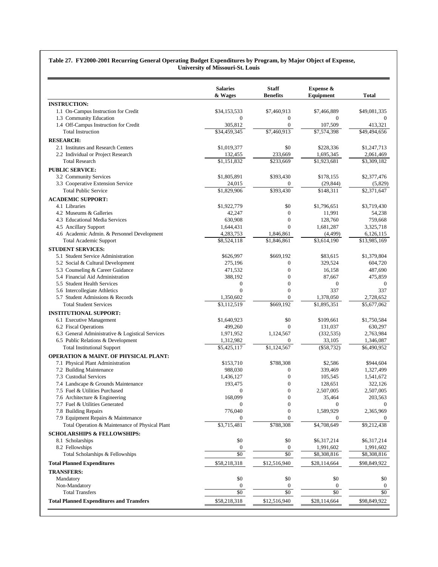#### **Table 27. FY2000-2001 Recurring General Operating Budget Expenditures by Program, by Major Object of Expense, University of Missouri-St. Louis**

|                                                  | <b>Salaries</b><br>& Wages | <b>Staff</b><br><b>Benefits</b> | Expense &<br>Equipment | <b>Total</b>     |
|--------------------------------------------------|----------------------------|---------------------------------|------------------------|------------------|
| <b>INSTRUCTION:</b>                              |                            |                                 |                        |                  |
| 1.1 On-Campus Instruction for Credit             | \$34,153,533               | \$7,460,913                     | \$7,466,889            | \$49,081,335     |
| 1.3 Community Education                          | $\mathbf{0}$               | $\boldsymbol{0}$                | $\mathbf{0}$           | $\Omega$         |
| 1.4 Off-Campus Instruction for Credit            | 305,812                    | $\boldsymbol{0}$                | 107,509                | 413,321          |
| <b>Total Instruction</b>                         | \$34,459,345               | \$7,460,913                     | \$7,574,398            | \$49,494,656     |
| <b>RESEARCH:</b>                                 |                            |                                 |                        |                  |
| 2.1 Institutes and Research Centers              | \$1,019,377                | \$0                             | \$228,336              | \$1,247,713      |
| 2.2 Individual or Project Research               | 132,455                    | 233,669                         | 1,695,345              | 2,061,469        |
| <b>Total Research</b>                            | \$1,151,832                | $\overline{$}233,669$           | \$1,923,681            | \$3,309,182      |
| <b>PUBLIC SERVICE:</b>                           |                            |                                 |                        |                  |
| 3.2 Community Services                           | \$1,805,891                | \$393,430                       | \$178,155              | \$2,377,476      |
| 3.3 Cooperative Extension Service                | 24,015                     | $\boldsymbol{0}$                | (29, 844)              | (5,829)          |
| <b>Total Public Service</b>                      | \$1,829,906                | \$393,430                       | \$148,311              | \$2,371,647      |
| <b>ACADEMIC SUPPORT:</b>                         |                            |                                 |                        |                  |
| 4.1 Libraries                                    | \$1,922,779                | \$0                             | \$1,796,651            | \$3,719,430      |
| 4.2 Museums & Galleries                          | 42,247                     | $\boldsymbol{0}$                | 11,991                 | 54,238           |
| 4.3 Educational Media Services                   | 630,908                    | $\boldsymbol{0}$                | 128,760                | 759,668          |
| 4.5 Ancillary Support                            | 1,644,431                  | $\mathbf{0}$                    | 1,681,287              | 3,325,718        |
| 4.6 Academic Admin. & Personnel Development      | 4,283,753                  | 1,846,861                       | (4,499)                | 6,126,115        |
| <b>Total Academic Support</b>                    | \$8,524,118                | \$1,846,861                     | $\sqrt{3,614,190}$     | \$13,985,169     |
| <b>STUDENT SERVICES:</b>                         |                            |                                 |                        |                  |
| 5.1 Student Service Administration               | \$626,997                  | \$669,192                       | \$83,615               | \$1,379,804      |
| 5.2 Social & Cultural Development                | 275,196                    | $\boldsymbol{0}$                | 329,524                | 604,720          |
| 5.3 Counseling & Career Guidance                 | 471,532                    | $\boldsymbol{0}$                | 16,158                 | 487,690          |
| 5.4 Financial Aid Administration                 | 388,192                    | $\boldsymbol{0}$                | 87,667                 | 475,859          |
| 5.5 Student Health Services                      | $\boldsymbol{0}$           | $\mathbf{0}$                    | $\boldsymbol{0}$       | $\boldsymbol{0}$ |
| 5.6 Intercollegiate Athletics                    | $\mathbf{0}$               | $\boldsymbol{0}$                | 337                    | 337              |
| 5.7 Student Admissions & Records                 | 1,350,602                  | $\mathbf{0}$                    | 1,378,050              | 2,728,652        |
| <b>Total Student Services</b>                    | \$3,112,519                | \$669,192                       | \$1,895,351            | \$5,677,062      |
| <b>INSTITUTIONAL SUPPORT:</b>                    |                            |                                 |                        |                  |
| 6.1 Executive Management                         | \$1,640,923                | \$0                             | \$109,661              | \$1,750,584      |
| 6.2 Fiscal Operations                            | 499,260                    | $\mathbf{0}$                    | 131,037                | 630,297          |
| 6.3 General Administrative & Logistical Services | 1,971,952                  | 1,124,567                       | (332, 535)             | 2,763,984        |
| 6.5 Public Relations & Development               | 1,312,982                  | $\mathbf{0}$                    | 33,105                 | 1,346,087        |
| <b>Total Institutional Support</b>               | \$5,425,117                | \$1,124,567                     | $(\$58,732)$           | \$6,490,952      |
| <b>OPERATION &amp; MAINT. OF PHYSICAL PLANT:</b> |                            |                                 |                        |                  |
| 7.1 Physical Plant Administration                | \$153,710                  | \$788,308                       | \$2,586                | \$944,604        |
| 7.2 Building Maintenance                         | 988,030                    | $\boldsymbol{0}$                | 339,469                | 1,327,499        |
| 7.3 Custodial Services                           | 1,436,127                  | $\boldsymbol{0}$                | 105,545                | 1,541,672        |
| 7.4 Landscape & Grounds Maintenance              | 193,475                    | $\boldsymbol{0}$                | 128,651                | 322,126          |
| 7.5 Fuel & Utilities Purchased                   | $\mathbf{0}$               | $\boldsymbol{0}$                | 2,507,005              | 2,507,005        |
| 7.6 Architecture & Engineering                   | 168,099                    | $\boldsymbol{0}$                | 35,464                 | 203,563          |
| 7.7 Fuel & Utilities Generated                   | $\boldsymbol{0}$           | $\boldsymbol{0}$                | $\boldsymbol{0}$       | $\mathbf{0}$     |
| 7.8 Building Repairs                             | 776,040                    | $\boldsymbol{0}$                | 1,589,929              | 2,365,969        |
| 7.9 Equipment Repairs & Maintenance              | 0                          | $\mathbf{0}$                    | $\mathbf{0}$           |                  |
| Total Operation & Maintenance of Physical Plant  | \$3,715,481                | \$788,308                       | \$4,708,649            | \$9,212,438      |
| <b>SCHOLARSHIPS &amp; FELLOWSHIPS:</b>           |                            |                                 |                        |                  |
| 8.1 Scholarships                                 | \$0                        | \$0                             | \$6,317,214            | \$6,317,214      |
| 8.2 Fellowships                                  | $\boldsymbol{0}$           | $\bf{0}$                        | 1,991,602              | 1,991,602        |
| Total Scholarships & Fellowships                 | \$0                        | \$0                             | \$8,308,816            | \$8,308,816      |
| <b>Total Planned Expenditures</b>                | \$58,218,318               | \$12,516,940                    | \$28,114,664           | \$98,849,922     |
| <b>TRANSFERS:</b>                                |                            |                                 |                        |                  |
| Mandatory                                        | \$0                        | \$0                             | \$0                    | \$0              |
| Non-Mandatory                                    | $\bf{0}$                   | $\boldsymbol{0}$                | $\boldsymbol{0}$       | $\mathbf{0}$     |
| <b>Total Transfers</b>                           | $\overline{50}$            | $\overline{50}$                 | $\overline{50}$        | \$0              |
| <b>Total Planned Expenditures and Transfers</b>  | \$58,218,318               | \$12,516,940                    | \$28,114,664           | \$98,849,922     |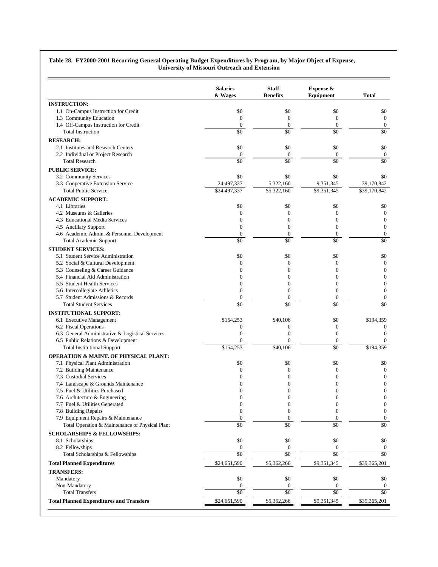|                                                        | <b>Salaries</b><br>& Wages           | <b>Staff</b><br><b>Benefits</b>      | Expense &<br>Equipment       | <b>Total</b>                         |
|--------------------------------------------------------|--------------------------------------|--------------------------------------|------------------------------|--------------------------------------|
| <b>INSTRUCTION:</b>                                    |                                      |                                      |                              |                                      |
| 1.1 On-Campus Instruction for Credit                   | \$0                                  | \$0                                  | \$0                          | \$0                                  |
| 1.3 Community Education                                | $\mathbf{0}$                         | $\boldsymbol{0}$                     | $\boldsymbol{0}$             | $\boldsymbol{0}$                     |
| 1.4 Off-Campus Instruction for Credit                  | $\boldsymbol{0}$                     | $\boldsymbol{0}$                     | $\mathbf{0}$                 | $\boldsymbol{0}$                     |
| <b>Total Instruction</b>                               | \$0                                  | \$0                                  | $\overline{50}$              | \$0                                  |
| <b>RESEARCH:</b>                                       |                                      |                                      |                              |                                      |
| 2.1 Institutes and Research Centers                    | \$0                                  | \$0                                  | \$0                          | \$0                                  |
| 2.2 Individual or Project Research                     | $\boldsymbol{0}$                     | $\boldsymbol{0}$                     | $\boldsymbol{0}$             | $\boldsymbol{0}$                     |
| <b>Total Research</b>                                  | \$0                                  | \$0                                  | \$0                          | \$0                                  |
| <b>PUBLIC SERVICE:</b>                                 |                                      |                                      |                              |                                      |
| 3.2 Community Services                                 | \$0                                  | \$0                                  | \$0                          | \$0                                  |
| 3.3 Cooperative Extension Service                      | 24,497,337                           | 5,322,160                            | 9,351,345                    | 39,170,842                           |
| <b>Total Public Service</b>                            | \$24,497,337                         | \$5,322,160                          | \$9,351,345                  | \$39,170,842                         |
| <b>ACADEMIC SUPPORT:</b>                               |                                      |                                      |                              |                                      |
| 4.1 Libraries                                          | \$0                                  | \$0                                  | \$0                          | \$0                                  |
| 4.2 Museums & Galleries                                | $\mathbf{0}$                         | $\mathbf{0}$                         | $\theta$                     | $\boldsymbol{0}$                     |
| 4.3 Educational Media Services                         | $\mathbf{0}$                         | $\boldsymbol{0}$                     | $\overline{0}$               | $\mathbf{0}$                         |
| 4.5 Ancillary Support                                  | $\mathbf{0}$                         | $\boldsymbol{0}$                     | $\theta$                     | $\boldsymbol{0}$                     |
| 4.6 Academic Admin. & Personnel Development            | $\mathbf{0}$                         | $\boldsymbol{0}$                     | $\mathbf{0}$                 | $\boldsymbol{0}$                     |
| Total Academic Support                                 | \$0                                  | \$0                                  | \$0                          | \$0                                  |
| <b>STUDENT SERVICES:</b>                               |                                      |                                      |                              |                                      |
| 5.1 Student Service Administration                     | \$0                                  | \$0                                  | \$0                          | \$0                                  |
| 5.2 Social & Cultural Development                      | $\boldsymbol{0}$                     | $\boldsymbol{0}$                     | $\mathbf{0}$                 | $\boldsymbol{0}$                     |
| 5.3 Counseling & Career Guidance                       | $\mathbf{0}$                         | $\boldsymbol{0}$                     | $\mathbf{0}$                 | $\boldsymbol{0}$                     |
| 5.4 Financial Aid Administration                       | $\Omega$                             | $\mathbf{0}$                         | $\Omega$                     | $\overline{0}$                       |
| 5.5 Student Health Services                            | $\mathbf{0}$                         | $\boldsymbol{0}$                     | $\mathbf{0}$                 | $\boldsymbol{0}$                     |
| 5.6 Intercollegiate Athletics                          | $\mathbf{0}$                         | $\mathbf{0}$                         | $\theta$                     | $\boldsymbol{0}$                     |
| 5.7 Student Admissions & Records                       | $\boldsymbol{0}$                     | $\boldsymbol{0}$                     | $\boldsymbol{0}$             | $\boldsymbol{0}$                     |
| <b>Total Student Services</b>                          | \$0                                  | \$0                                  | \$0                          | \$0                                  |
| <b>INSTITUTIONAL SUPPORT:</b>                          |                                      |                                      |                              |                                      |
| 6.1 Executive Management                               | \$154,253                            | \$40,106                             | \$0                          | \$194,359                            |
| 6.2 Fiscal Operations                                  | $\boldsymbol{0}$                     | $\boldsymbol{0}$                     | $\mathbf{0}$                 | $\boldsymbol{0}$                     |
| 6.3 General Administrative & Logistical Services       | $\mathbf{0}$                         | $\boldsymbol{0}$                     | $\overline{0}$               | $\mathbf{0}$                         |
| 6.5 Public Relations & Development                     | $\mathbf{0}$                         | $\boldsymbol{0}$                     | $\boldsymbol{0}$             | $\mathbf{0}$                         |
| <b>Total Institutional Support</b>                     | \$154,253                            | \$40,106                             | \$0                          | \$194,359                            |
| <b>OPERATION &amp; MAINT. OF PHYSICAL PLANT:</b>       |                                      |                                      |                              |                                      |
| 7.1 Physical Plant Administration                      | \$0                                  | \$0                                  | \$0                          | \$0                                  |
| 7.2 Building Maintenance                               | $\boldsymbol{0}$                     | $\boldsymbol{0}$                     | $\theta$                     | $\boldsymbol{0}$                     |
| 7.3 Custodial Services                                 | $\mathbf{0}$                         | $\boldsymbol{0}$                     | $\boldsymbol{0}$             | $\boldsymbol{0}$                     |
| 7.4 Landscape & Grounds Maintenance                    | $\mathbf{0}$                         | $\boldsymbol{0}$                     | $\overline{0}$               | $\boldsymbol{0}$                     |
| 7.5 Fuel & Utilities Purchased                         | $\mathbf{0}$                         | $\mathbf{0}$                         | $\overline{0}$               | $\mathbf{0}$                         |
| 7.6 Architecture & Engineering                         | $\boldsymbol{0}$                     | $\boldsymbol{0}$                     | $\boldsymbol{0}$             | $\boldsymbol{0}$                     |
| 7.7 Fuel & Utilities Generated<br>7.8 Building Repairs | $\boldsymbol{0}$<br>$\boldsymbol{0}$ | $\boldsymbol{0}$<br>$\boldsymbol{0}$ | $\mathbf{0}$<br>$\mathbf{0}$ | $\boldsymbol{0}$<br>$\boldsymbol{0}$ |
| 7.9 Equipment Repairs & Maintenance                    | $\boldsymbol{0}$                     | $\boldsymbol{0}$                     | $\mathbf{0}$                 | $\mathbf{0}$                         |
| Total Operation & Maintenance of Physical Plant        | $\overline{50}$                      | $\overline{50}$                      | $\overline{50}$              | \$0                                  |
| <b>SCHOLARSHIPS &amp; FELLOWSHIPS:</b>                 |                                      |                                      |                              |                                      |
| 8.1 Scholarships                                       | \$0                                  | \$0                                  | \$0                          | \$0                                  |
| 8.2 Fellowships                                        | $\boldsymbol{0}$                     | $\boldsymbol{0}$                     | $\boldsymbol{0}$             | $\mathbf{0}$                         |
| Total Scholarships & Fellowships                       | $\overline{50}$                      | $\overline{50}$                      | $\overline{50}$              | \$0                                  |
| <b>Total Planned Expenditures</b>                      | \$24,651,590                         | \$5,362,266                          | \$9,351,345                  | \$39,365,201                         |
| <b>TRANSFERS:</b>                                      |                                      |                                      |                              |                                      |
| Mandatory                                              | \$0                                  | \$0                                  | $\$0$                        | \$0                                  |
| Non-Mandatory                                          | $\boldsymbol{0}$                     | $\boldsymbol{0}$                     | $\boldsymbol{0}$             | $\boldsymbol{0}$                     |
| <b>Total Transfers</b>                                 | $\overline{50}$                      | $\sqrt{6}$                           | $\sqrt{6}$                   | $\sqrt{6}$                           |
| <b>Total Planned Expenditures and Transfers</b>        | \$24,651,590                         | \$5,362,266                          | \$9,351,345                  | \$39,365,201                         |

#### **Table 28. FY2000-2001 Recurring General Operating Budget Expenditures by Program, by Major Object of Expense, University of Missouri Outreach and Extension**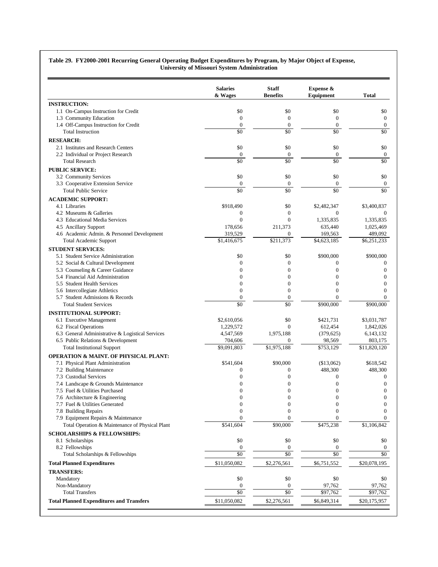|                                                                      | <b>Salaries</b><br>& Wages   | <b>Staff</b><br><b>Benefits</b>  | Expense &<br>Equipment         | <b>Total</b>                     |
|----------------------------------------------------------------------|------------------------------|----------------------------------|--------------------------------|----------------------------------|
| <b>INSTRUCTION:</b>                                                  |                              |                                  |                                |                                  |
| 1.1 On-Campus Instruction for Credit                                 | \$0                          | \$0                              | \$0                            | \$0                              |
| 1.3 Community Education                                              | $\boldsymbol{0}$             | $\boldsymbol{0}$                 | $\boldsymbol{0}$               | $\boldsymbol{0}$                 |
| 1.4 Off-Campus Instruction for Credit                                | $\mathbf{0}$                 | $\boldsymbol{0}$                 | $\boldsymbol{0}$               | $\boldsymbol{0}$                 |
| <b>Total Instruction</b>                                             | \$0                          | \$0                              | \$0                            | \$0                              |
| <b>RESEARCH:</b>                                                     |                              |                                  |                                |                                  |
| 2.1 Institutes and Research Centers                                  | \$0                          | \$0                              | \$0                            | \$0                              |
| 2.2 Individual or Project Research                                   | $\boldsymbol{0}$             | $\boldsymbol{0}$                 | $\mathbf{0}$                   | $\boldsymbol{0}$                 |
| <b>Total Research</b>                                                | \$0                          | \$0                              | \$0                            | \$0                              |
| <b>PUBLIC SERVICE:</b>                                               |                              |                                  |                                |                                  |
| 3.2 Community Services                                               | \$0                          | \$0                              | \$0                            | \$0                              |
| 3.3 Cooperative Extension Service                                    | $\boldsymbol{0}$             | $\boldsymbol{0}$                 | $\boldsymbol{0}$               | $\boldsymbol{0}$                 |
| <b>Total Public Service</b>                                          | $\overline{50}$              | $\overline{50}$                  | \$0                            | $\overline{50}$                  |
| <b>ACADEMIC SUPPORT:</b>                                             |                              |                                  |                                |                                  |
| 4.1 Libraries                                                        | \$918,490                    | \$0                              | \$2,482,347                    | \$3,400,837                      |
| 4.2 Museums & Galleries                                              | $\mathbf{0}$                 | $\mathbf{0}$                     | $\overline{0}$                 | $\mathbf{0}$                     |
| 4.3 Educational Media Services                                       | $\theta$                     | $\mathbf{0}$                     | 1,335,835                      | 1,335,835                        |
| 4.5 Ancillary Support                                                | 178,656                      | 211,373                          | 635.440                        | 1,025,469                        |
| 4.6 Academic Admin. & Personnel Development                          | 319,529                      | $\boldsymbol{0}$                 | 169,563                        | 489,092                          |
| <b>Total Academic Support</b>                                        | $\overline{1,}416,675$       | \$211,373                        | \$4,623,185                    | \$6,251,233                      |
| <b>STUDENT SERVICES:</b>                                             |                              |                                  |                                |                                  |
| 5.1 Student Service Administration                                   | \$0                          | \$0                              | \$900,000                      | \$900,000                        |
| 5.2 Social & Cultural Development                                    | $\mathbf{0}$<br>$\mathbf{0}$ | $\boldsymbol{0}$<br>$\mathbf{0}$ | $\mathbf{0}$<br>$\overline{0}$ | $\boldsymbol{0}$<br>$\mathbf{0}$ |
| 5.3 Counseling & Career Guidance<br>5.4 Financial Aid Administration | $\mathbf{0}$                 | $\mathbf{0}$                     | $\overline{0}$                 | $\mathbf{0}$                     |
| 5.5 Student Health Services                                          | $\mathbf{0}$                 | $\boldsymbol{0}$                 | $\overline{0}$                 | $\mathbf{0}$                     |
| 5.6 Intercollegiate Athletics                                        | $\mathbf{0}$                 | $\mathbf{0}$                     | $\mathbf{0}$                   | $\theta$                         |
| 5.7 Student Admissions & Records                                     | $\boldsymbol{0}$             | $\boldsymbol{0}$                 | $\Omega$                       | $\mathbf{0}$                     |
| <b>Total Student Services</b>                                        | \$0                          | \$0                              | \$900,000                      | \$900,000                        |
| <b>INSTITUTIONAL SUPPORT:</b>                                        |                              |                                  |                                |                                  |
| 6.1 Executive Management                                             | \$2,610,056                  | \$0                              | \$421,731                      | \$3,031,787                      |
| 6.2 Fiscal Operations                                                | 1,229,572                    | $\mathbf{0}$                     | 612,454                        | 1,842,026                        |
| 6.3 General Administrative & Logistical Services                     | 4,547,569                    | 1,975,188                        | (379, 625)                     | 6,143,132                        |
| 6.5 Public Relations & Development                                   | 704,606                      | $\mathbf{0}$                     | 98,569                         | 803,175                          |
| <b>Total Institutional Support</b>                                   | \$9,091,803                  | \$1,975,188                      | \$753,129                      | \$11,820,120                     |
| <b>OPERATION &amp; MAINT. OF PHYSICAL PLANT:</b>                     |                              |                                  |                                |                                  |
| 7.1 Physical Plant Administration                                    | \$541,604                    | \$90,000                         | (\$13,062)                     | \$618,542                        |
| 7.2 Building Maintenance                                             | $\boldsymbol{0}$             | $\boldsymbol{0}$                 | 488,300                        | 488,300                          |
| 7.3 Custodial Services                                               | $\mathbf{0}$                 | $\mathbf{0}$                     | $\mathbf{0}$                   | $\boldsymbol{0}$                 |
| 7.4 Landscape & Grounds Maintenance                                  | $\boldsymbol{0}$             | $\boldsymbol{0}$                 | $\boldsymbol{0}$               | $\boldsymbol{0}$                 |
| 7.5 Fuel & Utilities Purchased                                       | $\mathbf{0}$                 | $\mathbf{0}$                     | $\boldsymbol{0}$               | $\boldsymbol{0}$                 |
| 7.6 Architecture & Engineering                                       | 0                            | $\boldsymbol{0}$                 | 0                              | $\boldsymbol{0}$                 |
| 7.7 Fuel & Utilities Generated                                       | $\boldsymbol{0}$             | $\boldsymbol{0}$                 | $\boldsymbol{0}$               | $\boldsymbol{0}$                 |
| 7.8 Building Repairs                                                 | $\mathbf{0}$                 | $\mathbf{0}$                     | $\Omega$                       | 0                                |
| 7.9 Equipment Repairs & Maintenance                                  | $\mathbf{0}$                 | $\mathbf{0}$                     | $\mathbf{0}$                   | $\overline{0}$                   |
| Total Operation & Maintenance of Physical Plant                      | \$541,604                    | \$90,000                         | \$475,238                      | \$1,106,842                      |
| <b>SCHOLARSHIPS &amp; FELLOWSHIPS:</b>                               |                              |                                  |                                |                                  |
| 8.1 Scholarships                                                     | \$0                          | \$0                              | \$0                            | \$0                              |
| 8.2 Fellowships                                                      | $\boldsymbol{0}$             | $\boldsymbol{0}$                 | $\boldsymbol{0}$               | $\mathbf{0}$                     |
| Total Scholarships & Fellowships                                     | $\overline{50}$              | $\overline{50}$                  | $\overline{50}$                | \$0                              |
| <b>Total Planned Expenditures</b>                                    | \$11,050,082                 | \$2,276,561                      | \$6,751,552                    | \$20,078,195                     |
| <b>TRANSFERS:</b>                                                    |                              |                                  |                                |                                  |
| Mandatory                                                            | \$0                          | \$0                              | \$0                            | \$0                              |
| Non-Mandatory                                                        | $\bf{0}$                     | $\bf{0}$                         | 97,762                         | 97,762                           |
| <b>Total Transfers</b>                                               | $\overline{50}$              | $\overline{50}$                  | \$97,762                       | $\sqrt{$97,762}$                 |
| <b>Total Planned Expenditures and Transfers</b>                      | \$11,050,082                 | \$2,276,561                      | \$6,849,314                    | \$20,175,957                     |

#### **Table 29. FY2000-2001 Recurring General Operating Budget Expenditures by Program, by Major Object of Expense, University of Missouri System Administration**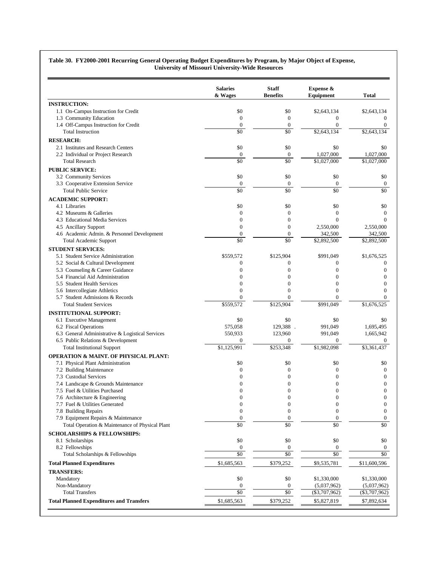|                                                                      | <b>Salaries</b><br>& Wages          | <b>Staff</b><br><b>Benefits</b>     | Expense &<br>Equipment           | <b>Total</b>                   |
|----------------------------------------------------------------------|-------------------------------------|-------------------------------------|----------------------------------|--------------------------------|
| <b>INSTRUCTION:</b>                                                  |                                     |                                     |                                  |                                |
| 1.1 On-Campus Instruction for Credit                                 | \$0                                 | \$0                                 | \$2,643,134                      | \$2,643,134                    |
| 1.3 Community Education                                              | $\mathbf{0}$                        | $\boldsymbol{0}$                    | $\overline{0}$                   | $\overline{0}$                 |
| 1.4 Off-Campus Instruction for Credit                                | $\boldsymbol{0}$                    | $\boldsymbol{0}$                    | $\overline{0}$                   | $\overline{0}$                 |
| <b>Total Instruction</b>                                             | \$0                                 | $\overline{50}$                     | \$2,643,134                      | \$2,643,134                    |
| <b>RESEARCH:</b>                                                     |                                     |                                     |                                  |                                |
| 2.1 Institutes and Research Centers                                  | \$0                                 | \$0                                 | \$0                              | \$0                            |
| 2.2 Individual or Project Research<br><b>Total Research</b>          | $\boldsymbol{0}$<br>$\overline{50}$ | $\boldsymbol{0}$<br>$\overline{50}$ | 1,027,000<br>\$1,027,000         | 1,027,000<br>\$1,027,000       |
|                                                                      |                                     |                                     |                                  |                                |
| <b>PUBLIC SERVICE:</b><br>3.2 Community Services                     | \$0                                 | \$0                                 | \$0                              | \$0                            |
| 3.3 Cooperative Extension Service                                    | $\boldsymbol{0}$                    | $\boldsymbol{0}$                    | $\boldsymbol{0}$                 | $\boldsymbol{0}$               |
| <b>Total Public Service</b>                                          | \$0                                 | \$0                                 | \$0                              | \$0                            |
| <b>ACADEMIC SUPPORT:</b>                                             |                                     |                                     |                                  |                                |
| 4.1 Libraries                                                        | \$0                                 | \$0                                 | \$0                              | \$0                            |
| 4.2 Museums & Galleries                                              | $\mathbf{0}$                        | $\mathbf{0}$                        | $\overline{0}$                   | $\overline{0}$                 |
| 4.3 Educational Media Services                                       | $\mathbf{0}$                        | $\boldsymbol{0}$                    | $\overline{0}$                   | $\overline{0}$                 |
| 4.5 Ancillary Support                                                | $\boldsymbol{0}$                    | $\boldsymbol{0}$                    | 2,550,000                        | 2,550,000                      |
| 4.6 Academic Admin. & Personnel Development                          | $\boldsymbol{0}$                    | $\boldsymbol{0}$                    | 342,500                          | 342,500                        |
| <b>Total Academic Support</b>                                        | \$0                                 | \$0                                 | \$2,892,500                      | \$2,892,500                    |
| <b>STUDENT SERVICES:</b>                                             |                                     |                                     |                                  |                                |
| 5.1 Student Service Administration                                   | \$559,572                           | \$125,904                           | \$991,049                        | \$1,676,525                    |
| 5.2 Social & Cultural Development                                    | $\boldsymbol{0}$<br>$\mathbf{0}$    | $\boldsymbol{0}$                    | $\overline{0}$                   | $\mathbf{0}$                   |
| 5.3 Counseling & Career Guidance<br>5.4 Financial Aid Administration | $\mathbf{0}$                        | $\boldsymbol{0}$<br>$\mathbf{0}$    | $\overline{0}$<br>$\overline{0}$ | $\mathbf{0}$<br>$\overline{0}$ |
| 5.5 Student Health Services                                          | $\mathbf{0}$                        | $\boldsymbol{0}$                    | $\overline{0}$                   | $\overline{0}$                 |
| 5.6 Intercollegiate Athletics                                        | $\mathbf{0}$                        | $\theta$                            | $\theta$                         | $\theta$                       |
| 5.7 Student Admissions & Records                                     | $\mathbf{0}$                        | $\theta$                            | $\overline{0}$                   | $\overline{0}$                 |
| <b>Total Student Services</b>                                        | \$559,572                           | \$125,904                           | \$991,049                        | $\overline{1,676,525}$         |
| <b>INSTITUTIONAL SUPPORT:</b>                                        |                                     |                                     |                                  |                                |
| 6.1 Executive Management                                             | \$0                                 | \$0                                 | \$0                              | \$0                            |
| 6.2 Fiscal Operations                                                | 575,058                             | 129,388.                            | 991,049                          | 1,695,495                      |
| 6.3 General Administrative & Logistical Services                     | 550,933                             | 123,960                             | 991,049                          | 1,665,942                      |
| 6.5 Public Relations & Development                                   | 0                                   | $\boldsymbol{0}$<br>\$253,348       | $\boldsymbol{0}$                 | 0                              |
| <b>Total Institutional Support</b>                                   | \$1,125,991                         |                                     | \$1,982,098                      | \$3,361,437                    |
| <b>OPERATION &amp; MAINT. OF PHYSICAL PLANT:</b>                     |                                     |                                     |                                  |                                |
| 7.1 Physical Plant Administration<br>7.2 Building Maintenance        | \$0<br>$\boldsymbol{0}$             | \$0<br>$\boldsymbol{0}$             | \$0<br>$\mathbf{0}$              | \$0<br>$\mathbf{0}$            |
| 7.3 Custodial Services                                               | $\mathbf{0}$                        | $\boldsymbol{0}$                    | $\overline{0}$                   | $\mathbf{0}$                   |
| 7.4 Landscape & Grounds Maintenance                                  | $\boldsymbol{0}$                    | $\boldsymbol{0}$                    | $\mathbf{0}$                     | $\mathbf{0}$                   |
| 7.5 Fuel & Utilities Purchased                                       | $\mathbf{0}$                        | $\mathbf{0}$                        | $\overline{0}$                   | $\overline{0}$                 |
| 7.6 Architecture & Engineering                                       | 0                                   | $\boldsymbol{0}$                    | $\boldsymbol{0}$                 | $\boldsymbol{0}$               |
| 7.7 Fuel & Utilities Generated                                       | $\boldsymbol{0}$                    | $\boldsymbol{0}$                    | $\mathbf{0}$                     | $\mathbf{0}$                   |
| 7.8 Building Repairs                                                 | $\boldsymbol{0}$                    | $\boldsymbol{0}$                    | $\overline{0}$                   | $\mathbf{0}$                   |
| 7.9 Equipment Repairs & Maintenance                                  | $\boldsymbol{0}$<br>\$0             | $\boldsymbol{0}$<br>\$0             | $\boldsymbol{0}$<br>\$0          | $\bf{0}$<br>\$0                |
| Total Operation & Maintenance of Physical Plant                      |                                     |                                     |                                  |                                |
| <b>SCHOLARSHIPS &amp; FELLOWSHIPS:</b>                               |                                     |                                     |                                  |                                |
| 8.1 Scholarships<br>8.2 Fellowships                                  | \$0<br>$\boldsymbol{0}$             | \$0<br>$\boldsymbol{0}$             | \$0<br>$\boldsymbol{0}$          | \$0<br>0                       |
| Total Scholarships & Fellowships                                     | $\sqrt{6}$                          | $\sqrt{6}$                          | $\sqrt{6}$                       | \$0                            |
| <b>Total Planned Expenditures</b>                                    | \$1,685,563                         | \$379,252                           | \$9,535,781                      | \$11,600,596                   |
| <b>TRANSFERS:</b>                                                    |                                     |                                     |                                  |                                |
| Mandatory                                                            | \$0                                 | \$0                                 | \$1,330,000                      | \$1,330,000                    |
| Non-Mandatory                                                        | $\boldsymbol{0}$                    | $\bf{0}$                            | (5,037,962)                      | (5,037,962)                    |
| <b>Total Transfers</b>                                               | $\overline{50}$                     | $\overline{50}$                     | $(\$3,707,962)$                  | $(\$3,707,962)$                |
| <b>Total Planned Expenditures and Transfers</b>                      | \$1,685,563                         | \$379,252                           | \$5,827,819                      | \$7,892,634                    |

#### **Table 30. FY2000-2001 Recurring General Operating Budget Expenditures by Program, by Major Object of Expense, University of Missouri University-Wide Resources**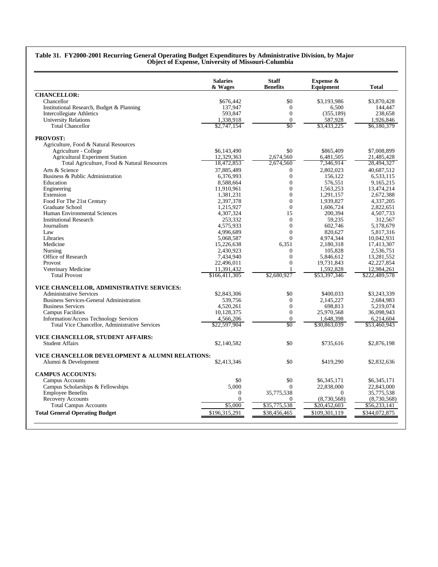|                                                 | <b>Salaries</b><br>& Wages  | <b>Staff</b><br><b>Benefits</b> | Expense &<br>Equipment    | <b>Total</b>                |
|-------------------------------------------------|-----------------------------|---------------------------------|---------------------------|-----------------------------|
| <b>CHANCELLOR:</b>                              |                             |                                 |                           |                             |
| Chancellor                                      | \$676,442                   | \$0                             | \$3,193,986               | \$3,870,428                 |
| Institutional Research, Budget & Planning       | 137,947                     | $\Omega$                        | 6,500                     | 144,447                     |
| <b>Intercollegiate Athletics</b>                | 593,847                     | $\boldsymbol{0}$                | (355, 189)                | 238,658                     |
| <b>University Relations</b>                     | 1,338,918                   | $\boldsymbol{0}$                | 587,928                   | 1,926,846                   |
| <b>Total Chancellor</b>                         | \$2,747,154                 | $\overline{50}$                 | \$3,433,225               | \$6,180,379                 |
| <b>PROVOST:</b>                                 |                             |                                 |                           |                             |
| Agriculture, Food & Natural Resources           |                             |                                 |                           |                             |
| Agriculture - College                           | \$6,143,490                 | \$0                             | \$865,409                 | \$7,008,899                 |
| <b>Agricultural Experiment Station</b>          | 12,329,363                  | 2,674,560                       | 6,481,505                 | 21,485,428                  |
| Total Agriculture, Food & Natural Resources     | 18,472,853                  | 2,674,560                       | 7,346,914                 | 28,494,327                  |
| Arts & Science                                  | 37,885,489                  | $\mathbf{0}$                    | 2,802,023                 | 40,687,512                  |
| Business & Public Administration                | 6,376,993                   | $\overline{0}$                  | 156,122                   | 6,533,115                   |
| Education                                       | 8,588,664                   | $\theta$                        | 576,551                   | 9,165,215                   |
| Engineering                                     | 11,910,961                  | $\overline{0}$                  | 1,563,253                 | 13,474,214                  |
| Extension                                       | 1,381,231                   | $\mathbf{0}$                    | 1,291,157                 | 2,672,388                   |
| Food For The 21st Century                       | 2,397,378                   | $\overline{0}$                  | 1,939,827                 | 4,337,205                   |
| <b>Graduate School</b>                          | 1,215,927                   | $\overline{0}$                  | 1,606,724                 | 2,822,651                   |
| Human Environmental Sciences                    | 4,307,324                   | 15                              | 200,394                   | 4,507,733                   |
| <b>Institutional Research</b>                   | 253,332                     | $\overline{0}$                  | 59,235                    | 312,567                     |
| Journalism                                      | 4,575,933                   | $\boldsymbol{0}$                | 602,746                   | 5,178,679                   |
| Law                                             | 4,996,689                   | $\overline{0}$                  | 820,627                   | 5,817,316                   |
| Libraries                                       | 5,068,587                   | $\mathbf{0}$                    | 4,974,344                 | 10,042,931                  |
| Medicine                                        | 15,226,638                  | 6,351                           | 2,180,318                 | 17,413,307                  |
| Nursing                                         | 2,430,923                   | $\mathbf{0}$                    | 105,828                   | 2,536,751                   |
| Office of Research                              | 7,434,940                   | $\overline{0}$                  | 5.846.612                 | 13,281,552                  |
| Provost                                         | 22,496,011                  | $\overline{0}$                  | 19,731,843                | 42,227,854                  |
|                                                 |                             | 1                               |                           |                             |
| Veterinary Medicine<br><b>Total Provost</b>     | 11,391,432<br>\$166,411,305 | \$2,680,927                     | 1,592,828<br>\$53,397,346 | 12,984,261<br>\$222,489,578 |
|                                                 |                             |                                 |                           |                             |
| VICE CHANCELLOR, ADMINISTRATIVE SERVICES:       |                             |                                 |                           |                             |
| <b>Administrative Services</b>                  | \$2,843,306                 | \$0                             | \$400,033                 | \$3,243,339                 |
| <b>Business Services-General Administration</b> | 539,756                     | $\overline{0}$                  | 2,145,227                 | 2,684,983                   |
| <b>Business Services</b>                        | 4,520,261                   | $\mathbf{0}$                    | 698,813                   | 5,219,074                   |
| <b>Campus Facilities</b>                        | 10,128,375                  | $\overline{0}$                  | 25,970,568                | 36,098,943                  |
| Information/Access Technology Services          | 4,566,206                   | $\overline{0}$                  | 1,648,398                 | 6,214,604                   |
| Total Vice Chancellor, Administrative Services  | \$22,597,904                | \$0                             | \$30,863,039              | \$53,460,943                |
| VICE CHANCELLOR, STUDENT AFFAIRS:               |                             |                                 |                           |                             |
| <b>Student Affairs</b>                          | \$2,140,582                 | \$0                             | \$735,616                 | \$2,876,198                 |
| VICE CHANCELLOR DEVELOPMENT & ALUMNI RELATIONS: |                             |                                 |                           |                             |
| Alumni & Development                            | \$2,413,346                 | \$0                             | \$419,290                 | \$2,832,636                 |
| <b>CAMPUS ACCOUNTS:</b>                         |                             |                                 |                           |                             |
| Campus Accounts                                 | \$0                         | \$0                             | \$6,345,171               | \$6,345,171                 |
| Campus Scholarships & Fellowships               | 5.000                       | $\Omega$                        | 22,838,000                | 22,843,000                  |
| <b>Employee Benefits</b>                        | $\Omega$                    | 35,775,538                      | $\Omega$                  | 35,775,538                  |
| <b>Recovery Accounts</b>                        | $\Omega$                    | $\Omega$                        | (8,730,568)               | (8,730,568)                 |
| <b>Total Campus Accounts</b>                    | \$5,000                     | \$35,775,538                    | \$20,452,603              | \$56,233,141                |
| <b>Total General Operating Budget</b>           | \$196,315,291               | \$38,456,465                    | \$109,301,119             | \$344,072,875               |

#### **Table 31. FY2000-2001 Recurring General Operating Budget Expenditures by Administrative Division, by Major Object of Expense, University of Missouri-Columbia**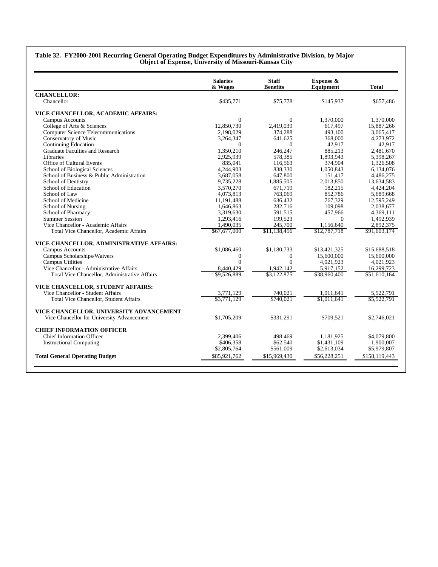#### **Table 32. FY2000-2001 Recurring General Operating Budget Expenditures by Administrative Division, by Major Object of Expense, University of Missouri-Kansas City**

|                                               | <b>Salaries</b><br>& Wages | <b>Staff</b><br><b>Benefits</b> | Expense &<br>Equipment | Total         |
|-----------------------------------------------|----------------------------|---------------------------------|------------------------|---------------|
| <b>CHANCELLOR:</b>                            |                            |                                 |                        |               |
| Chancellor                                    | \$435,771                  | \$75,778                        | \$145,937              | \$657,486     |
| VICE CHANCELLOR, ACADEMIC AFFAIRS:            |                            |                                 |                        |               |
| Campus Accounts                               | $\Omega$                   | $\Omega$                        | 1.370.000              | 1.370,000     |
| College of Arts & Sciences                    | 12,850,730                 | 2,419,039                       | 617,497                | 15,887,266    |
| <b>Computer Science Telecommunications</b>    | 2,198,029                  | 374,288                         | 493,100                | 3,065,417     |
| Conservatory of Music                         | 3,264,347                  | 641,625                         | 368,000                | 4,273,972     |
| Continuing Education                          | $\Omega$                   | $\Omega$                        | 42,917                 | 42,917        |
| Graduate Faculties and Research               | 1.350.210                  | 246,247                         | 885.213                | 2.481.670     |
| Libraries                                     | 2,925,939                  | 578,385                         | 1,893,943              | 5,398,267     |
| Office of Cultural Events                     | 835,041                    | 116,563                         | 374,904                | 1,326,508     |
| School of Biological Sciences                 | 4,244,903                  | 838,330                         | 1.050.843              | 6,134,076     |
| School of Business & Public Administration    | 3,687,058                  | 647,800                         | 151,417                | 4,486,275     |
| School of Dentistry                           | 9,735,228                  | 1,885,505                       | 2,013,850              | 13,634,583    |
| School of Education                           | 3,570,270                  | 671,719                         | 182,215                | 4,424,204     |
| School of Law                                 | 4,073,813                  | 763,069                         | 852,786                | 5,689,668     |
| School of Medicine                            | 11,191,488                 | 636,432                         | 767,329                | 12,595,249    |
| School of Nursing                             | 1.646.863                  | 282.716                         | 109.098                | 2,038,677     |
| School of Pharmacy                            | 3,319,630                  | 591,515                         | 457,966                | 4,369,111     |
| <b>Summer Session</b>                         | 1,293,416                  | 199,523                         | $\Omega$               | 1,492,939     |
| Vice Chancellor - Academic Affairs            | 1,490,035                  | 245,700                         | 1,156,640              | 2,892,375     |
| Total Vice Chancellor, Academic Affairs       | \$67,677,000               | \$11,138,456                    | \$12,787,718           | \$91,603,174  |
|                                               |                            |                                 |                        |               |
| VICE CHANCELLOR, ADMINISTRATIVE AFFAIRS:      |                            |                                 |                        |               |
| Campus Accounts                               | \$1,086,460                | \$1,180,733                     | \$13,421,325           | \$15,688,518  |
| Campus Scholarships/Waivers                   | $\Omega$                   | $\overline{0}$                  | 15,600,000             | 15,600,000    |
| Campus Utilities                              | $\theta$                   | $\Omega$                        | 4.021.923              | 4.021.923     |
| Vice Chancellor - Administrative Affairs      | 8,440,429                  | 1,942,142                       | 5,917,152              | 16,299,723    |
| Total Vice Chancellor, Administrative Affairs | \$9,526,889                | \$3,122,875                     | \$38,960,400           | \$51,610,164  |
| VICE CHANCELLOR, STUDENT AFFAIRS:             |                            |                                 |                        |               |
| Vice Chancellor - Student Affairs             | 3,771,129                  | 740,021                         | 1,011,641              | 5,522,791     |
| Total Vice Chancellor, Student Affairs        | \$3,771,129                | \$740.021                       | \$1.011.641            | \$5,522,791   |
| VICE CHANCELLOR, UNIVERSITY ADVANCEMENT       |                            |                                 |                        |               |
| Vice Chancellor for University Advancement    | \$1,705,209                | \$331,291                       | \$709,521              | \$2,746,021   |
|                                               |                            |                                 |                        |               |
| <b>CHIEF INFORMATION OFFICER</b>              |                            |                                 |                        |               |
| <b>Chief Information Officer</b>              | 2,399,406                  | 498,469                         | 1,181,925              | \$4,079,800   |
| <b>Instructional Computing</b>                | \$406,358                  | \$62,540                        | \$1,431,109            | 1.900.007     |
|                                               | \$2,805,764                | \$561,009                       | \$2,613,034            | \$5,979,807   |
| <b>Total General Operating Budget</b>         | \$85,921,762               | \$15,969,430                    | \$56,228,251           | \$158,119,443 |
|                                               |                            |                                 |                        |               |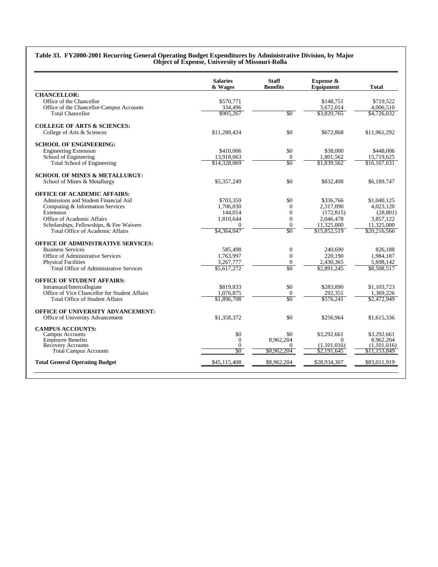#### **Table 33. FY2000-2001 Recurring General Operating Budget Expenditures by Administrative Division, by Major Object of Expense, University of Missouri-Rolla**

|                                               | <b>Salaries</b><br>& Wages | <b>Staff</b><br><b>Benefits</b> | Expense &<br>Equipment  | <b>Total</b>             |
|-----------------------------------------------|----------------------------|---------------------------------|-------------------------|--------------------------|
| <b>CHANCELLOR:</b>                            |                            |                                 |                         |                          |
| Office of the Chancellor                      | \$570,771                  |                                 | \$148,751               | \$719,522                |
| Office of the Chancellor-Campus Accounts      | 334,496                    |                                 | 3,672,014               | 4,006,510                |
| <b>Total Chancellor</b>                       | \$905,267                  | $\sqrt{30}$                     | \$3,820,765             | \$4,726,032              |
| <b>COLLEGE OF ARTS &amp; SCIENCES:</b>        |                            |                                 |                         |                          |
| College of Arts & Sciences                    | \$11,288,424               | \$0                             | \$672,868               | \$11,961,292             |
| <b>SCHOOL OF ENGINEERING:</b>                 |                            |                                 |                         |                          |
| <b>Engineering Extension</b>                  | \$410,006                  | \$0                             | \$38,000                | \$448,006                |
| School of Engineering                         | 13,918,063                 | $\overline{0}$                  | 1,801,562               | 15,719,625               |
| Total School of Engineering                   | \$14,328,069               | \$0                             | \$1,839,562             | \$16,167,631             |
| <b>SCHOOL OF MINES &amp; METALLURGY:</b>      |                            |                                 |                         |                          |
| School of Mines & Metallurgy                  | \$5,357,249                | \$0                             | \$832,498               | \$6,189,747              |
| <b>OFFICE OF ACADEMIC AFFAIRS:</b>            |                            |                                 |                         |                          |
| Admissions and Student Financial Aid          | \$703,359                  | \$0                             | \$336,766               | \$1,040,125              |
| Computing & Information Services              | 1.706.030                  | $\Omega$                        | 2,317,090               | 4,023,120                |
| Extension                                     | 144.014                    | $\Omega$                        | (172, 815)              | (28, 801)                |
| Office of Academic Affairs                    | 1,810,644                  | $\overline{0}$                  | 2,046,478               | 3,857,122                |
| Scholarships, Fellowships, & Fee Waivers      | $\Omega$                   | $\Omega$                        | 11,325,000              | 11,325,000               |
| Total Office of Academic Affairs              | \$4,364,047                | \$0                             | \$15,852,519            | \$20,216,566             |
| <b>OFFICE OF ADMINISTRATIVE SERVICES:</b>     |                            |                                 |                         |                          |
| <b>Business Services</b>                      | 585,498                    | $\boldsymbol{0}$                | 240,690                 | 826.188                  |
| Office of Administrative Services             | 1,763,997                  | $\overline{0}$                  | 220,190                 | 1,984,187                |
| <b>Physical Facilities</b>                    | 3,267,777                  | $\overline{0}$                  | 2,430,365               | 5,698,142                |
| Total Office of Administrative Services       | \$5,617,272                | \$0                             | \$2,891,245             | \$8,508,517              |
| <b>OFFICE OF STUDENT AFFAIRS:</b>             |                            |                                 |                         |                          |
| Intramural/Intercollegiate                    | \$819,833                  | \$0                             | \$283,890               | \$1,103,723              |
| Office of Vice Chancellor for Student Affairs | 1,076,875                  | $\mathbf{0}$                    | 292,351                 | 1,369,226                |
| <b>Total Office of Student Affairs</b>        | \$1,896,708                | \$0                             | \$576.241               | \$2,472,949              |
| <b>OFFICE OF UNIVERSITY ADVANCEMENT:</b>      |                            |                                 |                         |                          |
| Office of University Advancement              | \$1,358,372                | \$0                             | \$256.964               | \$1,615,336              |
| <b>CAMPUS ACCOUNTS:</b>                       |                            |                                 |                         |                          |
| Campus Accounts                               | \$0                        | \$0<br>8.962.204                | \$3,292,661             | \$3,292,661              |
| <b>Employee Benefits</b><br>Recovery Accounts | $\Omega$<br>$\theta$       | $\Omega$                        | $\Omega$<br>(1,101,016) | 8.962.204<br>(1,101,016) |
| <b>Total Campus Accounts</b>                  | SO                         | \$8,962,204                     | \$2,191,645             | \$11,153,849             |
| <b>Total General Operating Budget</b>         | \$45,115,408               | \$8,962,204                     | \$28,934,307            | \$83,011.919             |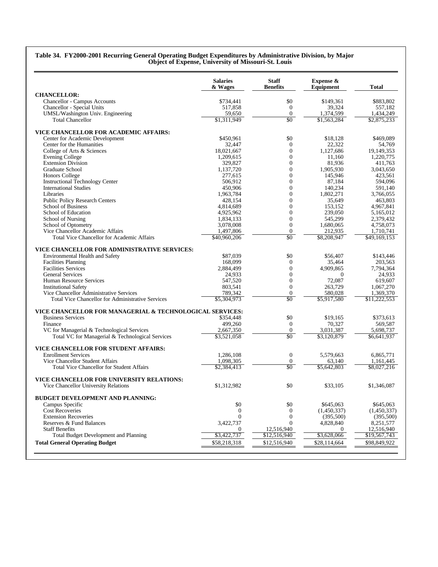#### **Table 34. FY2000-2001 Recurring General Operating Budget Expenditures by Administrative Division, by Major Object of Expense, University of Missouri-St. Louis**

|                                                                | <b>Salaries</b><br>& Wages | <b>Staff</b><br><b>Benefits</b> | Expense &<br>Equipment | <b>Total</b> |
|----------------------------------------------------------------|----------------------------|---------------------------------|------------------------|--------------|
| <b>CHANCELLOR:</b>                                             |                            |                                 |                        |              |
| Chancellor - Campus Accounts                                   | \$734,441                  | \$0                             | \$149,361              | \$883,802    |
| Chancellor - Special Units                                     | 517,858                    | $\boldsymbol{0}$                | 39.324                 | 557,182      |
| UMSL/Washington Univ. Engineering                              | 59,650                     | $\overline{0}$                  | 1,374,599              | 1,434,249    |
| <b>Total Chancellor</b>                                        | \$1,311,949                | \$0                             | \$1,563,284            | \$2,875,233  |
| VICE CHANCELLOR FOR ACADEMIC AFFAIRS:                          |                            |                                 |                        |              |
| Center for Academic Development                                | \$450,961                  | \$0                             | \$18,128               | \$469,089    |
| Center for the Humanities                                      | 32,447                     | $\mathbf{0}$                    | 22,322                 | 54,769       |
| College of Arts & Sciences                                     | 18,021,667                 | $\overline{0}$                  | 1,127,686              | 19,149,353   |
| Evening College                                                | 1,209,615                  | $\mathbf{0}$                    | 11,160                 | 1,220,775    |
| <b>Extension Division</b>                                      | 329,827                    | $\mathbf{0}$                    | 81,936                 | 411,763      |
| Graduate School                                                | 1,137,720                  | $\mathbf{0}$                    | 1,905,930              | 3,043,650    |
| <b>Honors College</b>                                          | 277,615                    | $\mathbf{0}$                    | 145,946                | 423,561      |
| <b>Instructional Technology Center</b>                         | 506,912                    | $\mathbf{0}$                    | 87,184                 | 594,096      |
| <b>International Studies</b>                                   | 450,906                    | $\mathbf{0}$                    | 140,234                | 591,140      |
| Libraries                                                      | 1,963,784                  | $\overline{0}$                  | 1,802,271              | 3,766,055    |
| <b>Public Policy Research Centers</b>                          | 428,154                    | $\mathbf{0}$                    | 35,649                 | 463,803      |
| School of Business                                             | 4,814,689                  | $\mathbf{0}$                    | 153,152                | 4,967,841    |
| School of Education                                            | 4,925,962                  | $\Omega$                        | 239,050                | 5,165,012    |
| School of Nursing                                              | 1,834,133                  | $\mathbf{0}$                    | 545,299                | 2,379,432    |
| School of Optometry                                            | 3,078,008                  | $\boldsymbol{0}$                | 1,680,065              | 4,758,073    |
| Vice Chancellor Academic Affairs                               | 1,497,806                  | $\boldsymbol{0}$                | 212,935                | 1,710,741    |
| Total Vice Chancellor for Academic Affairs                     | \$40,960,206               | \$0                             | \$8,208,947            | \$49,169,153 |
| VICE CHANCELLOR FOR ADMINISTRATIVE SERVICES:                   |                            |                                 |                        |              |
| Environmental Health and Safety                                | \$87,039                   | \$0                             | \$56,407               | \$143,446    |
| <b>Facilities Planning</b>                                     | 168,099                    | $\mathbf{0}$                    | 35,464                 | 203,563      |
| <b>Facilities Services</b>                                     | 2,884,499                  | $\Omega$                        | 4,909,865              | 7,794,364    |
| <b>General Services</b>                                        | 24.933                     | $\mathbf{0}$                    | $\mathbf{0}$           | 24.933       |
| Human Resource Services                                        | 547,520                    | $\mathbf{0}$                    | 72,087                 | 619,607      |
| <b>Institutional Safety</b>                                    | 803,541                    | $\boldsymbol{0}$                | 263,729                | 1,067,270    |
| Vice Chancellor Administrative Services                        | 789,342                    | $\boldsymbol{0}$                | 580,028                | 1,369,370    |
| Total Vice Chancellor for Administrative Services              | \$5,304,973                | $\overline{50}$                 | \$5,917,580            | \$11,222,553 |
| VICE CHANCELLOR FOR MANAGERIAL & TECHNOLOGICAL SERVICES:       |                            |                                 |                        |              |
| <b>Business Services</b>                                       | \$354,448                  | \$0                             | \$19,165               | \$373,613    |
| Finance                                                        | 499,260                    | $\mathbf{0}$                    | 70,327                 | 569,587      |
| VC for Managerial & Technological Services                     | 2,667,350                  | $\boldsymbol{0}$                | 3,031,387              | 5,698,737    |
| Total VC for Managerial & Technological Services               | \$3,521,058                | \$0                             | \$3,120,879            | \$6,641,937  |
| VICE CHANCELLOR FOR STUDENT AFFAIRS:                           |                            |                                 |                        |              |
| <b>Enrollment Services</b>                                     | 1,286,108                  | $\boldsymbol{0}$                | 5,579,663              | 6,865,771    |
| Vice Chancellor Student Affairs                                | 1,098,305                  | $\boldsymbol{0}$                | 63,140                 | 1,161,445    |
| <b>Total Vice Chancellor for Student Affairs</b>               | \$2,384,413                | \$0                             | \$5,642,803            | \$8,027,216  |
| VICE CHANCELLOR FOR UNIVERSITY RELATIONS:                      |                            |                                 |                        |              |
| Vice Chancellor University Relations                           | \$1,312,982                | \$0                             | \$33,105               | \$1,346,087  |
|                                                                |                            |                                 |                        |              |
| <b>BUDGET DEVELOPMENT AND PLANNING:</b>                        |                            |                                 |                        |              |
| Campus Specific                                                | \$0                        | \$0                             | \$645,063              | \$645.063    |
| <b>Cost Recoveries</b>                                         | $\boldsymbol{0}$           | $\mathbf{0}$                    | (1,450,337)            | (1,450,337)  |
| <b>Extension Recoveries</b><br>Reserves & Fund Balances        | $\mathbf{0}$               | $\boldsymbol{0}$                | (395,500)              | (395,500)    |
|                                                                | 3,422,737                  | $\overline{0}$                  | 4,828,840              | 8,251,577    |
| <b>Staff Benefits</b><br>Total Budget Development and Planning | 0                          | 12,516,940                      | $\overline{0}$         | 12,516,940   |
|                                                                | \$3,422,737                | \$12,516,940                    | \$3,628,066            | \$19,567,743 |
| <b>Total General Operating Budget</b>                          | \$58,218,318               | \$12,516,940                    | \$28,114,664           | \$98,849,922 |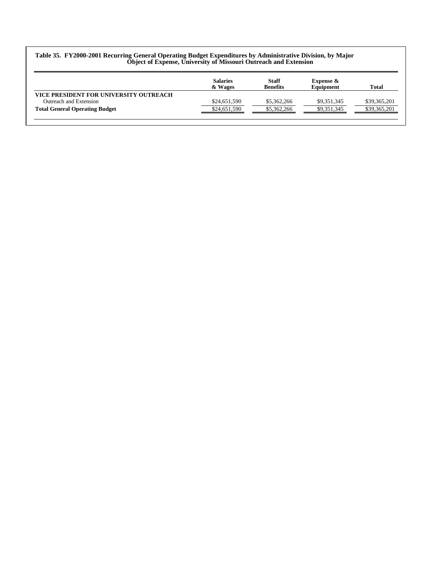#### **Table 35. FY2000-2001 Recurring General Operating Budget Expenditures by Administrative Division, by Major Object of Expense, University of Missouri Outreach and Extension**

|                                        | <b>Salaries</b><br>& Wages | <b>Staff</b><br><b>Benefits</b> | <b>Expense &amp;</b><br>Equipment | Total        |
|----------------------------------------|----------------------------|---------------------------------|-----------------------------------|--------------|
| VICE PRESIDENT FOR UNIVERSITY OUTREACH |                            |                                 |                                   |              |
| Outreach and Extension                 | \$24,651,590               | \$5,362,266                     | \$9,351,345                       | \$39,365,201 |
| <b>Total General Operating Budget</b>  | \$24,651,590               | \$5,362,266                     | \$9,351,345                       | \$39,365,201 |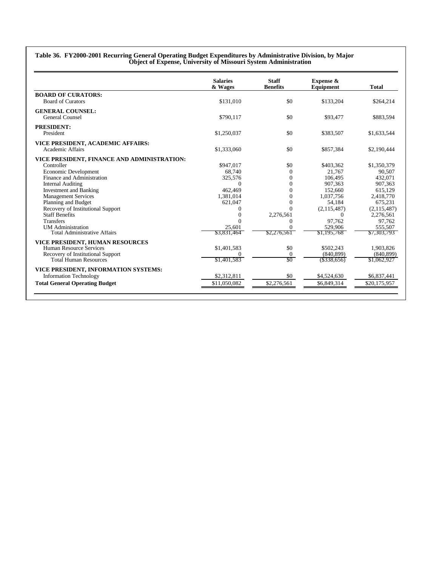|                                                       | <b>Salaries</b><br>& Wages | <b>Staff</b><br><b>Benefits</b> | <b>Expense &amp;</b><br>Equipment | <b>Total</b> |
|-------------------------------------------------------|----------------------------|---------------------------------|-----------------------------------|--------------|
| <b>BOARD OF CURATORS:</b>                             |                            |                                 |                                   |              |
| <b>Board of Curators</b>                              | \$131,010                  | \$0                             | \$133,204                         | \$264,214    |
| <b>GENERAL COUNSEL:</b>                               |                            |                                 |                                   |              |
| <b>General Counsel</b>                                | \$790,117                  | \$0                             | \$93,477                          | \$883,594    |
| <b>PRESIDENT:</b>                                     |                            |                                 |                                   |              |
| President                                             | \$1,250,037                | \$0                             | \$383,507                         | \$1,633,544  |
|                                                       |                            |                                 |                                   |              |
| VICE PRESIDENT, ACADEMIC AFFAIRS:<br>Academic Affairs | \$1,333,060                | \$0                             | \$857,384                         | \$2,190,444  |
|                                                       |                            |                                 |                                   |              |
| VICE PRESIDENT, FINANCE AND ADMINISTRATION:           |                            |                                 |                                   |              |
| Controller                                            | \$947,017                  | \$0                             | \$403,362                         | \$1,350,379  |
| Economic Development                                  | 68,740                     | $\Omega$                        | 21,767                            | 90,507       |
| Finance and Administration                            | 325,576                    | $\theta$                        | 106,495                           | 432,071      |
| <b>Internal Auditing</b>                              | $\Omega$                   | $\Omega$                        | 907,363                           | 907,363      |
| <b>Investment and Banking</b>                         | 462,469                    | $\Omega$                        | 152,660                           | 615,129      |
| <b>Management Services</b>                            | 1,381,014                  | $\theta$                        | 1.037.756                         | 2,418,770    |
| Planning and Budget                                   | 621,047                    | $\overline{0}$                  | 54,184                            | 675,231      |
| Recovery of Institutional Support                     | $\Omega$                   | $\Omega$                        | (2,115,487)                       | (2,115,487)  |
| <b>Staff Benefits</b>                                 | $\mathbf{0}$               | 2,276,561                       | $^{\circ}$                        | 2,276,561    |
| Transfers                                             | $\Omega$                   | 0                               | 97.762                            | 97.762       |
| <b>UM</b> Administration                              | 25,601                     | $\theta$                        | 529,906                           | 555,507      |
| <b>Total Administrative Affairs</b>                   | \$3,831,464                | \$2,276,561                     | \$1,195,768                       | \$7,303,793  |
| VICE PRESIDENT, HUMAN RESOURCES                       |                            |                                 |                                   |              |
| Human Resource Services                               | \$1,401,583                | \$0                             | \$502,243                         | 1,903,826    |
| Recovery of Institutional Support                     | $\Omega$                   | $\mathbf{0}$                    | (840, 899)                        | (840, 899)   |
| Total Human Resources                                 | \$1,401,583                | \$0                             | $($ \$338,656)                    | \$1,062,927  |
| VICE PRESIDENT, INFORMATION SYSTEMS:                  |                            |                                 |                                   |              |
| <b>Information Technology</b>                         | \$2,312,811                | \$0                             | \$4,524,630                       | \$6,837,441  |
| <b>Total General Operating Budget</b>                 | \$11,050,082               | \$2,276,561                     | \$6,849,314                       | \$20,175,957 |

**Table 36. FY2000-2001 Recurring General Operating Budget Expenditures by Administrative Division, by Major**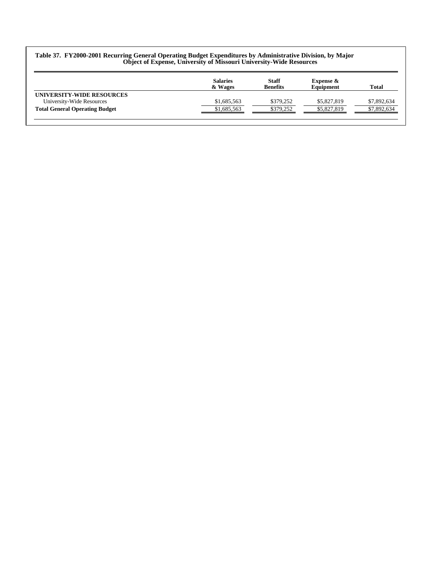#### **Table 37. FY2000-2001 Recurring General Operating Budget Expenditures by Administrative Division, by Major Object of Expense, University of Missouri University-Wide Resources**

|                                       | <b>Salaries</b><br>& Wages | <b>Staff</b><br><b>Benefits</b> | Expense $\&$<br>Equipment | Total       |
|---------------------------------------|----------------------------|---------------------------------|---------------------------|-------------|
| UNIVERSITY-WIDE RESOURCES             |                            |                                 |                           |             |
| University-Wide Resources             | \$1,685,563                | \$379.252                       | \$5,827,819               | \$7,892,634 |
| <b>Total General Operating Budget</b> | \$1,685,563                | \$379.252                       | \$5,827,819               | \$7,892,634 |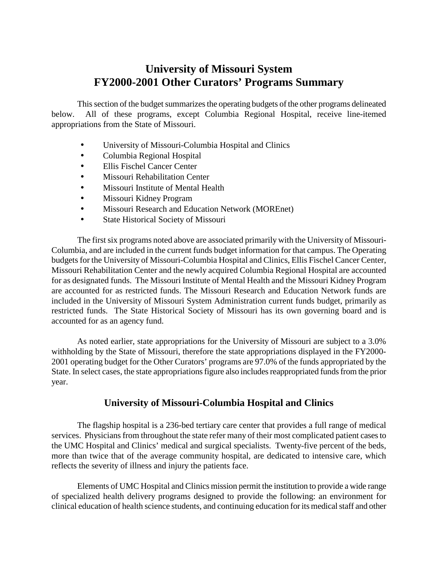# **University of Missouri System FY2000-2001 Other Curators' Programs Summary**

This section of the budget summarizes the operating budgets of the other programs delineated below. All of these programs, except Columbia Regional Hospital, receive line-itemed appropriations from the State of Missouri.

- University of Missouri-Columbia Hospital and Clinics
- Columbia Regional Hospital
- Ellis Fischel Cancer Center
- Missouri Rehabilitation Center
- Missouri Institute of Mental Health
- Missouri Kidney Program
- Missouri Research and Education Network (MOREnet)
- State Historical Society of Missouri

The first six programs noted above are associated primarily with the University of Missouri-Columbia, and are included in the current funds budget information for that campus. The Operating budgets for the University of Missouri-Columbia Hospital and Clinics, Ellis Fischel Cancer Center, Missouri Rehabilitation Center and the newly acquired Columbia Regional Hospital are accounted for as designated funds. The Missouri Institute of Mental Health and the Missouri Kidney Program are accounted for as restricted funds. The Missouri Research and Education Network funds are included in the University of Missouri System Administration current funds budget, primarily as restricted funds. The State Historical Society of Missouri has its own governing board and is accounted for as an agency fund.

 withholding by the State of Missouri, therefore the state appropriations displayed in the FY2000 State. In select cases, the state appropriations figure also includes reappropriated funds from the prior As noted earlier, state appropriations for the University of Missouri are subject to a 3.0% 2001 operating budget for the Other Curators' programs are 97.0% of the funds appropriated by the year.

## **University of Missouri-Columbia Hospital and Clinics**

 The flagship hospital is a 236-bed tertiary care center that provides a full range of medical services. Physicians from throughout the state refer many of their most complicated patient cases to the UMC Hospital and Clinics' medical and surgical specialists. Twenty-five percent of the beds, more than twice that of the average community hospital, are dedicated to intensive care, which reflects the severity of illness and injury the patients face.

 Elements of UMC Hospital and Clinics mission permit the institution to provide a wide range clinical education of health science students, and continuing education for its medical staff and other of specialized health delivery programs designed to provide the following: an environment for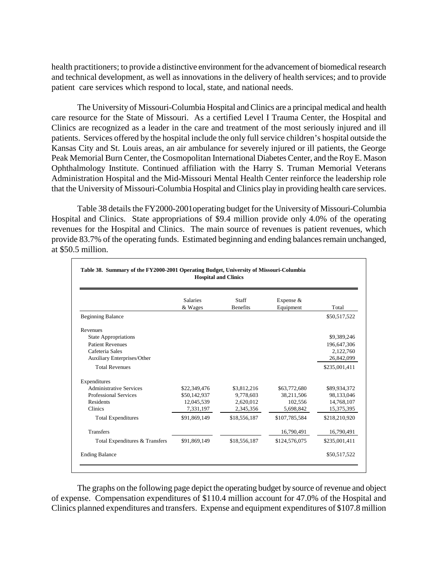health practitioners; to provide a distinctive environment for the advancement of biomedical research and technical development, as well as innovations in the delivery of health services; and to provide patient care services which respond to local, state, and national needs.

 The University of Missouri-Columbia Hospital and Clinics are a principal medical and health Clinics are recognized as a leader in the care and treatment of the most seriously injured and ill patients. Services offered by the hospital include the only full service children's hospital outside the Kansas City and St. Louis areas, an air ambulance for severely injured or ill patients, the George Peak Memorial Burn Center, the Cosmopolitan International Diabetes Center, and the Roy E. Mason Administration Hospital and the Mid-Missouri Mental Health Center reinforce the leadership role that the University of Missouri-Columbia Hospital and Clinics play in providing health care services. care resource for the State of Missouri. As a certified Level I Trauma Center, the Hospital and Ophthalmology Institute. Continued affiliation with the Harry S. Truman Memorial Veterans

 Table 38 details the FY2000-2001operating budget for the University of Missouri-Columbia provide 83.7% of the operating funds. Estimated beginning and ending balances remain unchanged, Hospital and Clinics. State appropriations of \$9.4 million provide only 4.0% of the operating revenues for the Hospital and Clinics. The main source of revenues is patient revenues, which at \$50.5 million.

|                                    | <b>Salaries</b><br>& Wages | Staff<br><b>Benefits</b> | Expense &<br>Equipment | Total         |
|------------------------------------|----------------------------|--------------------------|------------------------|---------------|
| <b>Beginning Balance</b>           |                            |                          |                        | \$50,517,522  |
| Revenues                           |                            |                          |                        |               |
| <b>State Appropriations</b>        |                            |                          |                        | \$9,389,246   |
| <b>Patient Revenues</b>            |                            |                          |                        | 196,647,306   |
| Cafeteria Sales                    |                            |                          |                        | 2,122,760     |
| <b>Auxiliary Enterprises/Other</b> |                            |                          |                        | 26,842,099    |
| <b>Total Revenues</b>              |                            |                          |                        | \$235,001,411 |
| Expenditures                       |                            |                          |                        |               |
| <b>Administrative Services</b>     | \$22,349,476               | \$3,812,216              | \$63,772,680           | \$89,934,372  |
| Professional Services              | \$50,142,937               | 9,778,603                | 38,211,506             | 98,133,046    |
| Residents                          | 12,045,539                 | 2,620,012                | 102,556                | 14,768,107    |
| Clinics                            | 7,331,197                  | 2,345,356                | 5,698,842              | 15,375,395    |
| <b>Total Expenditures</b>          | \$91,869,149               | \$18,556,187             | \$107,785,584          | \$218,210,920 |
| <b>Transfers</b>                   |                            |                          | 16,790,491             | 16,790,491    |
| Total Expenditures & Transfers     | \$91,869,149               | \$18,556,187             | \$124,576,075          | \$235,001,411 |

 The graphs on the following page depict the operating budget by source of revenue and object of expense. Compensation expenditures of \$110.4 million account for 47.0% of the Hospital and Clinics planned expenditures and transfers. Expense and equipment expenditures of \$107.8 million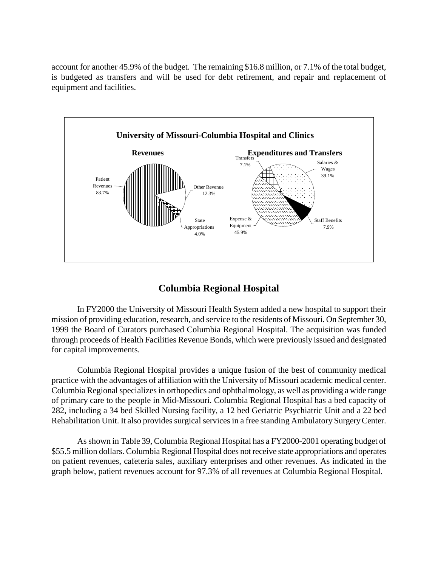account for another 45.9% of the budget. The remaining \$16.8 million, or 7.1% of the total budget, is budgeted as transfers and will be used for debt retirement, and repair and replacement of equipment and facilities.



# **Columbia Regional Hospital**

 mission of providing education, research, and service to the residents of Missouri. On September 30, through proceeds of Health Facilities Revenue Bonds, which were previously issued and designated In FY2000 the University of Missouri Health System added a new hospital to support their 1999 the Board of Curators purchased Columbia Regional Hospital. The acquisition was funded for capital improvements.

 of primary care to the people in Mid-Missouri. Columbia Regional Hospital has a bed capacity of Rehabilitation Unit. It also provides surgical services in a free standing Ambulatory Surgery Center. Columbia Regional Hospital provides a unique fusion of the best of community medical practice with the advantages of affiliation with the University of Missouri academic medical center. Columbia Regional specializes in orthopedics and ophthalmology, as well as providing a wide range 282, including a 34 bed Skilled Nursing facility, a 12 bed Geriatric Psychiatric Unit and a 22 bed

 As shown in Table 39, Columbia Regional Hospital has a FY2000-2001 operating budget of \$55.5 million dollars. Columbia Regional Hospital does not receive state appropriations and operates on patient revenues, cafeteria sales, auxiliary enterprises and other revenues. As indicated in the graph below, patient revenues account for 97.3% of all revenues at Columbia Regional Hospital.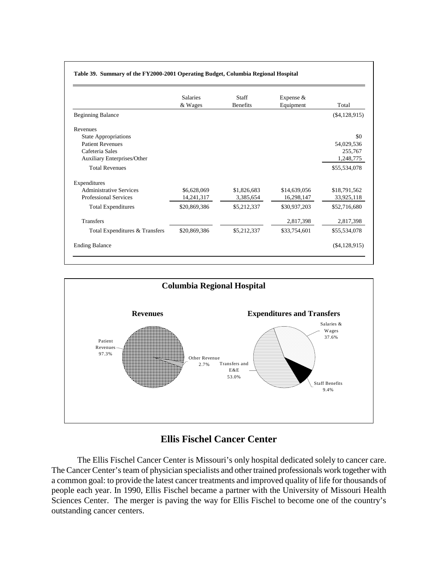|                                | Salaries     | <b>Staff</b>    | Expense &    |                 |
|--------------------------------|--------------|-----------------|--------------|-----------------|
|                                | & Wages      | <b>Benefits</b> | Equipment    | Total           |
| <b>Beginning Balance</b>       |              |                 |              | $(\$4,128,915)$ |
| Revenues                       |              |                 |              |                 |
| <b>State Appropriations</b>    |              |                 |              | \$0             |
| <b>Patient Revenues</b>        |              |                 |              | 54,029,536      |
| Cafeteria Sales                |              |                 |              | 255,767         |
| Auxiliary Enterprises/Other    |              |                 |              | 1,248,775       |
| <b>Total Revenues</b>          |              |                 |              | \$55,534,078    |
| Expenditures                   |              |                 |              |                 |
| <b>Administrative Services</b> | \$6,628,069  | \$1,826,683     | \$14,639,056 | \$18,791,562    |
| Professional Services          | 14,241,317   | 3,385,654       | 16,298,147   | 33,925,118      |
| <b>Total Expenditures</b>      | \$20,869,386 | \$5,212,337     | \$30,937,203 | \$52,716,680    |
| <b>Transfers</b>               |              |                 | 2,817,398    | 2,817,398       |
| Total Expenditures & Transfers | \$20,869,386 | \$5,212,337     | \$33,754,601 | \$55,534,078    |
| <b>Ending Balance</b>          |              |                 |              | $(\$4,128,915)$ |



# **Ellis Fischel Cancer Center**

 The Ellis Fischel Cancer Center is Missouri's only hospital dedicated solely to cancer care. The Cancer Center's team of physician specialists and other trained professionals work together with a common goal: to provide the latest cancer treatments and improved quality of life for thousands of people each year. In 1990, Ellis Fischel became a partner with the University of Missouri Health Sciences Center. The merger is paving the way for Ellis Fischel to become one of the country's outstanding cancer centers.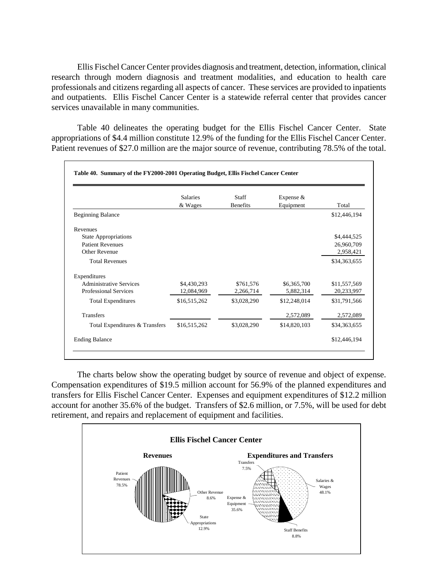Ellis Fischel Cancer Center provides diagnosis and treatment, detection, information, clinical research through modern diagnosis and treatment modalities, and education to health care professionals and citizens regarding all aspects of cancer. These services are provided to inpatients and outpatients. Ellis Fischel Cancer Center is a statewide referral center that provides cancer services unavailable in many communities.

Table 40 delineates the operating budget for the Ellis Fischel Cancer Center. State appropriations of \$4.4 million constitute 12.9% of the funding for the Ellis Fischel Cancer Center. Patient revenues of \$27.0 million are the major source of revenue, contributing 78.5% of the total.

|                                | <b>Salaries</b><br>& Wages | <b>Staff</b><br><b>Benefits</b> | Expense $&$<br>Equipment | Total        |
|--------------------------------|----------------------------|---------------------------------|--------------------------|--------------|
| <b>Beginning Balance</b>       |                            |                                 |                          | \$12,446,194 |
| Revenues                       |                            |                                 |                          |              |
| <b>State Appropriations</b>    |                            |                                 |                          | \$4,444,525  |
| <b>Patient Revenues</b>        |                            |                                 |                          | 26,960,709   |
| Other Revenue                  |                            |                                 |                          | 2,958,421    |
| <b>Total Revenues</b>          |                            |                                 |                          | \$34,363,655 |
| Expenditures                   |                            |                                 |                          |              |
| <b>Administrative Services</b> | \$4,430,293                | \$761,576                       | \$6,365,700              | \$11,557,569 |
| <b>Professional Services</b>   | 12,084,969                 | 2,266,714                       | 5,882,314                | 20,233,997   |
| <b>Total Expenditures</b>      | \$16,515,262               | \$3,028,290                     | \$12,248,014             | \$31,791,566 |
| <b>Transfers</b>               |                            |                                 | 2,572,089                | 2,572,089    |
| Total Expenditures & Transfers | \$16,515,262               | \$3,028,290                     | \$14,820,103             | \$34,363,655 |
| <b>Ending Balance</b>          |                            |                                 |                          | \$12,446,194 |

The charts below show the operating budget by source of revenue and object of expense. Compensation expenditures of \$19.5 million account for 56.9% of the planned expenditures and transfers for Ellis Fischel Cancer Center. Expenses and equipment expenditures of \$12.2 million account for another 35.6% of the budget. Transfers of \$2.6 million, or 7.5%, will be used for debt retirement, and repairs and replacement of equipment and facilities.

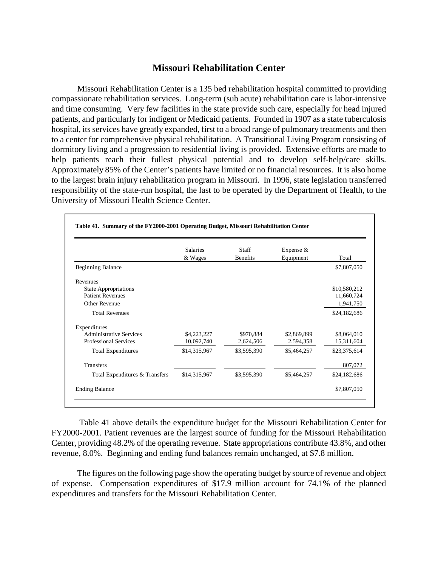### **Missouri Rehabilitation Center**

 and time consuming. Very few facilities in the state provide such care, especially for head injured dormitory living and a progression to residential living is provided. Extensive efforts are made to Approximately 85% of the Center's patients have limited or no financial resources. It is also home to the largest brain injury rehabilitation program in Missouri. In 1996, state legislation transferred Missouri Rehabilitation Center is a 135 bed rehabilitation hospital committed to providing compassionate rehabilitation services. Long-term (sub acute) rehabilitation care is labor-intensive patients, and particularly for indigent or Medicaid patients. Founded in 1907 as a state tuberculosis hospital, its services have greatly expanded, first to a broad range of pulmonary treatments and then to a center for comprehensive physical rehabilitation. A Transitional Living Program consisting of help patients reach their fullest physical potential and to develop self-help/care skills. responsibility of the state-run hospital, the last to be operated by the Department of Health, to the University of Missouri Health Science Center.

|                                | <b>Salaries</b><br>& Wages | <b>Staff</b><br><b>Benefits</b> | Expense $&$<br>Equipment | Total        |
|--------------------------------|----------------------------|---------------------------------|--------------------------|--------------|
| <b>Beginning Balance</b>       |                            |                                 |                          | \$7,807,050  |
| Revenues                       |                            |                                 |                          |              |
| <b>State Appropriations</b>    |                            |                                 |                          | \$10,580,212 |
| <b>Patient Revenues</b>        |                            |                                 |                          | 11,660,724   |
| Other Revenue                  |                            |                                 |                          | 1,941,750    |
| <b>Total Revenues</b>          |                            |                                 |                          | \$24,182,686 |
| Expenditures                   |                            |                                 |                          |              |
| <b>Administrative Services</b> | \$4,223,227                | \$970,884                       | \$2,869,899              | \$8,064,010  |
| Professional Services          | 10,092,740                 | 2,624,506                       | 2,594,358                | 15,311,604   |
| <b>Total Expenditures</b>      | \$14,315,967               | \$3,595,390                     | \$5,464,257              | \$23,375,614 |
| <b>Transfers</b>               |                            |                                 |                          | 807,072      |
| Total Expenditures & Transfers | \$14,315,967               | \$3,595,390                     | \$5,464,257              | \$24,182,686 |
| <b>Ending Balance</b>          |                            |                                 |                          | \$7,807,050  |

Table 41 above details the expenditure budget for the Missouri Rehabilitation Center for FY2000-2001. Patient revenues are the largest source of funding for the Missouri Rehabilitation Center, providing 48.2% of the operating revenue. State appropriations contribute 43.8%, and other revenue, 8.0%. Beginning and ending fund balances remain unchanged, at \$7.8 million.

The figures on the following page show the operating budget by source of revenue and object of expense. Compensation expenditures of \$17.9 million account for 74.1% of the planned expenditures and transfers for the Missouri Rehabilitation Center.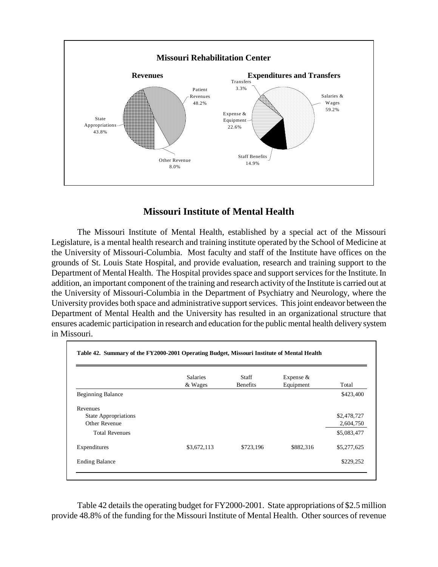

# **Missouri Institute of Mental Health**

 The Missouri Institute of Mental Health, established by a special act of the Missouri the University of Missouri-Columbia. Most faculty and staff of the Institute have offices on the Department of Mental Health. The Hospital provides space and support services for the Institute. In addition, an important component of the training and research activity of the Institute is carried out at University provides both space and administrative support services. This joint endeavor between the ensures academic participation in research and education for the public mental health delivery system Legislature, is a mental health research and training institute operated by the School of Medicine at grounds of St. Louis State Hospital, and provide evaluation, research and training support to the the University of Missouri-Columbia in the Department of Psychiatry and Neurology, where the Department of Mental Health and the University has resulted in an organizational structure that in Missouri.

|                             | <b>Salaries</b><br>& Wages | Staff<br><b>Benefits</b> | Expense $&$<br>Equipment | Total       |
|-----------------------------|----------------------------|--------------------------|--------------------------|-------------|
| <b>Beginning Balance</b>    |                            |                          |                          | \$423,400   |
| Revenues                    |                            |                          |                          |             |
| <b>State Appropriations</b> |                            |                          |                          | \$2,478,727 |
| Other Revenue               |                            |                          |                          | 2,604,750   |
| <b>Total Revenues</b>       |                            |                          |                          | \$5,083,477 |
| Expenditures                | \$3,672,113                | \$723,196                | \$882,316                | \$5,277,625 |
| <b>Ending Balance</b>       |                            |                          |                          | \$229,252   |

Table 42 details the operating budget for FY2000-2001. State appropriations of \$2.5 million provide 48.8% of the funding for the Missouri Institute of Mental Health. Other sources of revenue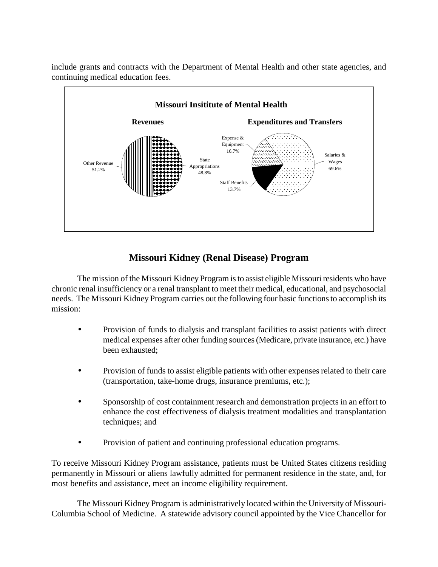include grants and contracts with the Department of Mental Health and other state agencies, and continuing medical education fees.



# **Missouri Kidney (Renal Disease) Program**

 chronic renal insufficiency or a renal transplant to meet their medical, educational, and psychosocial needs. The Missouri Kidney Program carries out the following four basic functions to accomplish its The mission of the Missouri Kidney Program is to assist eligible Missouri residents who have mission:

- medical expenses after other funding sources (Medicare, private insurance, etc.) have • Provision of funds to dialysis and transplant facilities to assist patients with direct been exhausted;
- Provision of funds to assist eligible patients with other expenses related to their care (transportation, take-home drugs, insurance premiums, etc.);
- Sponsorship of cost containment research and demonstration projects in an effort to enhance the cost effectiveness of dialysis treatment modalities and transplantation techniques; and
- Provision of patient and continuing professional education programs.

To receive Missouri Kidney Program assistance, patients must be United States citizens residing permanently in Missouri or aliens lawfully admitted for permanent residence in the state, and, for most benefits and assistance, meet an income eligibility requirement.

 The Missouri Kidney Program is administratively located within the University of Missouri-Columbia School of Medicine. A statewide advisory council appointed by the Vice Chancellor for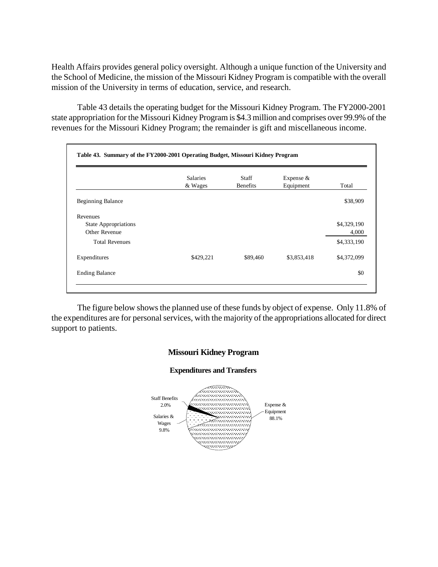Health Affairs provides general policy oversight. Although a unique function of the University and the School of Medicine, the mission of the Missouri Kidney Program is compatible with the overall mission of the University in terms of education, service, and research.

 state appropriation for the Missouri Kidney Program is \$4.3 million and comprises over 99.9% of the Table 43 details the operating budget for the Missouri Kidney Program. The FY2000-2001 revenues for the Missouri Kidney Program; the remainder is gift and miscellaneous income.

|                                                          | <b>Salaries</b><br>& Wages | <b>Staff</b><br><b>Benefits</b> | Expense $&$<br>Equipment | Total                |
|----------------------------------------------------------|----------------------------|---------------------------------|--------------------------|----------------------|
| <b>Beginning Balance</b>                                 |                            |                                 |                          | \$38,909             |
| Revenues<br><b>State Appropriations</b><br>Other Revenue |                            |                                 |                          | \$4,329,190<br>4,000 |
| <b>Total Revenues</b>                                    |                            |                                 |                          | \$4,333,190          |
| Expenditures                                             | \$429,221                  | \$89,460                        | \$3,853,418              | \$4,372,099          |
| <b>Ending Balance</b>                                    |                            |                                 |                          | \$0                  |

 the expenditures are for personal services, with the majority of the appropriations allocated for direct The figure below shows the planned use of these funds by object of expense. Only 11.8% of support to patients.



### **Expenditures and Transfers**

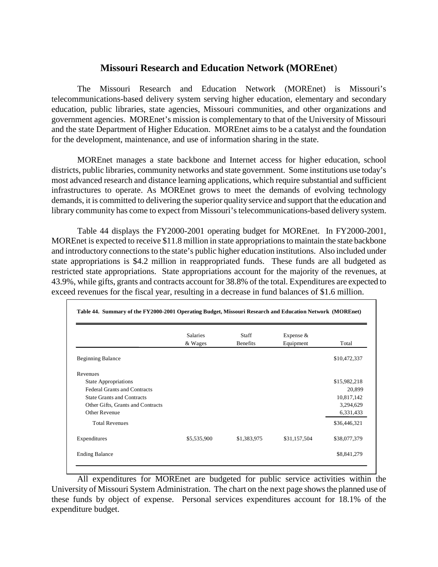## **Missouri Research and Education Network (MOREnet**)

The Missouri Research and Education Network (MOREnet) is Missouri's telecommunications-based delivery system serving higher education, elementary and secondary education, public libraries, state agencies, Missouri communities, and other organizations and government agencies. MOREnet's mission is complementary to that of the University of Missouri and the state Department of Higher Education. MOREnet aims to be a catalyst and the foundation for the development, maintenance, and use of information sharing in the state.

 districts, public libraries, community networks and state government. Some institutions use today's demands, it is committed to delivering the superior quality service and support that the education and MOREnet manages a state backbone and Internet access for higher education, school most advanced research and distance learning applications, which require substantial and sufficient infrastructures to operate. As MOREnet grows to meet the demands of evolving technology library community has come to expect from Missouri's telecommunications-based delivery system.

 Table 44 displays the FY2000-2001 operating budget for MOREnet. In FY2000-2001, MOREnet is expected to receive \$11.8 million in state appropriations to maintain the state backbone 43.9%, while gifts, grants and contracts account for 38.8% of the total. Expenditures are expected to and introductory connections to the state's public higher education institutions. Also included under state appropriations is \$4.2 million in reappropriated funds. These funds are all budgeted as restricted state appropriations. State appropriations account for the majority of the revenues, at exceed revenues for the fiscal year, resulting in a decrease in fund balances of \$1.6 million.

|                                     | <b>Salaries</b><br>& Wages | Staff<br><b>Benefits</b> | Expense &<br>Equipment | Total        |
|-------------------------------------|----------------------------|--------------------------|------------------------|--------------|
| <b>Beginning Balance</b>            |                            |                          |                        | \$10,472,337 |
| Revenues                            |                            |                          |                        |              |
| <b>State Appropriations</b>         |                            |                          |                        | \$15,982,218 |
| <b>Federal Grants and Contracts</b> |                            |                          |                        | 20,899       |
| <b>State Grants and Contracts</b>   |                            |                          |                        | 10,817,142   |
| Other Gifts, Grants and Contracts   |                            |                          |                        | 3,294,629    |
| Other Revenue                       |                            |                          |                        | 6,331,433    |
| <b>Total Revenues</b>               |                            |                          |                        | \$36,446,321 |
| Expenditures                        | \$5,535,900                | \$1,383,975              | \$31,157,504           | \$38,077,379 |
| <b>Ending Balance</b>               |                            |                          |                        | \$8,841,279  |

 University of Missouri System Administration. The chart on the next page shows the planned use of All expenditures for MOREnet are budgeted for public service activities within the these funds by object of expense. Personal services expenditures account for 18.1% of the expenditure budget.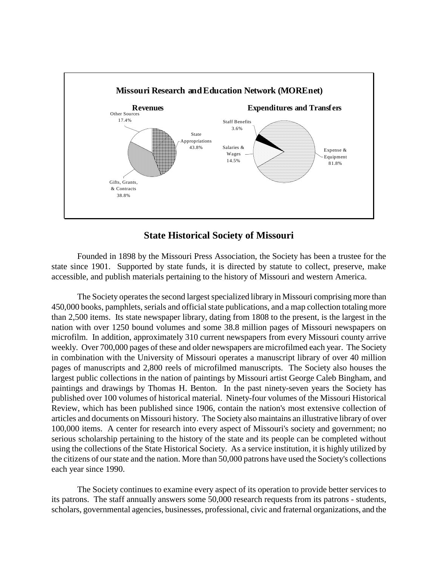

## **State Historical Society of Missouri**

Founded in 1898 by the Missouri Press Association, the Society has been a trustee for the state since 1901. Supported by state funds, it is directed by statute to collect, preserve, make accessible, and publish materials pertaining to the history of Missouri and western America.

 The Society operates the second largest specialized library in Missouri comprising more than 450,000 books, pamphlets, serials and official state publications, and a map collection totaling more in combination with the University of Missouri operates a manuscript library of over 40 million articles and documents on Missouri history. The Society also maintains an illustrative library of over using the collections of the State Historical Society. As a service institution, it is highly utilized by than 2,500 items. Its state newspaper library, dating from 1808 to the present, is the largest in the nation with over 1250 bound volumes and some 38.8 million pages of Missouri newspapers on microfilm. In addition, approximately 310 current newspapers from every Missouri county arrive weekly. Over 700,000 pages of these and older newspapers are microfilmed each year. The Society pages of manuscripts and 2,800 reels of microfilmed manuscripts. The Society also houses the largest public collections in the nation of paintings by Missouri artist George Caleb Bingham, and paintings and drawings by Thomas H. Benton. In the past ninety-seven years the Society has published over 100 volumes of historical material. Ninety-four volumes of the Missouri Historical Review, which has been published since 1906, contain the nation's most extensive collection of 100,000 items. A center for research into every aspect of Missouri's society and government; no serious scholarship pertaining to the history of the state and its people can be completed without the citizens of our state and the nation. More than 50,000 patrons have used the Society's collections each year since 1990.

 scholars, governmental agencies, businesses, professional, civic and fraternal organizations, and the The Society continues to examine every aspect of its operation to provide better services to its patrons. The staff annually answers some 50,000 research requests from its patrons - students,